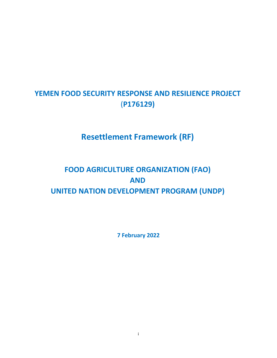# **YEMEN FOOD SECURITY RESPONSE AND RESILIENCE PROJECT** (**P176129)**

# **Resettlement Framework (RF)**

# **FOOD AGRICULTURE ORGANIZATION (FAO) AND UNITED NATION DEVELOPMENT PROGRAM (UNDP)**

**7 February 2022**

i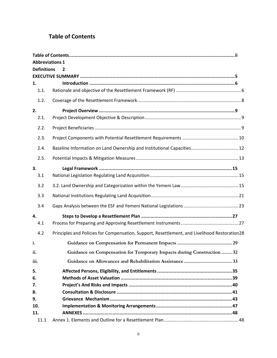# <span id="page-1-0"></span>**Table of Contents**

|                                      |      | <b>Abbreviations 1</b>                                                                        |  |  |  |
|--------------------------------------|------|-----------------------------------------------------------------------------------------------|--|--|--|
| <b>Definitions</b><br>$\overline{2}$ |      |                                                                                               |  |  |  |
|                                      |      |                                                                                               |  |  |  |
| 1.                                   |      |                                                                                               |  |  |  |
|                                      | 1.1. |                                                                                               |  |  |  |
|                                      | 1.2. |                                                                                               |  |  |  |
| 2.                                   |      |                                                                                               |  |  |  |
|                                      | 2.1. |                                                                                               |  |  |  |
|                                      | 2.2. |                                                                                               |  |  |  |
|                                      | 2.3. |                                                                                               |  |  |  |
|                                      | 2.4. |                                                                                               |  |  |  |
|                                      | 2.5. |                                                                                               |  |  |  |
| 3.                                   |      |                                                                                               |  |  |  |
|                                      | 3.1  |                                                                                               |  |  |  |
|                                      | 3.2  |                                                                                               |  |  |  |
|                                      | 3.3  |                                                                                               |  |  |  |
|                                      | 3.4  |                                                                                               |  |  |  |
| 4.                                   |      |                                                                                               |  |  |  |
|                                      | 4.1  |                                                                                               |  |  |  |
|                                      | 4.2  | Principles and Policies for Compensation, Support, Resettlement, and Livelihood Restoration28 |  |  |  |
| i.                                   |      |                                                                                               |  |  |  |
| ii.                                  |      | Guidance on Compensation for Temporary Impacts during Construction  32                        |  |  |  |
| iii.                                 |      |                                                                                               |  |  |  |
| 5.                                   |      |                                                                                               |  |  |  |
| 6.                                   |      |                                                                                               |  |  |  |
| 7.                                   |      |                                                                                               |  |  |  |
| 8.                                   |      |                                                                                               |  |  |  |
| 9.                                   |      |                                                                                               |  |  |  |
| 10.                                  |      |                                                                                               |  |  |  |
| 11.                                  |      |                                                                                               |  |  |  |
|                                      | 11.1 |                                                                                               |  |  |  |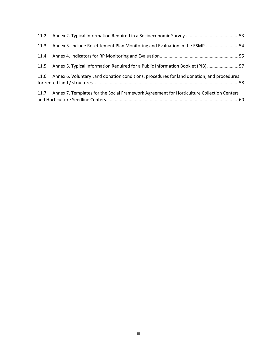| 11.3 Annex 3. Include Resettlement Plan Monitoring and Evaluation in the ESMP  54              |  |
|------------------------------------------------------------------------------------------------|--|
|                                                                                                |  |
| 11.5 Annex 5. Typical Information Required for a Public Information Booklet (PIB) 57           |  |
| 11.6 Annex 6. Voluntary Land donation conditions, procedures for land donation, and procedures |  |
| 11.7 Annex 7. Templates for the Social Framework Agreement for Horticulture Collection Centers |  |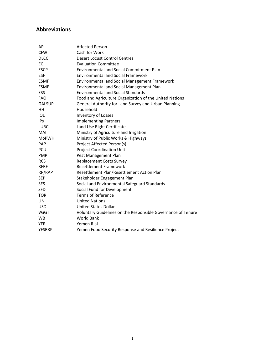# <span id="page-3-0"></span>**Abbreviations**

| AP            | <b>Affected Person</b>                                       |
|---------------|--------------------------------------------------------------|
| <b>CFW</b>    | Cash for Work                                                |
| <b>DLCC</b>   | <b>Desert Locust Control Centres</b>                         |
| EC            | <b>Evaluation Committee</b>                                  |
| <b>ESCP</b>   | <b>Environmental and Social Commitment Plan</b>              |
| <b>ESF</b>    | <b>Environmental and Social Framework</b>                    |
| <b>ESMF</b>   | <b>Environmental and Social Management Framework</b>         |
| <b>ESMP</b>   | <b>Environmental and Social Management Plan</b>              |
| <b>ESS</b>    | <b>Environmental and Social Standards</b>                    |
| <b>FAO</b>    | Food and Agriculture Organization of the United Nations      |
| <b>GALSUP</b> | General Authority for Land Survey and Urban Planning         |
| HН            | Household                                                    |
| IOL           | Inventory of Losses                                          |
| <b>IPs</b>    | <b>Implementing Partners</b>                                 |
| <b>LURC</b>   | Land Use Right Certificate                                   |
| MAI           | Ministry of Agriculture and Irrigation                       |
| MoPWH         | Ministry of Public Works & Highways                          |
| <b>PAP</b>    | Project Affected Person(s)                                   |
| <b>PCU</b>    | <b>Project Coordination Unit</b>                             |
| <b>PMP</b>    | Pest Management Plan                                         |
| <b>RCS</b>    | <b>Replacement Costs Survey</b>                              |
| <b>RFRF</b>   | <b>Resettlement Framework</b>                                |
| RP/RAP        | Resettlement Plan/Resettlement Action Plan                   |
| <b>SEP</b>    | Stakeholder Engagement Plan                                  |
| <b>SES</b>    | Social and Environmental Safeguard Standards                 |
| <b>SFD</b>    | Social Fund for Development                                  |
| <b>TOR</b>    | <b>Terms of Reference</b>                                    |
| UN            | <b>United Nations</b>                                        |
| <b>USD</b>    | <b>United States Dollar</b>                                  |
| VGGT          | Voluntary Guidelines on the Responsible Governance of Tenure |
| <b>WB</b>     | <b>World Bank</b>                                            |
| <b>YER</b>    | Yemen Rial                                                   |
| <b>YFSRRP</b> | Yemen Food Security Response and Resilience Project          |
|               |                                                              |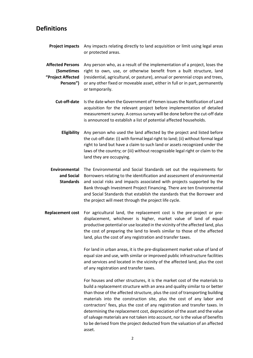# <span id="page-4-0"></span>**Definitions**

**Project impacts** Any impacts relating directly to land acquisition or limit using legal areas or protected areas.

**Affected Persons** Any person who, as a result of the implementation of a project, loses the **(Sometimes**  right to own, use, or otherwise benefit from a built structure, land **"Project Affected**  (residential, agricultural, or pasture), annual or perennial crops and trees, **Persons")** or any other fixed or moveable asset, either in full or in part, permanently or temporarily.

- **Cut-off-date** Is the date when the Government of Yemen issues the Notification of Land acquisition for the relevant project before implementation of detailed measurement survey. A census survey will be done before the cut-off date is announced to establish a list of potential affected households.
	- **Eligibility** Any person who used the land affected by the project and listed before the cut-off-date: (i) with formal legal right to land; (ii) without formal legal right to land but have a claim to such land or assets recognized under the laws of the country; or (iii) without recognizable legal right or claim to the land they are occupying.
- **Environmental**  The Environmental and Social Standards set out the requirements for **and Social**  Borrowers relating to the identification and assessment of environmental **Standards** and social risks and impacts associated with projects supported by the Bank through Investment Project Financing. There are ten Environmental and Social Standards that establish the standards that the Borrower and the project will meet through the project life cycle.
- **Replacement cost** For agricultural land, the replacement cost is the pre-project or predisplacement, whichever is higher, market value of land of equal productive potential or use located in the vicinity of the affected land, plus the cost of preparing the land to levels similar to those of the affected land, plus the cost of any registration and transfer taxes.

For land in urban areas, it is the pre-displacement market value of land of equal size and use, with similar or improved public infrastructure facilities and services and located in the vicinity of the affected land, plus the cost of any registration and transfer taxes.

For houses and other structures, it is the market cost of the materials to build a replacement structure with an area and quality similar to or better than those of the affected structure, plus the cost of transporting building materials into the construction site, plus the cost of any labor and contractors' fees, plus the cost of any registration and transfer taxes. In determining the replacement cost, depreciation of the asset and the value of salvage materials are not taken into account, nor is the value of benefits to be derived from the project deducted from the valuation of an affected asset.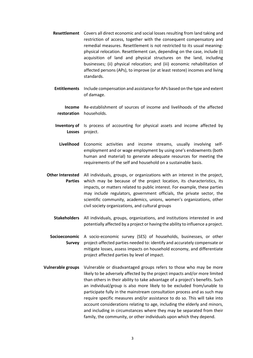- **Resettlement** Covers all direct economic and social losses resulting from land taking and restriction of access, together with the consequent compensatory and remedial measures. Resettlement is not restricted to its usual meaningphysical relocation. Resettlement can, depending on the case, include (i) acquisition of land and physical structures on the land, including businesses; (ii) physical relocation; and (iii) economic rehabilitation of affected persons (APs), to improve (or at least restore) incomes and living standards.
- **Entitlements** Include compensation and assistance for APs based on the type and extent of damage.
	- **Income restoration** households. Re-establishment of sources of income and livelihoods of the affected
- **Inventory of** Is process of accounting for physical assets and income affected by **Losses** project.
- **Livelihood** Economic activities and income streams, usually involving selfemployment and or wage employment by using one's endowments (both human and material) to generate adequate resources for meeting the requirements of the self and household on a sustainable basis.
- **Other Interested**  All individuals, groups, or organizations with an interest in the project, **Parties** which may be because of the project location, its characteristics, its impacts, or matters related to public interest. For example, these parties may include regulators, government officials, the private sector, the scientific community, academics, unions, women's organizations, other civil society organizations, and cultural groups
	- **Stakeholders** All individuals, groups, organizations, and institutions interested in and potentially affected by a project or having the ability to influence a project.

**Socioeconomic** A socio-economic survey (SES) of households, businesses, or other **Survey** project-affected parties needed to: identify and accurately compensate or mitigate losses, assess impacts on household economy, and differentiate project affected parties by level of impact.

**Vulnerable groups** Vulnerable or disadvantaged groups refers to those who may be more likely to be adversely affected by the project impacts and/or more limited than others in their ability to take advantage of a project's benefits. Such an individual/group is also more likely to be excluded from/unable to participate fully in the mainstream consultation process and as such may require specific measures and/or assistance to do so. This will take into account considerations relating to age, including the elderly and minors, and including in circumstances where they may be separated from their family, the community, or other individuals upon which they depend.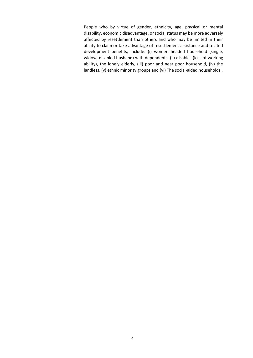People who by virtue of gender, ethnicity, age, physical or mental disability, economic disadvantage, or social status may be more adversely affected by resettlement than others and who may be limited in their ability to claim or take advantage of resettlement assistance and related development benefits, include: (i) women headed household (single, widow, disabled husband) with dependents, (ii) disables (loss of working ability), the lonely elderly, (iii) poor and near poor household, (iv) the landless, (v) ethnic minority groups and (vi) The social-aided households .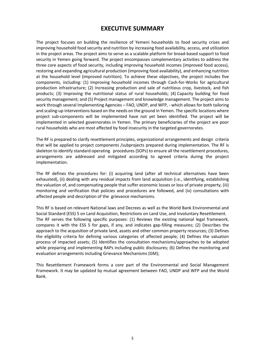# **EXECUTIVE SUMMARY**

<span id="page-7-0"></span>The project focuses on building the resilience of Yemeni households to food security crises and improving household food security and nutrition by increasing food availability, access, and utilization in the project areas. The project aims to serve as a scalable platform for broad-based support to food security in Yemen going forward. The project encompasses complementary activities to address the three core aspects of food security, including improving household incomes (improved food access), restoring and expanding agricultural production (improving food availability), and enhancing nutrition at the household level (improved nutrition). To achieve these objectives, the project includes five components, including: (1) Improving household incomes through Cash-for-Works for agricultural production infrastructure; (2) Increasing production and sale of nutritious crop, livestock, and fish products; (3) Improving the nutritional status of rural households; (4) Capacity building for food security management; and (5) Project management and knowledge management. The project aims to work through several Implementing Agencies – FAO, UNDP, and WFP, - which allows for both tailoring and scaling-up interventions based on the needs on the ground in Yemen. The specific locations where project sub-components will be implemented have not yet been identified. The project will be implemented in selected governorates in Yemen. The primary beneficiaries of the project are poor rural households who are most affected by food insecurity in the targeted governorates.

The RF is prepared to clarify resettlement principles, organizational arrangements and design criteria that will be applied to project components /subprojects prepared during implementation. The RF is skeleton to identify standard operating procedures (SOPs) to ensure all the resettlement procedures, arrangements are addressed and mitigated according to agreed criteria during the project implementation.

The RF defines the procedures for: (i) acquiring land (after all technical alternatives have been exhausted), (ii) dealing with any residual impacts from land acquisition (i.e., identifying, establishing the valuation of, and compensating people that suffer economic losses or loss of private property, (iii) monitoring and verification that policies and procedures are followed, and (iv) consultations with affected people and description of the grievance mechanisms.

This RF is based on relevant National laws and Decrees as well as the World Bank Environmental and Social Standard (ESS) 5 on Land Acquisition, Restrictions on Land Use, and Involuntary Resettlement. The RF serves the following specific purposes: (1) Reviews the existing national legal framework, compares it with the ESS 5 for gaps, if any, and indicates gap-filling measures; (2) Describes the approach to the acquisition of private land, assets and other common property resources; (3) Defines the eligibility criteria for defining various categories of affected people; (4) Defines the valuation process of impacted assets; (5) Identifies the consultation mechanisms/approaches to be adopted while preparing and implementing RAPs including public disclosures; (6) Defines the monitoring and evaluation arrangements including Grievance Mechanisms (GM);

This Resettlement Framework forms a core part of the Environmental and Social Management Framework. It may be updated by mutual agreement between FAO, UNDP and WFP and the World Bank.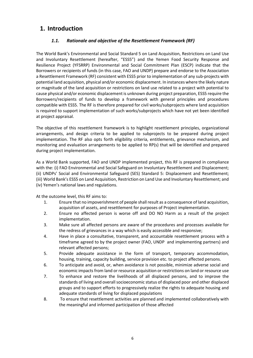# <span id="page-8-1"></span><span id="page-8-0"></span>**1. Introduction**

# *1.1. Rationale and objective of the Resettlement Framework (RF)*

The World Bank's Environmental and Social Standard 5 on Land Acquisition, Restrictions on Land Use and Involuntary Resettlement (hereafter, "ESS5") and the Yemen Food Security Response and Resilience Project (YFSRRP) Environmental and Social Commitment Plan (ESCP) indicate that the Borrowers or recipients of funds (in this case, FAO and UNDP) prepare and endorse to the Association a Resettlement Framework (RF) consistent with ESS5 prior to implementation of any sub-projects with potential land acquisition, physical and/or economic displacement. In instances where the likely nature or magnitude of the land acquisition or restrictions on land use related to a project with potential to cause physical and/or economic displacement is unknown during project preparation, ESS5 require the Borrowers/recipients of funds to develop a framework with general principles and procedures compatible with ESS5. The RF is therefore prepared for civil works/subprojects where land acquisition is required to support implementation of such works/subprojects which have not yet been identified at project appraisal.

The objective of this resettlement framework is to highlight resettlement principles, organizational arrangements, and design criteria to be applied to subprojects to be prepared during project implementation. The RF also opts forth eligibility criteria, entitlements, grievance mechanism, and monitoring and evaluation arrangements to be applied to RP(s) that will be identified and prepared during project implementation.

As a World Bank supported, FAO and UNDP implemented project, this RF is prepared in compliance with the: (i) FAO Environmental and Social Safeguard on Involuntary Resettlement and Displacement; (ii) UNDPs' Social and Environmental Safeguard (SES) Standard 5: Displacement and Resettlement; (iii) World Bank's ESS5 on Land Acquisition, Restriction on Land Use and Involuntary Resettlement; and (iv) Yemen's national laws and regulations.

At the outcome level, this RF aims to:

- 1. Ensure that no impoverishment of people shall result as a consequence of land acquisition, acquisition of assets, and resettlement for purposes of Project implementation.
- 2. Ensure no affected person is worse off and DO NO Harm as a result of the project implementation.
- 3. Make sure all affected persons are aware of the procedures and processes available for the redress of grievances in a way which is easily accessible and responsive;
- 4. Have in place a consultative, transparent, and accountable resettlement process with a timeframe agreed to by the project owner (FAO, UNDP and implementing partners) and relevant affected persons;
- 5. Provide adequate assistance in the form of transport, temporary accommodation, housing, training, capacity building, service provision etc. to project affected persons.
- 6. To anticipate and avoid, or, when avoidance is not possible, minimize adverse social and economic impacts from land or resource acquisition or restrictions on land or resource use
- 7. To enhance and restore the livelihoods of all displaced persons, and to improve the standards of living and overall socioeconomic status of displaced poor and other displaced groups and to support efforts to progressively realize the rights to adequate housing and adequate standards of living for displaced populations
- 8. To ensure that resettlement activities are planned and implemented collaboratively with the meaningful and informed participation of those affected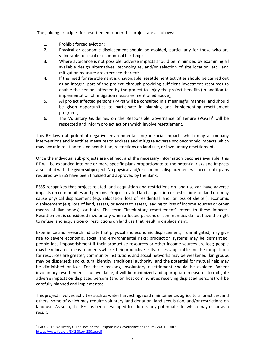The guiding principles for resettlement under this project are as follows:

- 1. Prohibit forced eviction;<br>2. Physical or economic di
- Physical or economic displacement should be avoided, particularly for those who are vulnerable to social or economical hardship;
- 3. Where avoidance is not possible, adverse impacts should be minimized by examining all available design alternatives, technologies, and/or selection of site location, etc., and mitigation measure are exercised thereof;
- 4. If the need for resettlement is unavoidable, resettlement activities should be carried out as an integral part of the project, through providing sufficient investment resources to enable the persons affected by the project to enjoy the project benefits (in addition to implementation of mitigation measures mentioned above);
- 5. All project affected persons (PAPs) will be consulted in a meaningful manner, and should be given opportunities to participate in planning and implementing resettlement programs;
- 6. The Voluntary Guidelines on the Responsible Governance of Tenure (VGGT)<sup>1</sup> will be respected and inform project actions which involve resettlement.

This RF lays out potential negative environmental and/or social impacts which may accompany interventions and identifies measures to address and mitigate adverse socioeconomic impacts which may occur in relation to land acquisition, restrictions on land use, or involuntary resettlement.

Once the individual sub-projects are defined, and the necessary information becomes available, this RF will be expanded into one or more specific plans proportionate to the potential risks and impacts associated with the given subproject. No physical and/or economic displacement will occur until plans required by ESS5 have been finalized and approved by the Bank.

ESS5 recognizes that project-related land acquisition and restrictions on land use can have adverse impacts on communities and persons. Project-related land acquisition or restrictions on land use may cause physical displacement (e.g. relocation, loss of residential land, or loss of shelter), economic displacement (e.g. loss of land, assets, or access to assets, leading to loss of income sources or other means of livelihoods), or both. The term "involuntary resettlement" refers to these impacts. Resettlement is considered involuntary when affected persons or communities do not have the right to refuse land acquisition or restrictions on land use that result in displacement.

Experience and research indicate that physical and economic displacement, if unmitigated, may give rise to severe economic, social and environmental risks: production systems may be dismantled; people face impoverishment if their productive resources or other income sources are lost; people may be relocated to environments where their productive skills are less applicable and the competition for resources are greater; community institutions and social networks may be weakened; kin groups may be dispersed; and cultural identity, traditional authority, and the potential for mutual help may be diminished or lost. For these reasons, involuntary resettlement should be avoided. Where involuntary resettlement is unavoidable, it will be minimized and appropriate measures to mitigate adverse impacts on displaced persons (and on host communities receiving displaced persons) will be carefully planned and implemented.

This project involves activities such as water harvesting, road maintainence, agricultural practices, and others, some of which may require voluntary land donation, land acquisition, and/or restrictions on land use. As such, this RF has been developed to address any potential risks which may occur as a result.

<sup>1</sup> FAO. 2012. Voluntary Guidelines on the Responsible Governance of Tenure (VGGT). URL: <https://www.fao.org/3/i2801e/i2801e.pdf>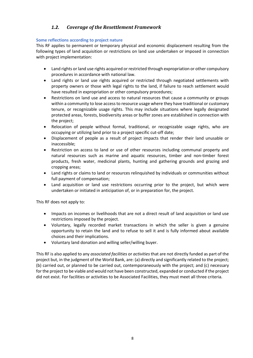# <span id="page-10-0"></span>*1.2. Coverage of the Resettlement Framework*

#### **Some reflections according to project nature**

This RF applies to permanent or temporary physical and economic displacement resulting from the following types of land acquisition or restrictions on land use undertaken or imposed in connection with project implementation:

- Land rights or land use rights acquired or restricted through expropriation or other compulsory procedures in accordance with national law.
- Land rights or land use rights acquired or restricted through negotiated settlements with property owners or those with legal rights to the land, if failure to reach settlement would have resulted in expropriation or other compulsory procedures;
- Restrictions on land use and access to natural resources that cause a community or groups within a community to lose access to resource usage where they have traditional or customary tenure, or recognizable usage rights. This may include situations where legally designated protected areas, forests, biodiversity areas or buffer zones are established in connection with the project;
- Relocation of people without formal, traditional, or recognizable usage rights, who are occupying or utilizing land prior to a project specific cut-off date;
- Displacement of people as a result of project impacts that render their land unusable or inaccessible;
- Restriction on access to land or use of other resources including communal property and natural resources such as marine and aquatic resources, timber and non-timber forest products, fresh water, medicinal plants, hunting and gathering grounds and grazing and cropping areas;
- Land rights or claims to land or resources relinquished by individuals or communities without full payment of compensation;
- Land acquisition or land use restrictions occurring prior to the project, but which were undertaken or initiated in anticipation of, or in preparation for, the project.

This RF does not apply to:

- Impacts on incomes or livelihoods that are not a direct result of land acquisition or land use restrictions imposed by the project.
- Voluntary, legally recorded market transactions in which the seller is given a genuine opportunity to retain the land and to refuse to sell it and is fully informed about available choices and their implications.
- Voluntary land donation and willing seller/willing buyer.

This RF is also applied to any *associated facilities* or *activities* that are not directly funded as part of the project but, in the judgment of the World Bank, are: (a) directly and significantly related to the project; (b) carried out, or planned to be carried out, contemporaneously with the project; and (c) necessary for the project to be viable and would not have been constructed, expanded or conducted if the project did not exist. For facilities or activities to be Associated Facilities, they must meet all three criteria.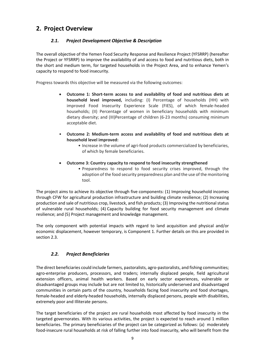# <span id="page-11-1"></span><span id="page-11-0"></span>**2. Project Overview**

# *2.1. Project Development Objective & Description*

The overall objective of the Yemen Food Security Response and Resilience Project (YFSRRP) (hereafter the Project or YFSRRP) to improve the availability of and access to food and nutritious diets, both in the short and medium term, for targeted households in the Project Area, and to enhance Yemen's capacity to respond to food insecurity.

Progress towards this objective will be measured via the following outcomes:

- **Outcome 1: Short-term access to and availability of food and nutritious diets at household level improved,** including: (I) Percentage of households (HH) with improved Food Insecurity Experience Scale (FIES), of which female-headed households; (II) Percentage of women in beneficiary households with minimum dietary diversity; and (III)Percentage of children (6-23 months) consuming minimum acceptable diet.
- **Outcome 2: Medium-term access and availability of food and nutritious diets at household level improved:** 
	- Increase in the volume of agri-food products commercialized by beneficiaries, of which by female beneficiaries.
- **Outcome 3: Country capacity to respond to food insecurity strengthened**
	- Preparedness to respond to food security crises improved, through the adoption of the food security preparedness plan and the use of the monitoring tool.

The project aims to achieve its objective through five components: (1) Improving household incomes through CFW for agricultural production infrastructure and building climate resilience; (2) Increasing production and sale of nutritious crop, livestock, and fish products; (3) Improving the nutritional status of vulnerable rural households; (4) Capacity building for food security management and climate resilience; and (5) Project management and knowledge management.

<span id="page-11-2"></span>The only component with potential impacts with regard to land acquisition and physical and/or economic displacement, however temporary, is Component 1. Further details on this are provided in section 2.3.

## *2.2. Project Beneficiaries*

The direct beneficiaries could include farmers, pastoralists, agro-pastoralists, and fishing communities; agro-enterprise producers, processors, and traders; internally displaced people, field agricultural extension officers, animal health workers. Based on early sector experiences, vulnerable or disadvantaged groups may include but are not limited to, historically underserved and disadvantaged communities in certain parts of the country, households facing food insecurity and food shortages, female-headed and elderly-headed households, internally displaced persons, people with disabilities, extremely poor and Illiterate persons.

The target beneficiaries of the project are rural households most affected by food insecurity in the targeted governorates. With its various activities, the project is expected to reach around 1 million beneficiaries. The primary beneficiaries of the project can be categorized as follows: (a) moderately food-insecure rural households at risk of falling further into food insecurity, who will benefit from the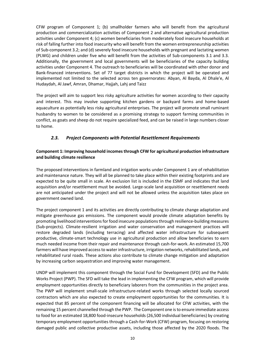CFW program of Component 1; (b) smallholder farmers who will benefit from the agricultural production and commercialization activities of Component 2 and alternative agricultural production activities under Component 4; (c) women beneficiaries from moderately food insecure households at risk of falling further into food insecurity who will benefit from the women entrepreneurship activities of Sub-component 3.2; and (d) severely food insecure households with pregnant and lactating women (PLWG) and children under five who will benefit from the activities of Sub-components 3.1 and 3.3. Additionally, the government and local governments will be beneficiaries of the capacity building activities under Component 4. The outreach to beneficiaries will be coordinated with other donor and Bank-financed interventions. Set of 77 target districts in which the project will be operated and implemented not limited to the selected across ten governorates: Abyan, Al Bayda, Al Dhale'e, Al Hudaydah, Al Jawf, Amran, Dhamar, Hajjah, Lahj and Taizz

<span id="page-12-0"></span>The project will aim to support less risky agriculture activities for women according to their capacity and interest. This may involve supporting kitchen gardens or backyard farms and home-based aquaculture as potentially less risky agricultural enterprises. The project will promote small ruminant husbandry to women to be considered as a promising strategy to support farming communities in conflict, as goats and sheep do not require specialized feed, and can be raised in large numbers closer to home.

## *2.3. Project Components with Potential Resettlement Requirements*

### **Component 1: Improving household incomes through CFW for agricultural production infrastructure and building climate resilience**

The proposed interventions in farmland and irrigation works under Component 1 are of rehabilitation and maintenance nature. They will all be planned to take place within their existing footprints and are expected to be quite small in scale. An exclusion list is included in the ESMF and indicates that land acquisition and/or resettlement must be avoided. Large-scale land acquisition or resettlement needs are not anticipated under the project and will not be allowed unless the acquisition takes place on government owned land.

The project component 1 and its activities are directly contributing to climate change adaptation and mitigate greenhouse gas emissions. The component would provide climate adaptation benefits by promoting livelihood interventions for food insecure populations through resilience-building measures (Sub-projects). Climate-resilient irrigation and water conservation and management practices will restore degraded lands (including terracing) and affected water infrastructure for subsequent productive, climate-smart technology use in agricultural production and allow beneficiaries to earn much needed income from their repair and maintenance through cash-for-work. An estimated 15,700 farmers will have improved access to water infrastructure, irrigation networks, rehabilitated lands, and rehabilitated rural roads. These actions also contribute to climate change mitigation and adaptation by increasing carbon sequestration and improving water management.

UNDP will implement this component through the Social Fund for Development (SFD) and the Public Works Project (PWP). The SFD will take the lead in implementing the CFW program, which will provide employment opportunities directly to beneficiary laborers from the communities in the project area. The PWP will implement small-scale infrastructure-related works through selected locally sourced contractors which are also expected to create employment opportunities for the communities. It is expected that 85 percent of the component financing will be allocated for CFW activities, with the remaining 15 percent channelled through the PWP. The Component one is to ensure immediate access to food for an estimated 18,800 food-insecure households (26,500 individual beneficiaries) by creating temporary employment opportunities through a Cash-for-Work (CFW) program, focusing on restoring damaged public and collective productive assets, including those affected by the 2020 floods. The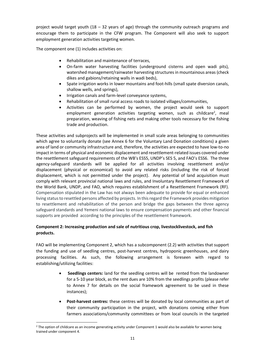project would target youth  $(18 - 32$  years of age) through the community outreach programs and encourage them to participate in the CFW program. The Component will also seek to support employment generation activities targeting women.

The component one (1) includes activities on:

- Rehabilitation and maintenance of terraces,
- On-farm water harvesting facilities (underground cisterns and open wadi pits), watershed management/rainwater harvesting structures in mountainous areas (check dikes and gabions/retaining walls in wadi beds),
- Spate irrigation works in lower mountains and foot-hills (small spate diversion canals, shallow wells, and springs),
- Irrigation canals and farm-level conveyance systems,
- Rehabilitation of small rural access roads to isolated villages/communities,
- Activities can be performed by women, the project would seek to support employment generation activities targeting women, such as childcare<sup>2</sup>, meal preparation, weaving of fishing nets and making other tools necessary for the fishing trade and production.

These activities and subprojects will be implemented in small scale areas belonging to communities which agree to voluntarily donate (see Annex 6 for the Voluntary Land Donation conditions) a given area of land or community infrastructure and, therefore, the activities are expected to have low-to-no impact in terms of physical and economic displacement and resettlement-related issues covered under the resettlement safeguard requirements of the WB's ESS5, UNDP's SES 5, and FAO's ESS6. The three agency-safeguard standards will be applied for all activities involving resettlement and/or displacement (physical or economical) to avoid any related risks (including the risk of forced displacement, which is not permitted under the project). Any potential of land acquisition must comply with relevant provincial national laws and rules, and Involuntary Resettlement Framework of the World Bank, UNDP, and FAO, which requires establishment of a Resettlement Framework (RF). Compensation stipulated in the Law has not always been adequate to provide for equal or enhanced living status to resettled persons affected by projects. In this regard the Framework provides mitigation to resettlement and rehabilitation of the person and bridge the gaps between the three agency safeguard standards and Yemeni national laws to ensure compensation payments and other financial supports are provided according to the principles of the resettlement framework.

## **Component 2: Increasing production and sale of nutritious crop, livestocklivestock, and fish products.**

FAO will be implementing Component 2, which has a subcomponent (2.2) with activities that support the funding and use of seedling centres, post-harvest centres, hydroponic greenhouses, and dairy processing facilities. As such, the following arrangement is foreseen with regard to establishing/utilizing facilities:

- **Seedlings centers:** land for the seedling centres will be rented from the landowner for a 5-10 year block, as the rent dues are 10% from the seedlings profits (please refer to Annex 7 for details on the social framework agreement to be used in these instances);
- **Post-harvest centres:** these centres will be donated by local communities as part of their community participation in the project, with donations coming either from farmers associations/community committees or from local councils in the targeted

<sup>&</sup>lt;sup>2</sup> The option of childcare as an income generating activity under Component 1 would also be available for women being trained under component 4.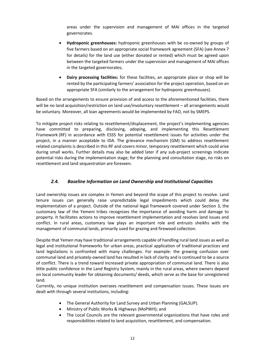areas under the supervision and management of MAI offices in the targeted governorates.

- **Hydroponic greenhouses:** hydroponic greenhouses with be co-owned by groups of five farmers based on an appropriate social framework agreement (SFA) (see Annex 7 for details) for the land use (either donated or rented) which must be agreed upon between the targeted farmers under the supervision and management of MAI offices in the targeted governorates;
- **Dairy processing facilities:** for these facilities, an appropriate place or shop will be rented by the participating farmers' association for the project operation, based on an appropriate SFA (similarly to the arrangement for hydroponic greenhouses).

Based on the arrangements to ensure provision of and access to the aforementioned facilities, there will be no land acquisition/restriction on land use/involuntary resettlement – all arrangements would be voluntary. Moreover, all loan agreements would be implemented by FAO, not by SMEPS.

To mitigate project risks relating to resettlement/displacement, the project's implementing agencies have committed to preparing, disclosing, adoping, and implementing this Resettlement Framework (RF) in accordance with ESS5 for potential resettlement issues for activities under the project, in a manner acceptable to IDA. The grievance mechanism (GM) to address resettlement related complaints is described in this RF and covers minor, temporary resettlement which could arise during small works. Further details may also be added later if any sub-project screenings indicate potential risks during the implementation stage; for the planning and consultation stage, no risks on resettlement and land sequestration are foreseen.

## <span id="page-14-0"></span>*2.4. Baseline Information on Land Ownership and Institutional Capacities*

Land ownership issues are complex in Yemen and beyond the scope of this project to resolve. Land tenure issues can generally raise unpredictable legal impediments which could delay the implementation of a project. Outside of the national legal framework covered under Section 3, the customary law of the Yemeni tribes recognizes the importance of avoiding harm and damage to property. It facilitates actions to improve resettlement implementation and resolves land issues and conflict. In rural areas, customary law plays an important role and entrusts sheikhs with the management of communal lands, primarily used for grazing and firewood collection.

Despite that Yemen may have traditional arrangements capable of handling rural land issues as well as legal and institutional frameworks for urban areas, practical application of traditional practices and land legislations is confronted with many challenges. For example: the growing confusion over communal land and privately-owned land has resulted in lack of clarity and is continued to be a source of conflict. There is a trend toward increased private appropriation of communal land. There is also little public confidence in the Land Registry System, mainly in the rural areas, where owners depend on local community leader for obtaining documents/ deeds, which serve as the base for unregistered land.

Currently, no unique institution oversees resettlement and compensation issues. These issues are dealt with through several institutions, including:

- The General Authority for Land Survey and Urban Planning (GALSUP).
- Ministry of Public Works & Highways (MoPWH); and
- The Local Councils are the relevant governmental organizations that have roles and responsibilities related to land acquisition, resettlement, and compensation.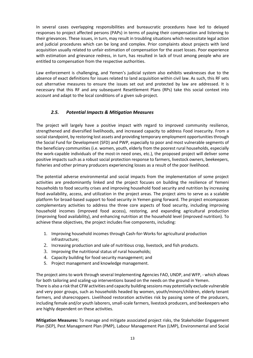In several cases overlapping responsibilities and bureaucratic procedures have led to delayed responses to project affected persons (PAPs) in terms of paying their compensation and listening to their grievances. These issues, in turn, may result in troubling situations which necessitate legal action and judicial procedures which can be long and complex. Prior complaints about projects with land acquisition usually related to unfair estimation of compensation for the asset losses. Poor experience with estimation and grievance redress, in turn, has resulted in lack of trust among people who are entitled to compensation from the respective authorities.

<span id="page-15-0"></span>Law enforcement is challenging, and Yemen's judicial system also exhibits weaknesses due to the absence of exact definitions for issues related to land acquisition within civil law. As such, this RF sets out alternative measures to ensure the issues set out and protected by law are addressed. It is necessary that this RF and any subsequent Resettlement Plans (RPs) take this social context into account and adapt to the local conditions of a given sub-project.

## *2.5. Potential Impacts & Mitigation Measures*

The project will largely have a positive impact with regard to improved community resilience, strengthened and diversified livelihoods, and increased capacity to address Food insecurity. From a social standpoint, by restoring lost assets and providing temporary employment opportunities through the Social Fund for Development (SFD) and PWP, especially to poor and most vulnerable segments of the beneficiary communities (i.e. women, youth, elderly from the poorest rural households, especially the work-capable individuals of the most-in need ones, etc.), the proposed project will deliver some positive impacts such as a robust social protection response to farmers, livestock owners, beekeepers, fisheries and other primary producers experiencing losses as a result of the poor livelihood.

The potential adverse environmental and social impacts from the implementation of some project activities are predominantly linked and the project focuses on building the resilience of Yemeni households to food security crises and improving household food security and nutrition by increasing food availability, access, and utilization in the project areas. The project aims to serve as a scalable platform for broad-based support to food security in Yemen going forward. The project encompasses complementary activities to address the three core aspects of food security, including improving household incomes (improved food access), restoring, and expanding agricultural production (improving food availability), and enhancing nutrition at the household level (improved nutrition). To achieve these objectives, the project includes five components, including:

- 1. Improving household incomes through Cash-for-Works for agricultural production infrastructure;
- 2. Increasing production and sale of nutritious crop, livestock, and fish products.
- 3. Improving the nutritional status of rural households;
- 4. Capacity building for food security management; and
- 5. Project management and knowledge management.

The project aims to work through several Implementing Agencies FAO, UNDP, and WFP, - which allows for both tailoring and scaling-up interventions based on the needs on the ground in Yemen. There is also a risk that CFW activities and capacity building sessions may potentially exclude vulnerable and very poor groups, such as households headed by women, youth/minors/children, elderly tenant farmers, and sharecroppers. Livelihood restoration activities risk by passing some of the producers, including female and/or youth laborers, small-scale farmers, livestock producers, and beekeepers who are highly dependent on these activities.

**Mitigation Measures:** To manage and mitigate associated project risks, the Stakeholder Engagement Plan (SEP), Pest Management Plan (PMP), Labour Management Plan (LMP), Environmental and Social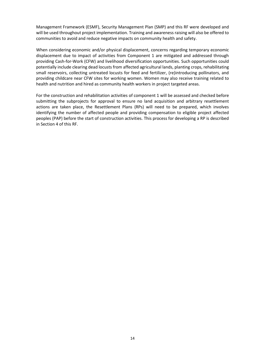Management Framework (ESMF), Security Management Plan (SMP) and this RF were developed and will be used throughout project implementation. Training and awareness raising will also be offered to communities to avoid and reduce negative impacts on community health and safety.

When considering economic and/or physical displacement, concerns regarding temporary economic displacement due to impact of activities from Component 1 are mitigated and addressed through providing Cash-for-Work (CFW) and livelihood diversification opportunities. Such opportunities could potentially include clearing dead locusts from affected agricultural lands, planting crops, rehabilitating small reservoirs, collecting untreated locusts for feed and fertilizer, (re)introducing pollinators, and providing childcare near CFW sites for working women. Women may also receive training related to health and nutrition and hired as community health workers in project targeted areas.

For the construction and rehabilitation activities of component 1 will be assessed and checked before submitting the subprojects for approval to ensure no land acquisition and arbitrary resettlement actions are taken place, the Resettlement Plans (RPs) will need to be prepared, which involves identifying the number of affected people and providing compensation to eligible project affected peoples (PAP) before the start of construction activities. This process for developing a RP is described in Section 4 of this RF.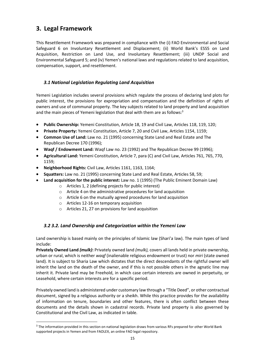# <span id="page-17-0"></span>**3. Legal Framework**

<span id="page-17-1"></span>This Resettlement Framework was prepared in compliance with the (i) FAO Environmental and Social Safeguard 6 on Involuntary Resettlement and Displacement; (ii) World Bank's ESS5 on Land Acquisition, Restriction on Land Use, and Involuntary Resettlement; (iii) UNDP Social and Environmental Safeguard 5; and (iv) Yemen's national laws and regulations related to land acquisition, compensation, support, and resettlement.

# *3.1 National Legislation Regulating Land Acquisition*

Yemeni Legislation includes several provisions which regulate the process of declaring land plots for public interest, the provisions for expropriation and compensation and the definition of rights of owners and use of communal property. The key subjects related to land property and land acquisition and the main pieces of Yemeni legislation that deal with them are as follows: 3

- **Public Ownership:** Yemeni Constitution, Article 18, 19 and Civil Law, Articles 118, 119, 120;
- **Private Property:** Yemeni Constitution, Article 7, 20 and Civil Law, Articles 1154, 1159;
- **Common Use of Land:** Law no. 21 (1995) concerning State Land and Real Estate and The Republican Decree 170 (1996);
- **Waqf / Endowment Land:** Waqf Law no. 23 (1992) and The Republican Decree 99 (1996);
- **Agricultural Land:** Yemeni Constitution, Article 7, para (C) and Civil Law, Articles 761, 765, 770, 1159;
- **Neighborhood Rights:** Civil Law, Articles 1161, 1163, 1164;
- **Squatters:** Law no. 21 (1995) concerning State Land and Real Estate, Articles 58, 59;
- <span id="page-17-2"></span>• **Land acquisition for the public interest:** Law no. 1 (1995) (The Public Eminent Domain Law)
	- o Articles 1, 2 (defining projects for public interest)
	- o Article 4 on the administrative procedures for land acquisition
	- o Article 6 on the mutually agreed procedures for land acquisition
	- o Articles 12-16 on temporary acquisition
	- o Articles 21, 27 on provisions for land acquisition

## *3.2 3.2. Land Ownership and Categorization within the Yemeni Law*

Land ownership is based mainly on the principles of Islamic law (Shari'a law). The main types of land include:

**Privately Owned Land** *(mulk)***:** Privately owned land *(mulk),* covers all lands held in private ownership, urban or rural, which is neither *waqf* (inalienable religious endowment or trust) nor *miri* (state owned land). It is subject to Sharia Law which dictates that the direct descendants of the rightful owner will inherit the land on the death of the owner, and if this is not possible others in the agnatic line may inherit it. Private land may be Freehold, in which case certain interests are owned in perpetuity, or Leasehold, where certain interests are for a specific period.

Privately owned land is administered under customary law through a "Title Deed", or other contractual document, signed by a religious authority or a sheikh. While this practice provides for the availability of information on tenure, boundaries and other features, there is often conflict between these documents and the details shown in cadastral records. Private land property is also governed by Constitutional and the Civil Law, as indicated in table.

<sup>&</sup>lt;sup>3</sup> The information provided in this section on national legislation draws from various RFs prepared for other World Bank supported projects in Yemen and from FAOLEX, an online FAO legal repository.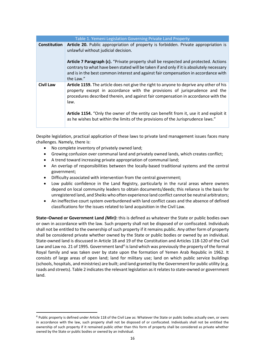| Table 1. Yemeni Legislation Governing Private Land Property |                                                                                                                                                                                                                                                                                              |  |  |  |
|-------------------------------------------------------------|----------------------------------------------------------------------------------------------------------------------------------------------------------------------------------------------------------------------------------------------------------------------------------------------|--|--|--|
| <b>Constitution</b>                                         | Article 20. Public appropriation of property is forbidden. Private appropriation is<br>unlawful without judicial decision.                                                                                                                                                                   |  |  |  |
|                                                             | <b>Article 7 Paragraph (c).</b> "Private property shall be respected and protected. Actions<br>contrary to what have been stated will be taken if and only if it is absolutely necessary<br>and is in the best common interest and against fair compensation in accordance with<br>the Law." |  |  |  |
| <b>Civil Law</b>                                            | Article 1159. The article does not give the right to anyone to deprive any other of his<br>property except in accordance with the provisions of jurisprudence and the<br>procedures described therein, and against fair compensation in accordance with the<br>law.                          |  |  |  |
|                                                             | Article 1154. "Only the owner of the entity can benefit from it, use it and exploit it<br>as he wishes but within the limits of the provisions of the Jurisprudence laws."                                                                                                                   |  |  |  |

Despite legislation, practical application of these laws to private land management issues faces many challenges. Namely, there is:

- No complete inventory of privately owned land;
- Growing confusion over communal land and privately owned lands, which creates conflict;
- A trend toward increasing private appropriation of communal land;
- An overlap of responsibilities between the locally-based traditional systems and the central government;
- Difficulty associated with intervention from the central government;
- Low public confidence in the Land Registry, particularly in the rural areas where owners depend on local community leaders to obtain documents/deeds; this reliance is the basis for unregistered land, and Sheiks who often experience land conflict cannot be neutral arbitrators;
- An ineffective court system overburdened with land conflict cases and the absence of defined classifications for the issues related to land acquisition in the Civil Law.

**State–Owned or Government Land** *(Miri)***:** this is defined as whatever the State or public bodies own or own in accordance with the law. Such property shall not be disposed of or confiscated. Individuals shall not be entitled to the ownership of such property if it remains public. Any other form of property shall be considered private whether owned by the State or public bodies or owned by an individual. State-owned land is discussed in Article 18 and 19 of the Constitution and Articles 118-120 of the Civil Law and Law no. 21 of 1995. Government land<sup>4</sup> is land which was previously the property of the formal Royal family and was taken over by state upon the formation of Yemen Arab Republic in 1962. It consists of large areas of open land; land for military use; land on which public service buildings (schools, hospitals, and ministries) are built; and land granted by the Government for public utility (e.g. roads and streets). Table 2 indicates the relevant legislation as it relates to state-owned or government land.

<sup>4</sup> Public property is defined under Article 118 of the Civil Law as: Whatever the State or public bodies actually own, or owns in accordance with the law, such property shall not be disposed of or confiscated. Individuals shall not be entitled the ownership of such property if it remained public other than this form of property shall be considered as private whether owned by the State or public bodies or owned by an individual.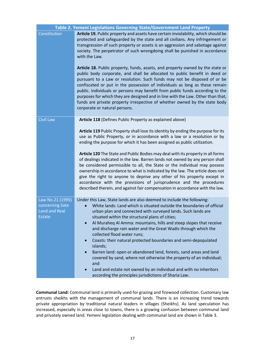| Table 2. Yemeni Legislations Governing State/Government Land Property        |                                                                                                                                                                                                                                                                                                                                                                                                                                                                                                                                                                                                                                                                                                                                                                                                                                                                                                                                                                     |  |  |
|------------------------------------------------------------------------------|---------------------------------------------------------------------------------------------------------------------------------------------------------------------------------------------------------------------------------------------------------------------------------------------------------------------------------------------------------------------------------------------------------------------------------------------------------------------------------------------------------------------------------------------------------------------------------------------------------------------------------------------------------------------------------------------------------------------------------------------------------------------------------------------------------------------------------------------------------------------------------------------------------------------------------------------------------------------|--|--|
| Constitution                                                                 | Article 19. Public property and assets have certain inviolability, which should be<br>protected and safeguarded by the state and all civilians. Any infringement or<br>transgression of such property or assets is an aggression and sabotage against<br>society. The perpetrator of such wrongdoing shall be punished in accordance<br>with the Law.<br>Article 18. Public property, funds, assets, and property owned by the state or<br>public body corporate, and shall be allocated to public benefit in deed or<br>pursuant to a Law or resolution. Such funds may not be disposed of or be<br>confiscated or put in the possession of individuals as long as these remain<br>public. Individuals or persons may benefit from public funds according to the<br>purposes for which they are designed and in line with the Law. Other than that,<br>funds are private property irrespective of whether owned by the state body<br>corporate or natural persons. |  |  |
| <b>Civil Law</b>                                                             | Article 118 (Defines Public Property as explained above)<br>Article 119 Public Property shall lose its identity by ending the purpose for its<br>use as Public Property, or in accordance with a law or a resolution or by<br>ending the purpose for which it has been assigned as public utilization.<br>Article 120 The State and Public Bodies may deal with its property in all forms<br>of dealings indicated in the law. Barren lands not owned by any person shall<br>be considered permissible to all, the State or the individual may possess<br>ownership in accordance to what is indicated by the law. The article does not<br>give the right to anyone to deprive any other of his property except in<br>accordance with the provisions of jurisprudence and the procedures<br>described therein, and against fair compensation in accordance with the law.                                                                                            |  |  |
| Law No.21 (1995)<br>concerning Sate<br><b>Land and Real</b><br><b>Estate</b> | Under this Law, State lands are also deemed to include the following:<br>White lands: Land which is situated outside the boundaries of official<br>urban plan and connected with surveyed lands. Such lands are<br>situated within the structural plans of cities;<br>Al Muraheq Al Amma: mountains, hills and steep slopes that receive<br>and discharge rain water and the Great Wadis through which the<br>collected flood water runs;<br>Coasts: their natural protected boundaries and semi-depopulated<br>$\bullet$<br>islands;<br>Barren land: open or abandoned land, forests, sand areas and land<br>$\bullet$<br>covered by sand, where not otherwise the property of an individual;<br>and<br>Land and estate not owned by an individual and with no inheritors<br>according the principles jurisdictions of Sharia Law.                                                                                                                                 |  |  |

**Communal Land:** Communal land is primarily used for grazing and firewood collection. Customary law entrusts sheikhs with the management of communal lands. There is an increasing trend towards private appropriation by traditional natural leaders in villages (Sheikhs). As land speculation has increased, especially in areas close to towns, there is a growing confusion between communal land and privately owned land. Yemeni legislation dealing with communal land are shown in Table 3.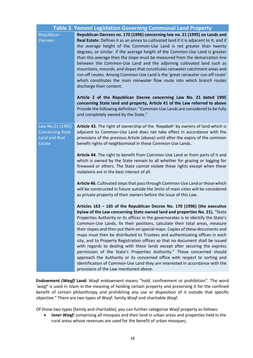| Table 3. Yemeni Legislation Governing Communal Land Property                         |                                                                                                                                                                                                                                                                                                                                                                                                                                                                                                                                                                                                                                                                                                                                                                                                                                                                                                                                                     |  |  |  |
|--------------------------------------------------------------------------------------|-----------------------------------------------------------------------------------------------------------------------------------------------------------------------------------------------------------------------------------------------------------------------------------------------------------------------------------------------------------------------------------------------------------------------------------------------------------------------------------------------------------------------------------------------------------------------------------------------------------------------------------------------------------------------------------------------------------------------------------------------------------------------------------------------------------------------------------------------------------------------------------------------------------------------------------------------------|--|--|--|
| Republican<br><b>Decrees</b>                                                         | Republican Decrees no. 170 (1996) concerning law no. 21 (1995) on Lands and<br>Real Estate: Defines it as an annex to cultivated land if it is adjacent to it, and if<br>the average height of the Common-Use Land is not greater than twenty<br>degrees, or similar. If the average height of the Common-Use Land is greater<br>than this average then the slope must be measured from the demarcation line<br>between the Common-Use Land and the adjoining cultivated land such as<br>mountains, mounds, and slopes that constitutes rainwater catchment areas and<br>run-off routes. Among Common-Use Land is the 'great rainwater run-off route'<br>which constitutes the main rainwater flow route into which branch routes<br>discharge their content.                                                                                                                                                                                       |  |  |  |
|                                                                                      | Article 2 of the Republican Decree concerning Law No. 21 dated 1995<br>concerning State land and property, Article 41 of the Law referred to above<br>Provide the following definition: "Common-Use Lands are considered to be fully<br>and completely owned by the State."                                                                                                                                                                                                                                                                                                                                                                                                                                                                                                                                                                                                                                                                         |  |  |  |
| Law No.21 (1995)<br><b>Concerning State</b><br><b>Land and Real</b><br><b>Estate</b> | Article 43. The right of ownership of the 'Ragabah' by owners of land which is<br>adjacent to Common-Use Land does not take effect in accordance with the<br>provisions of the previous Article (above) until after the expiry of the common<br>benefit rights of neighborhood in these Common-Use Lands.                                                                                                                                                                                                                                                                                                                                                                                                                                                                                                                                                                                                                                           |  |  |  |
|                                                                                      | Article 44. The right to benefit from Common-Use Land or from parts of it and<br>which is owned by the State remain to all whether for grazing or logging for<br>firewood or others. The State cannot violate these rights except when these<br>violations are in the best interest of all.                                                                                                                                                                                                                                                                                                                                                                                                                                                                                                                                                                                                                                                         |  |  |  |
|                                                                                      | Article 46. Cultivated steps that pass through Common-Use Land or those which<br>will be constructed in future outside the limits of main cities will be considered<br>as private property of their owners before the issue of this Law.                                                                                                                                                                                                                                                                                                                                                                                                                                                                                                                                                                                                                                                                                                            |  |  |  |
|                                                                                      | Articles $163 - 165$ of the Republican Decree No. 170 (1996) (the executive<br>bylaw of the Law concerning State owned land and properties No. 21). "State<br>Properties Authority or its offices in the governorates is to identify the State's<br>Common-Use Lands, fix their positions, calculate their total areas, measure<br>their slopes and then put them on special maps. Copies of these documents and<br>maps must then be distributed to Trustees and authenticating offices in each<br>city, and to Property Registration offices so that no document shall be issued<br>with regards to dealing with these lands except after securing the express<br>permission of the State's Properties Authority." Those concerned should<br>approach the Authority or its concerned office with respect to sorting and<br>identification of Common-Use Land they are interested in accordance with the<br>provisions of the Law mentioned above. |  |  |  |

**Endowment** *(Waqf)* **Land:** Waqf endowment means "hold, confinement or prohibition". The word *'waqf'* is used in Islam in the meaning of holding certain property and preserving it for the confined benefit of certain philanthropy and prohibiting any use or disposition of it outside that specific objective." There are two types of Waqf: family Waqf and charitable Waqf.

Of those two types (family and charitable), you can further categorize Waqf property as follows:

• *Inner Waqf:* comprising all mosques and their land in urban areas and properties held in the rural areas whose revenues are used for the benefit of urban mosques;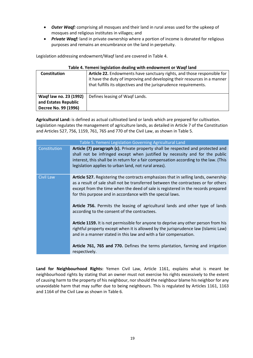- *Outer Waqf:* comprising all mosques and their land in rural areas used for the upkeep of mosques and religious institutes in villages; and
- *Private Waqf:* land in private ownership where a portion of income is donated for religious purposes and remains an encumbrance on the land in perpetuity.

Legislation addressing endowment/Waqf land are covered in Table 4.

| <b>TODIC TO TEMPLE IN RESIDENCE ACQUIRES WHEN CHOOWINGING</b> OF WOOD RING |                                                                                                                                                                                                                         |  |  |
|----------------------------------------------------------------------------|-------------------------------------------------------------------------------------------------------------------------------------------------------------------------------------------------------------------------|--|--|
| <b>Constitution</b>                                                        | Article 22. Endowments have sanctuary rights, and those responsible for<br>it have the duty of improving and developing their resources in a manner<br>that fulfills its objectives and the jurisprudence requirements. |  |  |
| Waqf law no. 23 (1992)<br>and Estates Republic<br>Decree No. 99 (1996)     | Defines leasing of Waqf Lands.                                                                                                                                                                                          |  |  |

#### **Table 4. Yemeni legislation dealing with endowment or Waqf land**

**Agricultural Land:** is defined as actual cultivated land or lands which are prepared for cultivation. Legislation regulates the management of agriculture lands, as detailed in Article 7 of the Constitution and Articles 527, 756, 1159, 761, 765 and 770 of the Civil Law, as shown in Table 5.

| Table 5. Yemeni Legislation Governing Agricultural Land |                                                                                                                                                                                                                                                                                                                           |  |  |
|---------------------------------------------------------|---------------------------------------------------------------------------------------------------------------------------------------------------------------------------------------------------------------------------------------------------------------------------------------------------------------------------|--|--|
| Constitution                                            | Article (7) paragraph (c). Private property shall be respected and protected and<br>shall not be infringed except when justified by necessity and for the public<br>interest, this shall be in return for a fair compensation according to the law. (This<br>legislation applies to urban land, not rural areas).         |  |  |
| <b>Civil Law</b>                                        | Article 527. Registering the contracts emphasizes that in selling lands, ownership<br>as a result of sale shall not be transferred between the contractees or for others<br>except from the time when the deed of sale is registered in the records prepared<br>for this purpose and in accordance with the special laws. |  |  |
|                                                         | Article 756. Permits the leasing of agricultural lands and other type of lands<br>according to the consent of the contractees.                                                                                                                                                                                            |  |  |
|                                                         | Article 1159. It is not permissible for anyone to deprive any other person from his<br>rightful property except when it is allowed by the jurisprudence law (Islamic Law)<br>and in a manner stated in this law and with a fair compensation.                                                                             |  |  |
|                                                         | Article 761, 765 and 770. Defines the terms plantation, farming and irrigation<br>respectively.                                                                                                                                                                                                                           |  |  |

**Land for Neighbourhood Rights:** Yemen Civil Law, Article 1161, explains what is meant be neighbourhood rights by stating that an owner must not exercise his rights excessively to the extent of causing harm to the property of his neighbour, nor should the neighbour blame his neighbor for any unavoidable harm that may suffer due to being neighbours. This is regulated by Articles 1161, 1163 and 1164 of the Civil Law as shown in Table 6.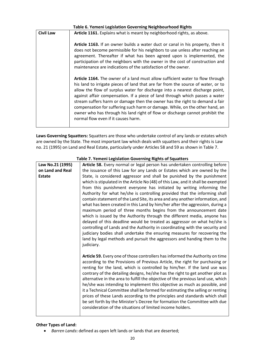| Table 6. Yemeni Legislation Governing Neighbourhood Rights |                                                                                                                                                                                                                                                                                                                                                                                                                                                                                                                                                                                                                           |  |  |
|------------------------------------------------------------|---------------------------------------------------------------------------------------------------------------------------------------------------------------------------------------------------------------------------------------------------------------------------------------------------------------------------------------------------------------------------------------------------------------------------------------------------------------------------------------------------------------------------------------------------------------------------------------------------------------------------|--|--|
| <b>Civil Law</b>                                           | Article 1161. Explains what is meant by neighborhood rights, as above.                                                                                                                                                                                                                                                                                                                                                                                                                                                                                                                                                    |  |  |
|                                                            | Article 1163. If an owner builds a water duct or canal in his property, then it<br>does not become permissible for his neighbors to use unless after reaching an<br>agreement. Thereafter if what has been agreed upon is implemented, the<br>participation of the neighbors with the owner in the cost of construction and<br>maintenance are indications of the satisfaction of the owner.                                                                                                                                                                                                                              |  |  |
|                                                            | Article 1164. The owner of a land must allow sufficient water to flow through<br>his land to irrigate pieces of land that are far from the source of water, or to<br>allow the flow of surplus water for discharge into a nearest discharge point,<br>against affair compensation. If a piece of land through which passes a water<br>stream suffers harm or damage then the owner has the right to demand a fair<br>compensation for suffering such harm or damage. While, on the other hand, an<br>owner who has through his land right of flow or discharge cannot prohibit the<br>normal flow even if it causes harm. |  |  |

**Laws Governing Squatters:** Squatters are those who undertake control of any lands or estates which are owned by the State. The most important law which deals with squatters and their rights is Law no. 21 (1995) on Land and Real Estate, particularly under Articles 58 and 59 as shown in Table 7.

| Law No.21 (1995) | Article 58. Every normal or legal person has undertaken controlling before       |
|------------------|----------------------------------------------------------------------------------|
| on Land and Real | the issuance of this Law for any Lands or Estates which are owned by the         |
| <b>Estate</b>    | State, is considered aggressor and shall be punished by the punishment           |
|                  | which is stipulated in the Article No (48) of this Law, and it shall be exempted |
|                  | from this punishment everyone has initiated by writing informing the             |
|                  | Authority for what he/she is controlling provided that the informing shall       |
|                  | contain statement of the Land Site, its area and any another information, and    |
|                  | what has been created in this Land by him/her after the aggression, during a     |
|                  | maximum period of three months begins from the announcement date                 |
|                  | which is issued by the Authority through the different media, anyone has         |
|                  | delayed of this deadline would be treated as aggressor on what he/she is         |
|                  | controlling of Lands and the Authority in coordinating with the security and     |
|                  | judiciary bodies shall undertake the ensuring measures for recovering the        |
|                  | land by legal methods and pursuit the aggressors and handing them to the         |
|                  | judiciary.                                                                       |
|                  |                                                                                  |
|                  | Article 59. Every one of those controllers has informed the Authority on time    |
|                  | according to the Provisions of Previous Article, the right for purchasing or     |
|                  | renting for the land, which is controlled by him/her. If the land use was        |
|                  | contrary of the detailing designs, he/she has the right to get another plot as   |
|                  | alternative in the area to fulfill the objective of the previous land use, which |
|                  | he/she was intending to implement this objective as much as possible, and        |
|                  |                                                                                  |
|                  | it a Technical Committee shall be formed for estimating the selling or renting   |
|                  | prices of these Lands according to the principles and standards which shall      |
|                  | be set forth by the Minister's Decree for formation the Committee with due       |
|                  | consideration of the situations of limited income holders.                       |
|                  |                                                                                  |

#### **Table 7. Yemeni Legislation Governing Rights of Squatters**

#### **Other Types of Land:**

• *Barren Lands***:** defined as open left lands or lands that are deserted;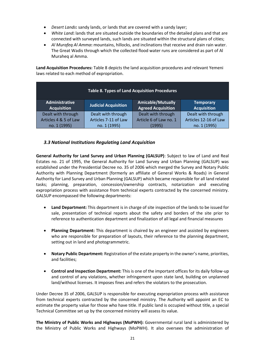- *Desert Lands***:** sandy lands, or lands that are covered with a sandy layer;
- *White Land***:** lands that are situated outside the boundaries of the detailed plans and that are connected with surveyed lands, such lands are situated within the structural plans of cities;
- *Al Murafeq Al Amma***:** mountains, hillocks, and inclinations that receive and drain rain water. The Great Wadis through which the collected flood water runs are considered as part of Al Muraheq al Amma.

**Land Acquisition Procedures:** Table 8 depicts the land acquisition procedures and relevant Yemeni laws related to each method of expropriation.

| <b>Table 8. Types of Land Acquisition Procedures</b> |                             |                                                       |                                        |
|------------------------------------------------------|-----------------------------|-------------------------------------------------------|----------------------------------------|
| <b>Administrative</b><br><b>Acquisition</b>          | <b>Judicial Acquisition</b> | <b>Amicable/Mutually</b><br><b>Agreed Acquisition</b> | <b>Temporary</b><br><b>Acquisition</b> |
| Dealt with through                                   | Dealt with through          | Dealt with through                                    | Dealt with through                     |
| Articles 4 & 5 of Law                                | Articles 7-11 of Law        | Article 6 of Law no. 1                                | Articles 12-16 of Law                  |
| no. 1 (1995)                                         | no. 1 (1995)                | (1995)                                                | no. 1 (1995)                           |

## <span id="page-23-0"></span>*3.3 National Institutions Regulating Land Acquisition*

**General Authority for Land Survey and Urban Planning (GALSUP)**: Subject to law of Land and Real Estates no. 21 of 1995, the General Authority for Land Survey and Urban Planning (GALSUP) was established under the Presidential Decree no. 35 of 2006 which merged the Survey and Notary Public Authority with Planning Department (formerly an affiliate of General Works & Roads) in General Authority for Land Survey and Urban Planning (GALSUP) which became responsible for all land related tasks; planning, preparation, concession/ownership contracts, notarization and executing expropriation process with assistance from technical experts contracted by the concerned ministry. GALSUP encompassed the following departments:

- **Land Department:** This department is in charge of site inspection of the lands to be issued for sale, presentation of technical reports about the safety and borders of the site prior to reference to authentication department and finalization of all legal and financial measures
- **Planning Department:** This department is chaired by an engineer and assisted by engineers who are responsible for preparation of layouts, their reference to the planning department, setting out in land and photogrammetric.
- **Notary Public Department:** Registration of the estate property in the owner's name, priorities, and facilities;
- **Control and Inspection Department:** This is one of the important offices for its daily follow-up and control of any violations, whether infringement upon state land, building on unplanned land/without licenses. It imposes fines and refers the violators to the prosecution.

Under Decree 35 of 2006, GALSUP is responsible for executing expropriation process with assistance from technical experts contracted by the concerned ministry. The Authority will appoint an EC to estimate the property value for those who have title. If public land is occupied without title, a special Technical Committee set up by the concerned ministry will assess its value.

**The Ministry of Public Works and Highways (MoPWH):** Governmental rural land is administered by the Ministry of Public Works and Highways (MoPWH). It also oversees the administration of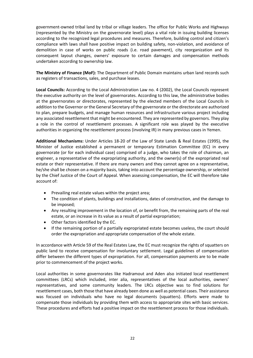government-owned tribal land by tribal or village leaders. The office for Public Works and Highways (represented by the Ministry on the governorate level) plays a vital role in issuing building licenses according to the recognized legal procedures and measures. Therefore, building control and citizen's compliance with laws shall have positive impact on building safety, non-violation, and avoidance of demolition in case of works on public roads (i.e. road pavement), city reorganization and its consequent layout changes, owners' exposure to certain damages and compensation methods undertaken according to ownership law.

**The Ministry of Finance (MoF):** The Department of Public Domain maintains urban land records such as registers of transactions, sales, and purchase leases.

**Local Councils:** According to the Local Administration Law no. 4 (2002), the Local Councils represent the executive authority on the level of governorates. According to this law, the administrative bodies at the governorates or directorates, represented by the elected members of the Local Councils in addition to the Governor or the General Secretary of the governorate or the directorate are authorized to plan, prepare budgets, and manage human resources and infrastructure various project including any associated resettlement that might be encountered. They are represented by governors. They play a role in the control of resettlement processes. A significant role was played by the executive authorities in organizing the resettlement process (involving IR) in many previous cases in Yemen.

**Additional Mechanisms:** Under Articles 18-20 of the Law of State Lands & Real Estates (1995), the Minister of Justice established a permanent or temporary Estimation Committee (EC) in every governorate (or for each individual case) comprised of a judge, who takes the role of chairman, an engineer, a representative of the expropriating authority, and the owner(s) of the expropriated real estate or their representative. If there are many owners and they cannot agree on a representative, he/she shall be chosen on a majority basis, taking into account the percentage ownership, or selected by the Chief Justice of the Court of Appeal. When assessing compensation, the EC will therefore take account of:

- Prevailing real estate values within the project area;
- The condition of plants, buildings and installations, dates of construction, and the damage to be imposed;
- Any resulting improvement in the location of, or benefit from, the remaining parts of the real estate, or an increase in its value as a result of partial expropriation;
- Other factors identified by the EC.
- If the remaining portion of a partially expropriated estate becomes useless, the court should order the expropriation and appropriate compensation of the whole estate.

In accordance with Article 59 of the Real Estates Law, the EC must recognize the rights of squatters on public land to receive compensation for involuntary settlement. Legal guidelines of compensation differ between the different types of expropriation. For all, compensation payments are to be made prior to commencement of the project works.

Local authorities in some governorates like Hadramout and Aden also initiated local resettlement committees (LRCs) which included, inter alia, representatives of the local authorities, owners' representatives, and some community leaders. The LRCs objective was to find solutions for resettlement cases, both those that have already been done as well as potential cases. Their assistance was focused on individuals who have no legal documents (squatters). Efforts were made to compensate those individuals by providing them with access to appropriate sites with basic services. These procedures and efforts had a positive impact on the resettlement process for those individuals.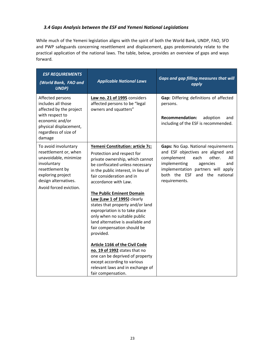# <span id="page-25-0"></span>*3.4 Gaps Analysis between the ESF and Yemeni National Legislations*

While much of the Yemeni legislation aligns with the spirit of both the World Bank, UNDP, FAO, SFD and PWP safeguards concerning resettlement and displacement, gaps predominately relate to the practical application of the national laws. The table, below, provides an overview of gaps and ways forward.

| <b>ESF REQUIREMENTS</b><br>(World Bank, FAO and<br><b>UNDP)</b>                                                                                                                 | <b>Applicable National Laws</b>                                                                                                                                                                                                                                                                                                                                                                                                                                                                                                                                                                                                                                                                 | <b>Gaps and gap filling measures that will</b><br>apply                                                                                                                                                                                        |
|---------------------------------------------------------------------------------------------------------------------------------------------------------------------------------|-------------------------------------------------------------------------------------------------------------------------------------------------------------------------------------------------------------------------------------------------------------------------------------------------------------------------------------------------------------------------------------------------------------------------------------------------------------------------------------------------------------------------------------------------------------------------------------------------------------------------------------------------------------------------------------------------|------------------------------------------------------------------------------------------------------------------------------------------------------------------------------------------------------------------------------------------------|
| Affected persons<br>includes all those<br>affected by the project<br>with respect to<br>economic and/or<br>physical displacement,<br>regardless of size of<br>damage            | Law no. 21 of 1995 considers<br>affected persons to be "legal<br>owners and squatters"                                                                                                                                                                                                                                                                                                                                                                                                                                                                                                                                                                                                          | Gap: Differing definitions of affected<br>persons.<br><b>Recommendation:</b><br>adoption<br>and<br>including of the ESF is recommended.                                                                                                        |
| To avoid involuntary<br>resettlement or, when<br>unavoidable, minimize<br>involuntary<br>resettlement by<br>exploring project<br>design alternatives.<br>Avoid forced eviction. | Yemeni Constitution: article 7c:<br>Protection and respect for<br>private ownership, which cannot<br>be confiscated unless necessary<br>in the public interest, in lieu of<br>fair consideration and in<br>accordance with Law.<br><b>The Public Eminent Domain</b><br>Law (Law 1 of 1995) clearly<br>states that property and/or land<br>expropriation is to take place<br>only when no suitable public<br>land alternative is available and<br>fair compensation should be<br>provided.<br><b>Article 1166 of the Civil Code</b><br>no. 19 of 1992 states that no<br>one can be deprived of property<br>except according to various<br>relevant laws and in exchange of<br>fair compensation. | Gaps: No Gap. National requirements<br>and ESF objectives are aligned and<br>complement<br>each<br>other.<br>All<br>implementing<br>agencies<br>and<br>implementation partners will apply<br>both the ESF<br>and the national<br>requirements. |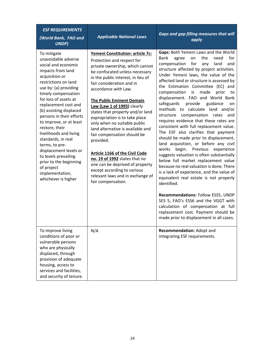| <b>ESF REQUIREMENTS</b><br>(World Bank, FAO and<br><b>UNDP)</b>                                                                                                                                                                                                                                                                                                                                                                                                                                                                     | <b>Applicable National Laws</b>                                                                                                                                                                                                                                                                                                                                                                                                                                                                                                                                                                                                                                                                 | <b>Gaps and gap filling measures that will</b><br>apply                                                                                                                                                                                                                                                                                                                                                                                                                                                                                                                                                                                                                                                                                                                                                                                                                                                                                                                                                                                                                                                                                                                                                          |
|-------------------------------------------------------------------------------------------------------------------------------------------------------------------------------------------------------------------------------------------------------------------------------------------------------------------------------------------------------------------------------------------------------------------------------------------------------------------------------------------------------------------------------------|-------------------------------------------------------------------------------------------------------------------------------------------------------------------------------------------------------------------------------------------------------------------------------------------------------------------------------------------------------------------------------------------------------------------------------------------------------------------------------------------------------------------------------------------------------------------------------------------------------------------------------------------------------------------------------------------------|------------------------------------------------------------------------------------------------------------------------------------------------------------------------------------------------------------------------------------------------------------------------------------------------------------------------------------------------------------------------------------------------------------------------------------------------------------------------------------------------------------------------------------------------------------------------------------------------------------------------------------------------------------------------------------------------------------------------------------------------------------------------------------------------------------------------------------------------------------------------------------------------------------------------------------------------------------------------------------------------------------------------------------------------------------------------------------------------------------------------------------------------------------------------------------------------------------------|
| To mitigate<br>unavoidable adverse<br>social and economic<br>impacts from land<br>acquisition or<br>restrictions on land<br>use by: (a) providing<br>timely compensation<br>for loss of assets at<br>replacement cost and<br>(b) assisting displaced<br>persons in their efforts<br>to improve, or at least<br>restore, their<br>livelihoods and living<br>standards, in real<br>terms, to pre-<br>displacement levels or<br>to levels prevailing<br>prior to the beginning<br>of project<br>implementation,<br>whichever is higher | Yemeni Constitution: article 7c:<br>Protection and respect for<br>private ownership, which cannot<br>be confiscated unless necessary<br>in the public interest, in lieu of<br>fair consideration and in<br>accordance with Law.<br><b>The Public Eminent Domain</b><br>Law (Law 1 of 1995) clearly<br>states that property and/or land<br>expropriation is to take place<br>only when no suitable public<br>land alternative is available and<br>fair compensation should be<br>provided.<br><b>Article 1166 of the Civil Code</b><br>no. 19 of 1992 states that no<br>one can be deprived of property<br>except according to various<br>relevant laws and in exchange of<br>fair compensation. | Gaps: Both Yemeni Laws and the World<br>Bank<br>the<br>for<br>need<br>agree<br>on<br>for<br>compensation<br>land<br>any<br>and<br>structure affected by project activities.<br>Under Yemeni laws, the value of the<br>affected land or structure is assessed by<br>the Estimation Committee (EC) and<br>compensation<br>made<br>is<br>prior<br>to<br>displacement. FAO and World Bank<br>safeguards<br>provide<br>guidance<br>on<br>methods to calculate land and/or<br>compensation rates<br>structure<br>and<br>requires evidence that these rates are<br>consistent with full replacement value.<br>The ESF also clarifies that payment<br>should be made prior to displacement,<br>land acquisition, or before any civil<br>works<br>begin. Previous experience<br>suggests valuation is often substantially<br>below full market replacement value<br>because no real valuation is done. There<br>is a lack of experience, and the value of<br>equivalent real estate is not properly<br>identified.<br>Recommendations: Follow ESS5, UNDP<br>SES 5, FAO's ESS6 and the VGGT with<br>calculation of compensation at full<br>replacement cost. Payment should be<br>made prior to displacement in all cases. |
| To improve living<br>conditions of poor or<br>vulnerable persons<br>who are physically<br>displaced, through<br>provision of adequate<br>housing, access to<br>services and facilities,<br>and security of tenure.                                                                                                                                                                                                                                                                                                                  | N/A                                                                                                                                                                                                                                                                                                                                                                                                                                                                                                                                                                                                                                                                                             | Recommendation: Adopt and<br>integrating ESF requirements.                                                                                                                                                                                                                                                                                                                                                                                                                                                                                                                                                                                                                                                                                                                                                                                                                                                                                                                                                                                                                                                                                                                                                       |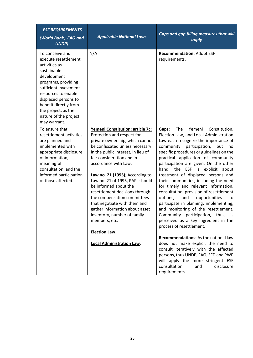| <b>ESF REQUIREMENTS</b><br>(World Bank, FAO and<br><b>UNDP)</b>                                                                                                                                                                                                                | <b>Applicable National Laws</b>                                                                                                                                                                                                                                                | <b>Gaps and gap filling measures that will</b><br>apply                                                                                                                                                                                                                                                                                                                                            |
|--------------------------------------------------------------------------------------------------------------------------------------------------------------------------------------------------------------------------------------------------------------------------------|--------------------------------------------------------------------------------------------------------------------------------------------------------------------------------------------------------------------------------------------------------------------------------|----------------------------------------------------------------------------------------------------------------------------------------------------------------------------------------------------------------------------------------------------------------------------------------------------------------------------------------------------------------------------------------------------|
| To conceive and<br>execute resettlement<br>activities as<br>sustainable<br>development<br>programs, providing<br>sufficient investment<br>resources to enable<br>displaced persons to<br>benefit directly from<br>the project, as the<br>nature of the project<br>may warrant. | N/A                                                                                                                                                                                                                                                                            | <b>Recommendation: Adopt ESF</b><br>requirements.                                                                                                                                                                                                                                                                                                                                                  |
| To ensure that<br>resettlement activities<br>are planned and<br>implemented with<br>appropriate disclosure<br>of information,<br>meaningful<br>consultation, and the<br>informed participation<br>of those affected.                                                           | Yemeni Constitution: article 7c:<br>Protection and respect for<br>private ownership, which cannot<br>be confiscated unless necessary<br>in the public interest, in lieu of<br>fair consideration and in<br>accordance with Law.                                                | The<br>Yemeni<br>Constitution,<br>Gaps:<br>Election Law, and Local Administration<br>Law each recognize the importance of<br>participation,<br>community<br>but<br>no<br>specific procedures or guidelines on the<br>practical application of community<br>participation are given. On the other<br>hand, the ESF is explicit<br>about                                                             |
|                                                                                                                                                                                                                                                                                | Law no. 21 (1995); According to<br>Law no. 21 of 1995, PAPs should<br>be informed about the<br>resettlement decisions through<br>the compensation committees<br>that negotiate with them and<br>gather information about asset<br>inventory, number of family<br>members, etc. | treatment of displaced persons and<br>their communities, including the need<br>for timely and relevant information,<br>consultation, provision of resettlement<br>and<br>opportunities<br>options,<br>to<br>participate in planning, implementing,<br>and monitoring of the resettlement.<br>Community participation, thus, is<br>perceived as a key ingredient in the<br>process of resettlement. |
|                                                                                                                                                                                                                                                                                | <b>Election Law.</b>                                                                                                                                                                                                                                                           | <b>Recommendations:</b> As the national law                                                                                                                                                                                                                                                                                                                                                        |
|                                                                                                                                                                                                                                                                                | <b>Local Administration Law.</b>                                                                                                                                                                                                                                               | does not make explicit the need to<br>consult iteratively with the affected<br>persons, thus UNDP, FAO, SFD and PWP<br>will apply the more stringent ESF<br>consultation<br>and<br>disclosure<br>requirements.                                                                                                                                                                                     |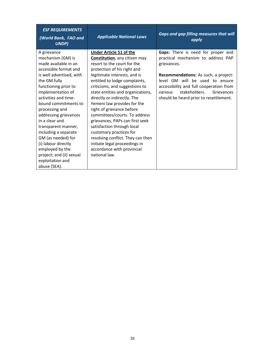| <b>ESF REQUIREMENTS</b><br>(World Bank, FAO and<br><b>UNDP)</b> | <b>Applicable National Laws</b>       | <b>Gaps and gap filling measures that will</b><br>apply |
|-----------------------------------------------------------------|---------------------------------------|---------------------------------------------------------|
| A grievance                                                     | <b>Under Article 51 of the</b>        | Gaps: There is need for proper and                      |
| mechanism (GM) is                                               | <b>Constitution</b> , any citizen may | practical mechanism to address PAP                      |
| made available in an                                            | resort to the court for the           | grievances.                                             |
| accessible format and                                           | protection of his right and           |                                                         |
| is well advertised, with                                        | legitimate interests, and is          | Recommendations: As such, a project-                    |
| the GM fully                                                    | entitled to lodge complaints,         | level GM will be used to ensure                         |
| functioning prior to                                            | criticisms, and suggestions to        | accessibility and full cooperation from                 |
| implementation of                                               | state entities and organizations,     | stakeholders.<br>various<br>Grievances                  |
| activities and time-                                            | directly or indirectly. The           | should be heard prior to resettlement.                  |
| bound commitments to                                            | Yemeni law provides for the           |                                                         |
| processing and                                                  | right of grievance before             |                                                         |
| addressing grievances                                           | committees/courts. To address         |                                                         |
| in a clear and                                                  | grievances, PAPs can first seek       |                                                         |
| transparent manner,                                             | satisfaction through local            |                                                         |
| including a separate                                            | customary practices for               |                                                         |
| GM (as needed) for                                              | resolving conflict. They can then     |                                                         |
| (i) labour directly                                             | initiate legal proceedings in         |                                                         |
| employed by the                                                 | accordance with provincial            |                                                         |
| project; and (ii) sexual                                        | national law.                         |                                                         |
| exploitation and                                                |                                       |                                                         |
| abuse (SEA).                                                    |                                       |                                                         |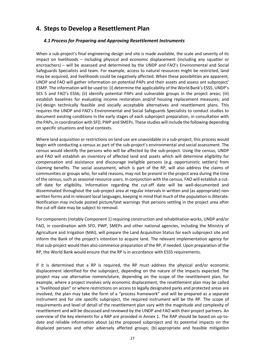# <span id="page-29-1"></span><span id="page-29-0"></span>**4. Steps to Develop a Resettlement Plan**

### *4.1 Process for Preparing and Approving Resettlement Instruments*

When a sub-project's final engineering design and site is made available, the scale and severity of its impact on livelihoods – including physical and economic displacement (including any squatter or encroachers) – will be assessed and determined by the UNDP and FAO's Environmental and Social Safeguards Specialists and team. For example, access to natural resources might be restricted, land may be acquired, and livelihoods could be negatively affected. When these possibilities are apparent, UNDP and FAO will gather information on potential PAPs and their assets and assess ant subproject' ESMP. The information will be used to: (i) determine the applicability of the World Bank's ESS5, UNDP's SES 5 and FAO's ESS6; (ii) identify potential PAPs and vulnerable groups in the project areas; (iii) establish baselines for evaluating income restoration and/of housing replacement measures; and (iv) design technically feasible and socially acceptable alternatives and resettlement plans. This requires the UNDP and FAO's Environmental and Social Safeguards Specialists to conduct studies to document existing conditions in the early stages of each subproject preparation, in consultation with the PAPs, in coordination with SFD, PWP and SMEPs. These studies will include the following depending on specific situations and local contexts.

Where land acquisition or restrictions on land use are unavoidable in a sub-project, this process would begin with conducting a census as part of the sub-project's environmental and social assessment. The census would identify the persons who will be affected by the sub-project. Using the census, UNDP and FAO will establish an inventory of affected land and assets which will determine eligibility for compensation and assistance and discourage ineligible persons (e.g. opportunistic settlers) from claiming benefits. The social assessment, which is part of the RP, will also address the claims of communities or groups who, for valid reasons, may not be present in the project area during the time of the census, such as seasonal resource users. In conjunction with the census, FAO will establish a cutoff date for eligibility. Information regarding the cut-off date will be well-documented and disseminated throughout the sub-project area at regular intervals in written and (as appropriate) non written forms and in relevant local languages, keeping in mind that much of the population is illiterate. Notification may include posted picture/text warnings that persons settling in the project area after the cut-off date may be subject to removal.

For components (notably Component 1) requiring construction and rehabilitation works, UNDP and/or FAO, in coordination with SFD, PWP, SMEPs and other national agencies, including the Ministry of Agriculture and Irrigation (MAI), will prepare the Land Acquisition Status for each subproject site and inform the Bank of the project's intention to acquire land. The relevant implementation agency for that sub-project would then also commence preparation of the RP, if needed. Upon preparation of the RP, the World Bank would ensure that the RP is in accordance with ESS5 requirements.

If it is determined that a RP is required, the RP must address the physical and/or economic displacement identified for the subproject, depending on the nature of the impacts expected. The project may use alternative nomenclature, depending on the scope of the resettlement plan; for example, where a project involves only economic displacement, the resettlement plan may be called a "livelihood plan" or where restrictions on access to legally designated parks and protected areas are involved, the plan may take the form of a "process framework" and will be prepared as a separate instrument and for site specific subproject, the required instrument will be the RP. The scope of requirements and level of detail of the resettlement plan vary with the magnitude and complexity of resettlement and will be discussed and reviewed by the UNDP and FAO with their project partners. An overview of the key elements for a RAP are provided in Annex 1. The RAP should be based on up-todate and reliable information about (a) the proposed subproject and its potential impacts on the displaced persons and other adversely affected groups; (b) appropriate and feasible mitigation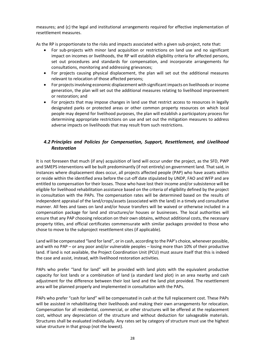measures; and (c) the legal and institutional arrangements required for effective implementation of resettlement measures.

As the RP is proportionate to the risks and impacts associated with a given sub-project, note that:

- For sub-projects with minor land acquisition or restrictions on land use and no significant impact on incomes or livelihoods, the RP will establish eligibility criteria for affected persons, set out procedures and standards for compensation, and incorporate arrangements for consultations, monitoring and addressing grievances;
- For projects causing physical displacement, the plan will set out the additional measures relevant to relocation of those affected persons;
- For projects involving economic displacement with significant impacts on livelihoods or income generation, the plan will set out the additional measures relating to livelihood improvement or restoration; and
- <span id="page-30-0"></span>• For projects that may impose changes in land use that restrict access to resources in legally designated parks or protected areas or other common property resources on which local people may depend for livelihood purposes, the plan will establish a participatory process for determining appropriate restrictions on use and set out the mitigation measures to address adverse impacts on livelihoods that may result from such restrictions.

# *4.2 Principles and Policies for Compensation, Support, Resettlement, and Livelihood Restoration*

It is not foreseen that much (if any) acquisition of land will occur under the project, as the SFD, PWP and SMEPS interventions will be built predominantly (if not entirely) on government land. That said, in instances where displacement does occur, all projects affected people (PAP) who have assets within or reside within the identified area before the cut-off date stipulated by UNDP, FAO and WFP and are entitled to compensation for their losses. Those who have lost their income and/or subsistence will be eligible for livelihood rehabilitation assistance based on the criteria of eligibility defined by the project in consultation with the PAPs. The compensation rates will be determined based on the results of independent appraisal of the land/crops/assets (associated with the land) in a timely and consultative manner. All fees and taxes on land and/or house transfers will be waived or otherwise included in a compensation package for land and structures/or houses or businesses. The local authorities will ensure that any PAP choosing relocation on their own obtains, without additional costs, the necessary property titles, and official certificates commensurate with similar packages provided to those who chose to move to the subproject resettlement sites (if applicable).

Land will be compensated "land for land", or in cash, according to the PAP's choice, whenever possible, and with no PAP – or any poor and/or vulnerable peoples – losing more than 10% of their productive land. If land is not available, the Project Coordination Unit (PCU) must assure itself that this is indeed the case and assist, instead, with livelihood restoration activities.

PAPs who prefer "land for land" will be provided with land plots with the equivalent productive capacity for lost lands or a combination of land (a standard land plot) in an area nearby and cash adjustment for the difference between their lost land and the land plot provided. The resettlement area will be planned properly and implemented in consultation with the PAPs.

PAPs who prefer "cash for land" will be compensated in cash at the full replacement cost. These PAPs will be assisted in rehabilitating their livelihoods and making their own arrangements for relocation. Compensation for all residential, commercial, or other structures will be offered at the replacement cost, without any depreciation of the structure and without deduction for salvageable materials. Structures shall be evaluated individually. Any rates set by category of structure must use the highest value structure in that group (not the lowest).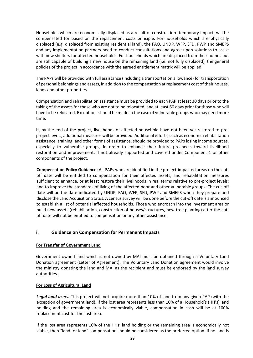Households which are economically displaced as a result of construction (temporary impact) will be compensated for based on the replacement costs principle. For households which are physically displaced (e.g. displaced from existing residential land), the FAO, UNDP, WFP, SFD, PWP and SMEPS and any implementation partners need to conduct consultations and agree upon solutions to assist with new shelters for affected households. For households which are displaced from their homes but are still capable of building a new house on the remaining land (i.e. not fully displaced), the general policies of the project in accordance with the agreed entitlement matrix will be applied.

The PAPs will be provided with full assistance (including a transportation allowance) for transportation of personal belongings and assets, in addition to the compensation at replacement cost of their houses, lands and other properties.

Compensation and rehabilitation assistance must be provided to each PAP at least 30 days prior to the taking of the assets for those who are not to be relocated, and at least 60 days prior for those who will have to be relocated. Exceptions should be made in the case of vulnerable groups who may need more time.

If, by the end of the project, livelihoods of affected household have not been yet restored to preproject levels, additional measures will be provided. Additional efforts, such as economic rehabilitation assistance, training, and other forms of assistance, should be provided to PAPs losing income sources, especially to vulnerable groups, in order to enhance their future prospects toward livelihood restoration and improvement, if not already supported and covered under Component 1 or other components of the project.

**Compensation Policy Guidance:** All PAPs who are identified in the project-impacted areas on the cutoff date will be entitled to compensation for their affected assets, and rehabilitation measures sufficient to enhance, or at least restore their livelihoods in real terms relative to pre-project levels; and to improve the standards of living of the affected poor and other vulnerable groups. The cut-off date will be the date indicated by UNDP, FAO, WFP, SFD, PWP and SMEPS when they prepare and disclose the Land Acquisition Status. A census survey will be done before the cut-off date is announced to establish a list of potential affected households. Those who encroach into the investment area or build new assets (rehabilitation, construction of houses/structures, new tree planting) after the cutoff date will not be entitled to compensation or any other assistance.

#### <span id="page-31-0"></span>**i. Guidance on Compensation for Permanent Impacts**

#### **For Transfer of Government Land**

Government owned land which is not owned by MAI must be obtained through a Voluntary Land Donation agreement (Letter of Agreement). The Voluntary Land Donation agreement would involve the ministry donating the land and MAI as the recipient and must be endorsed by the land survey authorities.

#### **For Loss of Agricultural Land**

*Legal land users:* This project will not acquire more than 10% of land from any given PAP (with the exception of government land). If the lost area represents less than 10% of a Household's (HH's) land holding and the remaining area is economically viable, compensation in cash will be at 100% replacement cost for the lost area.

If the lost area represents 10% of the HHs' land holding or the remaining area is economically not viable, then "land for land" compensation should be considered as the preferred option. If no land is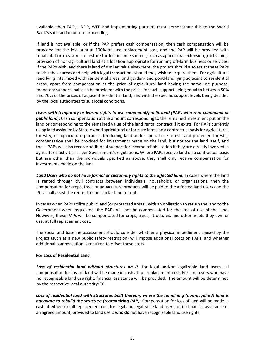available, then FAO, UNDP, WFP and implementing partners must demonstrate this to the World Bank's satisfaction before proceeding.

If land is not available, or if the PAP prefers cash compensation, then cash compensation will be provided for the lost area at 100% of land replacement cost, and the PAP will be provided with rehabilitation measures to restore the lost income sources, such as agricultural extension, job training, provision of non-agricultural land at a location appropriate for running off-farm business or services. If the PAPs wish, and there is land of similar value elsewhere, the project should also assist these PAPs to visit these areas and help with legal transactions should they wish to acquire them. For agricultural land lying intermixed with residential areas, and garden- and pond-land lying adjacent to residential areas, apart from compensation at the price of agricultural land having the same use purpose, monetary support shall also be provided; with the prices for such support being equal to between 50% and 70% of the prices of adjacent residential land; and with the specific support levels being decided by the local authorities to suit local conditions.

*Users with temporary or leased rights to use communal/public land (PAPs who rent communal or public land*): Cash compensation at the amount corresponding to the remained investment put on the land or corresponding to the remained value of the land rental contract if it exists. For PAPs currently using land assigned by State-owned agricultural or forestry farms on a contractual basis for agricultural, forestry, or aquaculture purposes (excluding land under special use forests and protected forests), compensation shall be provided for investments made on the land, but not for the land itself, and these PAPs will also receive additional support for income rehabilitation if they are directly involved in agricultural activities as per Government's regulations. Where PAPs receive land on a contractual basis but are other than the individuals specified as above, they shall only receive compensation for investments made on the land.

Land Users who do not have formal or customary rights to the affected land: In cases where the land is rented through civil contracts between individuals, households, or organizations, then the compensation for crops, trees or aquaculture products will be paid to the affected land users and the PCU shall assist the renter to find similar land to rent.

In cases when PAPs utilize public land (or protected areas), with an obligation to return the land to the Government when requested, the PAPs will not be compensated for the loss of use of the land. However, these PAPs will be compensated for crops, trees, structures, and other assets they own or use, at full replacement cost.

The social and baseline assessment should consider whether a physical impediment caused by the Project (such as a new public safety restriction) will impose additional costs on PAPs, and whether additional compensation is required to offset these costs.

#### **For Loss of Residential Land**

Loss of residential land without structures on it: for legal and/or legalizable land users, all compensation for loss of land will be made in cash at full replacement cost. For land users who have no recognizable land use right, financial assistance will be provided. The amount will be determined by the respective local authority/EC.

*Loss of residential land with structures built thereon, where the remaining (non-acquired) land is adequate to rebuild the structure (reorganizing PAP)*: Compensation for loss of land will be made in cash at either: (i) full replacement cost for legal and legalizable land users; or (ii) financial assistance of an agreed amount, provided to land users **who do** not have recognizable land use rights.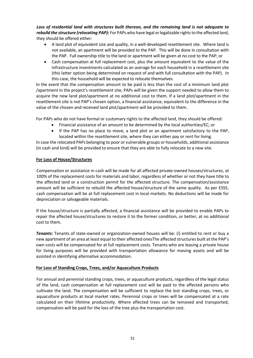*Loss of residential land with structures built thereon, and the remaining land is not adequate to rebuild the structure (relocating PAP):* For PAPs who have legal or legalizable rights to the affected land, they should be offered either:

- A land plot of equivalent size and quality, in a well-developed resettlement site. Where land is not available, an apartment will be provided to the PAP. This will be done in consultation with the PAP. Full ownership title to the land or apartment will be given at no cost to the PAP; or
- Cash compensation at full replacement cost, plus the amount equivalent to the value of the infrastructure investments calculated as an average for each household in a resettlement site (this latter option being determined on request of and with full consultation with the PAP). In this case, the household will be expected to relocate themselves.

In the event that the compensation amount to be paid is less than the cost of a minimum land plot /apartment in the project's resettlement site, PAPs will be given the support needed to allow them to acquire the new land plot/apartment at no additional cost to them. If a land plot/apartment in the resettlement site is not PAP's chosen option, a financial assistance, equivalent to the difference in the value of the chosen and received land plot/apartment will be provided to them.

For PAPs who do not have formal or customary rights to the affected land, they should be offered:

- Financial assistance of an amount to be determined by the local authorities/EC; or
- If the PAP has no place to move, a land plot or an apartment satisfactory to the PAP, located within the resettlement site, where they can either pay or rent for living.

In case the relocated PAPs belonging to poor or vulnerable groups or households, additional assistance (in cash and kind) will be provided to ensure that they are able to fully relocate to a new site.

#### **For Loss of House/Structures**

Compensation or assistance in cash will be made for all affected private-owned houses/structures, at 100% of the replacement costs for materials and labor, regardless of whether or not they have title to the affected land or a construction permit for the affected structure. The compensation/assistance amount will be sufficient to rebuild the affected house/structure of the same quality. As per ESS5, cash compensation will be at full replacement cost in local markets. No deductions will be made for depreciation or salvageable materials.

If the house/structure is partially affected, a financial assistance will be provided to enable PAPs to repair the affected house/structures to restore it to the former condition, or better, at no additional cost to them.

*Tenants:* Tenants of state-owned or organization-owned houses will be: (i) entitled to rent or buy a new apartment of an area at least equal to their affected onesThe affected structures built at the PAP's own costs will be compensated for at full replacement costs. Tenants who are leasing a private house for living purposes will be provided with transportation allowance for moving assets and will be assisted in identifying alternative accommodation.

#### **For Loss of Standing Crops, Trees, and/or Aquaculture Products**

For annual and perennial standing crops, trees, or aquaculture products, regardless of the legal status of the land, cash compensation at full replacement cost will be paid to the affected persons who cultivate the land. The compensation will be sufficient to replace the lost standing crops, trees, or aquaculture products at local market rates. Perennial crops or trees will be compensated at a rate calculated on their lifetime productivity. Where affected trees can be removed and transported, compensation will be paid for the loss of the tree plus the transportation cost.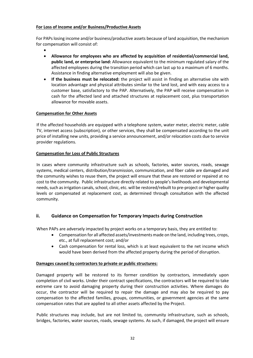#### **For Loss of Income and/or Business/Productive Assets**

For PAPs losing income and/or business/productive assets because of land acquisition, the mechanism for compensation will consist of:

- •
- **Allowance for employees who are affected by acquisition of residential/commercial land, public land, or enterprise land:** Allowance equivalent to the minimum regulated salary of the affected employees during the transition period which can last up to a maximum of 6 months. Assistance in finding alternative employment will also be given.
- **If the business must be relocated:** the project will assist in finding an alternative site with location advantage and physical attributes similar to the land lost, and with easy access to a customer base, satisfactory to the PAP. Alternatively, the PAP will receive compensation in cash for the affected land and attached structures at replacement cost, plus transportation allowance for movable assets.

#### **Compensation for Other Assets**

If the affected households are equipped with a telephone system, water meter, electric meter, cable TV, internet access (subscription), or other services, they shall be compensated according to the unit price of installing new units, providing a service announcement, and/or relocation costs due to service provider regulations.

#### **Compensation for Loss of Public Structures**

<span id="page-34-0"></span>In cases where community infrastructure such as schools, factories, water sources, roads, sewage systems, medical centers, distribution/transmission, communication, and fiber cable are damaged and the community wishes to reuse them, the project will ensure that these are restored or repaired at no cost to the community. Public infrastructure directly related to people's livelihoods and developmental needs, such as irrigation canals, school, clinic, etc. will be restored/rebuilt to pre-project or higher quality levels or compensated at replacement cost, as determined through consultation with the affected community.

#### **ii. Guidance on Compensation for Temporary Impacts during Construction**

When PAPs are adversely impacted by project works on a temporary basis, they are entitled to:

- Compensation for all affected assets/investments made on the land, including trees, crops, etc., at full replacement cost; and/or
- Cash compensation for rental loss, which is at least equivalent to the net income which would have been derived from the affected property during the period of disruption.

#### **Damages caused by contractors to private or public structures:**

Damaged property will be restored to its former condition by contractors, immediately upon completion of civil works. Under their contract specifications, the contractors will be required to take extreme care to avoid damaging property during their construction activities. Where damages do occur, the contractor will be required to repair the damage and may also be required to pay compensation to the affected families, groups, communities, or government agencies at the same compensation rates that are applied to all other assets affected by the Project.

Public structures may include, but are not limited to, community infrastructure, such as schools, bridges, factories, water sources, roads, sewage systems. As such, if damaged, the project will ensure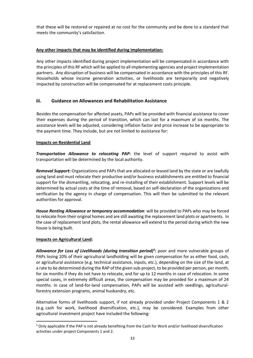that these will be restored or repaired at no cost for the community and be done to a standard that meets the community's satisfaction.

#### **Any other impacts that may be identified during implementation:**

<span id="page-35-0"></span>Any other impacts identified during project implementation will be compensated in accordance with the principles of this RF which will be applied to all implementing agencies and project implementation partners. Any disruption of business will be compensated in accordance with the principles of this RF. Households whose income generation activities, or livelihoods are temporarily and negatively impacted by construction will be compensated for at replacement costs principle.

### **iii. Guidance on Allowances and Rehabilitation Assistance**

Besides the compensation for affected assets, PAPs will be provided with financial assistance to cover their expenses during the period of transition, which can last for a maximum of six months. The assistance levels will be adjusted, considering inflation factor and price increase to be appropriate to the payment time. They include, but are not limited to assistance for:

#### **Impacts on Residential Land**

*Transportation Allowance to relocating PAP:* the level of support required to assist with transportation will be determined by the local authority.

*Removal Support:* Organizations and PAPs that are allocated or leased land by the state or are lawfully using land and must relocate their productive and/or business establishments are entitled to financial support for the dismantling, relocating, and re-installing of their establishment. Support levels will be determined by actual costs at the time of removal, based on self-declaration of the organizations and verification by the agency in charge of compensation. This will then be submitted to the relevant authorities for approval.

*House Renting Allowance or temporary accommodation*: will be provided to PAPs who may be forced to relocate from their original homes and are still awaiting the replacement land plots or apartments. In the case of replacement land plots, the rental allowance will extend to the period during which the new house is being built.

#### **Impacts on Agricultural Land:**

*Allowance for Loss of Livelihoods (during transition period)<sup>5</sup> :* poor and more vulnerable groups of PAPs losing 10% of their agricultural landholding will be given compensation for as either food, cash, or agricultural assistance (e.g. technical assistance, inputs, etc.), depending on the size of the land, at a rate to be determined during the RAP of the given sub-project, to be provided per person, per month, for six months if they do not have to relocate, and for up to 12 months in case of relocation. In some special cases, in extremely difficult areas, the compensation may be provided for a maximum of 24 months. In case of land-for-land compensation, PAPs will be assisted with seedlings, agriculturalforestry extension programs, animal husbandry, etc.

Alternative forms of livelihoods support, if not already provided under Project Components 1 & 2 (e.g. cash for work, livelihood diversification, etc.), may be considered. Examples from other agricultural investment project have included the following:

<sup>5</sup> Only applicable if the PAP is not already benefiting from the Cash for Work and/or livelihood diversification activities under project Components 1 and 2.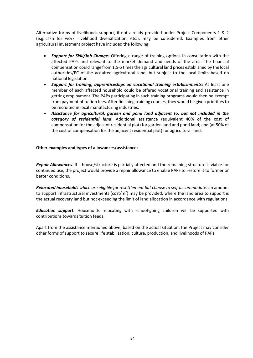Alternative forms of livelihoods support, if not already provided under Project Components 1 & 2 (e.g. cash for work, livelihood diversification, etc.), may be considered. Examples from other agricultural investment project have included the following:

- *Support for Skill/Job Change:* Offering a range of training options in consultation with the affected PAPs and relevant to the market demand and needs of the area. The financial compensation could range from 1.5-5 times the agricultural land prices established by the local authorities/EC of the acquired agricultural land, but subject to the local limits based on national legislation.
- *Support for training, apprenticeships on vocational training establishments:* At least one member of each affected household could be offered vocational training and assistance in getting employment. The PAPs participating in such training programs would then be exempt from payment of tuition fees. After finishing training courses, they would be given priorities to be recruited in local manufacturing industries.
- *Assistance for agricultural, garden and pond land adjacent to, but not included in the category of residential land*: Additional assistance (equivalent 40% of the cost of compensation for the adjacent residential plot) for garden land and pond land; and (at 50% of the cost of compensation for the adjacent residential plot) for agricultural land.

#### **Other examples and types of allowances/assistance:**

*Repair Allowances:* If a house/structure is partially affected and the remaining structure is viable for continued use, the project would provide a repair allowance to enable PAPs to restore it to former or better conditions.

*Relocated households which are eligible for resettlement but choose to self-accommodate:* an amount to support infrastructural investments (cost/m<sup>2</sup>) may be provided, where the land area to support is the actual recovery land but not exceeding the limit of land allocation in accordance with regulations.

*Education support:* Households relocating with school-going children will be supported with contributions towards tuition feeds.

Apart from the assistance mentioned above, based on the actual situation, the Project may consider other forms of support to secure life stabilization, culture, production, and livelihoods of PAPs.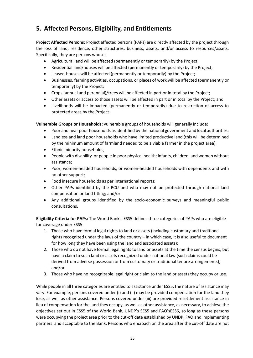# **5. Affected Persons, Eligibility, and Entitlements**

**Project Affected Persons:** Project affected persons (PAPs) are directly affected by the project through the loss of land, residence, other structures, business, assets, and/or access to resources/assets. Specifically, they are persons whose:

- Agricultural land will be affected (permanently or temporarily) by the Project;
- Residential land/houses will be affected (permanently or temporarily) by the Project;
- Leased-houses will be affected (permanently or temporarily) by the Project;
- Businesses, farming activities, occupations. or places of work will be affected (permanently or temporarily) by the Project;
- Crops (annual and perennial)/trees will be affected in part or in total by the Project;
- Other assets or access to those assets will be affected in part or in total by the Project; and
- Livelihoods will be impacted (permanently or temporarily) due to restriction of access to protected areas by the Project.

**Vulnerable Groups or Households:** vulnerable groups of households will generally include:

- Poor and near poor households as identified by the national government and local authorities;
- Landless and land poor households who have limited productive land (this will be determined by the minimum amount of farmland needed to be a viable farmer in the project area);
- Ethnic minority households;
- People with disability or people in poor physical health; infants, children, and women without assistance;
- Poor, women-headed households, or women-headed households with dependents and with no other support;
- Food insecure households as per international reports;
- Other PAPs identified by the PCU and who may not be protected through national land compensation or land titling; and/or
- Any additional groups identified by the socio-economic surveys and meaningful public consultations.

**Eligibility Criteria for PAPs:** The World Bank's ESS5 defines three categories of PAPs who are eligible for coverage under ESS5:

- 1. Those who have formal legal rights to land or assets (including customary and traditional rights recognized under the laws of the country – in which case, it is also useful to document for how long they have been using the land and associated assets);
- 2. Those who do not have formal legal rights to land or assets at the time the census begins, but have a claim to such land or assets recognized under national law (such claims could be derived from adverse possession or from customary or traditional tenure arrangements); and/or
- 3. Those who have no recognizable legal right or claim to the land or assets they occupy or use.

While people in all three categories are entitled to assistance under ESS5, the nature of assistance may vary. For example, persons covered under (i) and (ii) may be provided compensation for the land they lose, as well as other assistance. Persons covered under (iii) are provided resettlement assistance in lieu of compensation for the land they occupy, as well as other assistance, as necessary, to achieve the objectives set out in ESS5 of the World Bank, UNDP's SES5 and FAO'sESS6, so long as these persons were occupying the project area prior to the cut-off date established by UNDP, FAO and implementing partners and acceptable to the Bank. Persons who encroach on the area after the cut-off date are not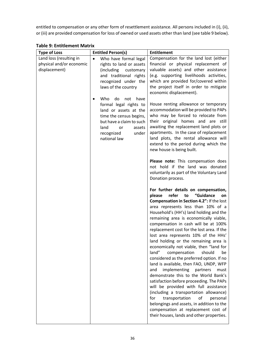entitled to compensation or any other form of resettlement assistance. All persons included in (i), (ii), or (iii) are provided compensation for loss of owned or used assets other than land (see table 9 below).

| <b>Type of Loss</b>                                                  | <b>Entitled Person(s)</b>                                                                                                                                                                                   | <b>Entitlement</b>                                                                                                                                                                                                                                                                                                                                                                                                                                                                                                                                                                                                                                                                                                                                                                                                                                                                                                                                                                                              |
|----------------------------------------------------------------------|-------------------------------------------------------------------------------------------------------------------------------------------------------------------------------------------------------------|-----------------------------------------------------------------------------------------------------------------------------------------------------------------------------------------------------------------------------------------------------------------------------------------------------------------------------------------------------------------------------------------------------------------------------------------------------------------------------------------------------------------------------------------------------------------------------------------------------------------------------------------------------------------------------------------------------------------------------------------------------------------------------------------------------------------------------------------------------------------------------------------------------------------------------------------------------------------------------------------------------------------|
| Land loss (resulting in<br>physical and/or economic<br>displacement) | Who have formal legal<br>$\bullet$<br>rights to land or assets<br>(including<br>customary<br>and traditional rights<br>recognized under the<br>laws of the country<br>Who<br>do<br>have<br>not<br>$\bullet$ | Compensation for the land lost (either<br>financial or physical replacement of<br>valuable assets) and other assistance<br>(e.g. supporting livelihoods activities,<br>which are provided for/covered within<br>the project itself in order to mitigate<br>economic displacement).                                                                                                                                                                                                                                                                                                                                                                                                                                                                                                                                                                                                                                                                                                                              |
|                                                                      | formal legal rights to<br>land or assets at the<br>time the census begins,<br>but have a claim to such<br>land<br>assets<br>or<br>recognized<br>under<br>national law                                       | House renting allowance or temporary<br>accommodation will be provided to PAPs<br>who may be forced to relocate from<br>their original homes and are still<br>awaiting the replacement land plots or<br>apartments. In the case of replacement<br>land plots, the rental allowance will<br>extend to the period during which the<br>new house is being built.                                                                                                                                                                                                                                                                                                                                                                                                                                                                                                                                                                                                                                                   |
|                                                                      |                                                                                                                                                                                                             | Please note: This compensation does<br>not hold if the land was donated<br>voluntarily as part of the Voluntary Land<br>Donation process.                                                                                                                                                                                                                                                                                                                                                                                                                                                                                                                                                                                                                                                                                                                                                                                                                                                                       |
|                                                                      |                                                                                                                                                                                                             | For further details on compensation,<br>"Guidance<br>refer<br>to<br>please<br>on<br><b>Compensation in Section 4.2": If the lost</b><br>area represents less than 10% of a<br>Household's (HH's) land holding and the<br>remaining area is economically viable,<br>compensation in cash will be at 100%<br>replacement cost for the lost area. If the<br>lost area represents 10% of the HHs'<br>land holding or the remaining area is<br>economically not viable, then "land for<br>land"<br>compensation<br>should<br>be<br>considered as the preferred option. If no<br>land is available, then FAO, UNDP, WFP<br>implementing<br>and<br>partners<br>must<br>demonstrate this to the World Bank's<br>satisfaction before proceeding. The PAPs<br>will be provided with full assistance<br>(including a transportation allowance)<br>for<br>transportation<br>of<br>personal<br>belongings and assets, in addition to the<br>compensation at replacement cost of<br>their houses, lands and other properties. |

**Table 9: Entitlement Matrix**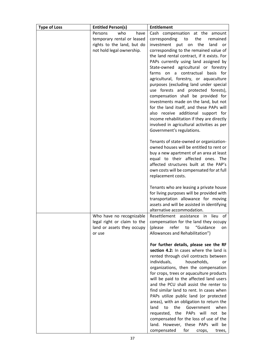| <b>Type of Loss</b> | <b>Entitled Person(s)</b>   | <b>Entitlement</b>                                                                  |  |  |  |
|---------------------|-----------------------------|-------------------------------------------------------------------------------------|--|--|--|
|                     | who<br>Persons<br>have      | Cash compensation at the amount                                                     |  |  |  |
|                     | temporary rental or leased  | the<br>corresponding<br>remained<br>to                                              |  |  |  |
|                     | rights to the land, but do  | investment put on<br>the<br>land<br>or                                              |  |  |  |
|                     | not hold legal ownership.   | corresponding to the remained value of                                              |  |  |  |
|                     |                             | the land rental contract, if it exists. For                                         |  |  |  |
|                     |                             | PAPs currently using land assigned by<br>State-owned agricultural or forestry       |  |  |  |
|                     |                             | farms on a contractual basis for                                                    |  |  |  |
|                     |                             | agricultural, forestry, or aquaculture                                              |  |  |  |
|                     |                             | purposes (excluding land under special                                              |  |  |  |
|                     |                             | use forests and protected forests),                                                 |  |  |  |
|                     |                             | compensation shall be provided for                                                  |  |  |  |
|                     |                             | investments made on the land, but not                                               |  |  |  |
|                     |                             | for the land itself, and these PAPs will                                            |  |  |  |
|                     |                             | also receive additional support for                                                 |  |  |  |
|                     |                             | income rehabilitation if they are directly                                          |  |  |  |
|                     |                             | involved in agricultural activities as per                                          |  |  |  |
|                     |                             | Government's regulations.                                                           |  |  |  |
|                     |                             | Tenants of state-owned or organization-                                             |  |  |  |
|                     |                             | owned houses will be entitled to rent or                                            |  |  |  |
|                     |                             | buy a new apartment of an area at least                                             |  |  |  |
|                     |                             | equal to their affected ones. The                                                   |  |  |  |
|                     |                             | affected structures built at the PAP's                                              |  |  |  |
|                     |                             | own costs will be compensated for at full<br>replacement costs.                     |  |  |  |
|                     |                             |                                                                                     |  |  |  |
|                     |                             | Tenants who are leasing a private house                                             |  |  |  |
|                     |                             | for living purposes will be provided with                                           |  |  |  |
|                     |                             | transportation allowance for moving                                                 |  |  |  |
|                     |                             | assets and will be assisted in identifying                                          |  |  |  |
|                     | Who have no recognizable    | alternative accommodation.<br>Resettlement assistance in<br>lieu of                 |  |  |  |
|                     | legal right or claim to the | compensation for the land they occupy                                               |  |  |  |
|                     | land or assets they occupy  | refer<br>"Guidance<br>(please<br>to<br>on                                           |  |  |  |
|                     | or use                      | Allowances and Rehabilitation")                                                     |  |  |  |
|                     |                             |                                                                                     |  |  |  |
|                     |                             | For further details, please see the RF<br>section 4.2: In cases where the land is   |  |  |  |
|                     |                             | rented through civil contracts between                                              |  |  |  |
|                     |                             | individuals,<br>households,<br>or                                                   |  |  |  |
|                     |                             | organizations, then the compensation                                                |  |  |  |
|                     |                             | for crops, trees or aquaculture products                                            |  |  |  |
|                     |                             | will be paid to the affected land users                                             |  |  |  |
|                     |                             | and the PCU shall assist the renter to                                              |  |  |  |
|                     |                             | find similar land to rent. In cases when                                            |  |  |  |
|                     |                             | PAPs utilize public land (or protected                                              |  |  |  |
|                     |                             | areas), with an obligation to return the<br>land<br>the<br>Government<br>when<br>to |  |  |  |
|                     |                             | requested, the PAPs will not be                                                     |  |  |  |
|                     |                             | compensated for the loss of use of the                                              |  |  |  |
|                     |                             | land. However, these PAPs will be                                                   |  |  |  |
|                     |                             | compensated<br>for<br>crops,<br>trees,                                              |  |  |  |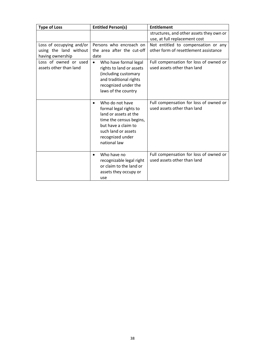| <b>Type of Loss</b>                                                    | <b>Entitled Person(s)</b>                                                                                                                                                                    | <b>Entitlement</b>                                                           |  |
|------------------------------------------------------------------------|----------------------------------------------------------------------------------------------------------------------------------------------------------------------------------------------|------------------------------------------------------------------------------|--|
|                                                                        |                                                                                                                                                                                              | structures, and other assets they own or<br>use, at full replacement cost    |  |
| Loss of occupying and/or<br>using the land without<br>having ownership | Persons who encroach on<br>the area after the cut-off<br>date                                                                                                                                | Not entitled to compensation or any<br>other form of resettlement assistance |  |
| Loss of owned or used<br>assets other than land                        | Who have formal legal<br>$\bullet$<br>rights to land or assets<br>(including customary<br>and traditional rights<br>recognized under the<br>laws of the country                              | Full compensation for loss of owned or<br>used assets other than land        |  |
|                                                                        | Who do not have<br>$\bullet$<br>formal legal rights to<br>land or assets at the<br>time the census begins,<br>but have a claim to<br>such land or assets<br>recognized under<br>national law | Full compensation for loss of owned or<br>used assets other than land        |  |
|                                                                        | Who have no<br>$\bullet$<br>recognizable legal right<br>or claim to the land or<br>assets they occupy or<br>use                                                                              | Full compensation for loss of owned or<br>used assets other than land        |  |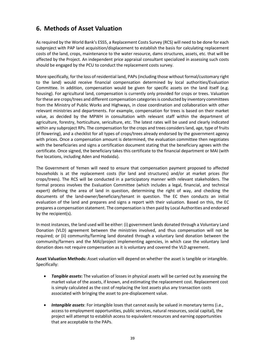## **6. Methods of Asset Valuation**

As required by the World Bank's ESS5, a Replacement Costs Survey (RCS) will need to be done for each subproject with PAP land acquisition/displacement to establish the basis for calculating replacement costs of the land, crops, maintenance to the water resource, dams structures, assets, etc. that will be affected by the Project. An independent price appraisal consultant specialized in assessing such costs should be engaged by the PCU to conduct the replacement costs survey.

More specifically, for the loss of residential land, PAPs(including those without formal/customary right to the land) would receive financial compensation determined by local authorities/Evaluation Committee. In addition, compensation would be given for specific assets on the land itself (e.g. housing). For agricultural land, compensation is currently only provided for crops or trees. Valuation for these are crops/trees and different compensation categories is conducted by inventory committees from the Ministry of Public Works and Highways, in close coordination and collaboration with other relevant ministries and departments. For example, compensation for trees is based on their market value, as decided by the MPWH in consultation with relevant staff within the department of agriculture, forestry, horticulture, sericulture, etc. The latest rates will be used and clearly indicated within any subproject RPs. The compensation for the crops and trees considers land, age, type of fruits (if flowering), and a checklist for all types of crops/trees already endorsed by the government agency with prices. Once a compensation amount is determined, the evaluation committee then negotiates with the beneficiaries and signs a certification document stating that the beneficiary agrees with the certificate. Once signed, the beneficiary takes this certificate to the financial department or MAI (with five locations, including Aden and Hodaida).

The Government of Yemen will need to ensure that compensation payment proposed to affected households is at the replacement costs (for land and structures) and/or at market prices (for crops/trees). The RCS will be conducted in a participatory manner with relevant stakeholders. The formal process involves the Evaluation Committee (which includes a legal, financial, and technical expert) defining the area of land in question, determining the right of way, and checking the documents of the land-owner/beneficiary/tenant in question. The EC then conducts an initial evaluation of the land and prepares and signs a report with their valuation. Based on this, the EC prepares a compensation statement. The compensation is then paid by Local Authorities and endorsed by the recipient(s).

In most instances, the land used will be either: (i) government lands donated through a Voluntary Land Donation (VLD) agreement between the ministries involved, and thus compensation will not be required; or (ii) community/farming land donated through a voluntary land donation between the community/farmers and the MAI/project implementing agencies, in which case the voluntary land donation does not require compensation as it is voluntary and covered the VLD agreement.

**Asset Valuation Methods:** Asset valuation will depend on whether the asset is tangible or intangible. Specifically:

- *Tangible assets***:** The valuation of losses in physical assets will be carried out by assessing the market value of the assets, if known, and estimating the replacement cost. Replacement cost is simply calculated as the cost of replacing the lost assets plus any transaction costs associated with bringing the asset to pre-displacement value.
- *Intangible assets*: For intangible loses that cannot easily be valued in monetary terms (i.e., access to employment opportunities, public services, natural resources, social capital), the project will attempt to establish access to equivalent resources and earning opportunities that are acceptable to the PAPs.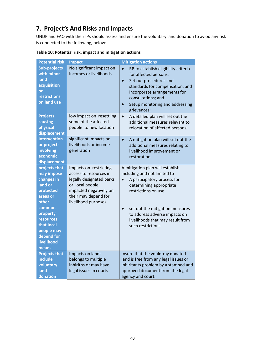# **7. Project's And Risks and Impacts**

UNDP and FAO with their IPs should assess and ensure the voluntary land donation to aviod any risk is connected to the following, below:

| <b>Potential risk</b>                                                                                                                                                                       | <b>Impact</b>                                                                                                                                                            | <b>Mitigation actions</b>                                                                                                                                                                                                                                                      |
|---------------------------------------------------------------------------------------------------------------------------------------------------------------------------------------------|--------------------------------------------------------------------------------------------------------------------------------------------------------------------------|--------------------------------------------------------------------------------------------------------------------------------------------------------------------------------------------------------------------------------------------------------------------------------|
| <b>Sub-projects</b><br>with minor<br>land<br>acquisition<br>or<br>restrictions<br>on land use                                                                                               | No significant impact on<br>incomes or livelihoods                                                                                                                       | RP to establish eligibility criteria<br>for affected persons.<br>Set out procedures and<br>standards for compensation, and<br>incorporate arrangements for<br>consultations; and<br>Setup monitoring and addressing<br>grievances;                                             |
| <b>Projects</b><br>causing<br>physical<br>displacement                                                                                                                                      | low impact on resettling<br>some of the affected<br>people to new location                                                                                               | $\bullet$<br>A detailed plan will set out the<br>additional measures relevant to<br>relocation of affected persons;                                                                                                                                                            |
| <b>Intervention</b><br>or projects<br>involving<br>economic<br>displacement                                                                                                                 | significant impacts on<br>livelihoods or income<br>generation                                                                                                            | A mitigation plan will set out the<br>$\bullet$<br>additional measures relating to<br>livelihood improvement or<br>restoration                                                                                                                                                 |
| projects that<br>may impose<br>changes in<br>land or<br>protected<br>areas or<br>other<br>common<br>property<br>resources<br>that local<br>people may<br>depend for<br>livelihood<br>means. | Impacts on restricting<br>access to resources in<br>legally designated parks<br>or local people<br>impacted negatively on<br>their may depend for<br>livelihood purposes | A mitigation plan will establish<br>including and not limited to<br>A participatory process for<br>determining appropriate<br>restrictions on use<br>set out the mitigation measures<br>to address adverse impacts on<br>livelihoods that may result from<br>such restrictions |
| <b>Projects that</b><br>include<br>voluntary<br>land<br>donation                                                                                                                            | Impacts on lands<br>belongs to multiple<br>inhiritns or may have<br>legal issues in courts                                                                               | Insure that the voulntray donated<br>land is free from any legal issues or<br>inhiritants problem by a stamped and<br>approved document from the legal<br>agency and court.                                                                                                    |

**Table 10: Potential risk, impact and mitigation actions**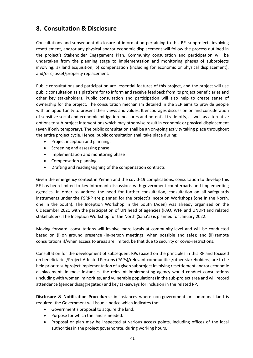## **8. Consultation & Disclosure**

Consultations and subsequent disclosure of information pertaining to this RF, subprojects involving resettlement, and/or any physical and/or economic displacement will follow the process outlined in the project's Stakeholder Engagement Plan. Community consultation and participation will be undertaken from the planning stage to implementation and monitoring phases of subprojects involving: a) land acquisition; b) compensation (including for economic or physical displacement); and/or c) asset/property replacement.

Public consultations and participation are essential features of this project, and the project will use public consultation as a platform for to inform and receive feedback from its project beneficiaries and other key stakeholders. Public consultation and participation will also help to create sense of ownership for the project. The consultation mechanism detailed in the SEP aims to provide people with an opportunity to present their views and values. It encourages discussion on and consideration of sensitive social and economic mitigation measures and potential trade-offs, as well as alternative options to sub-project interventions which may otherwise result in economic or physical displacement (even if only temporary). The public consultation shall be an on-going activity taking place throughout the entire project cycle. Hence, public consultation shall take place during:

- Project inception and planning.
- Screening and assessing phase;
- Implementation and monitoring phase
- Compensation planning.
- Drafting and reading/signing of the compensation contracts

Given the emergency context in Yemen and the covid-19 complications, consultation to develop this RF has been limited to key informant discussions with government counterparts and implementing agencies. In order to address the need for further consultation, consultation on all safeguards instruments under the FSRRP are planned for the project's Inception Workshops (one in the North, one in the South). The Inception Workshop in the South (Aden) was already organized on the 6 December 2021 with the participation of UN head of agencies (FAO, WFP and UNDP) and related stakeholders. The Inception Workshop for the North (Sana'a) is planned for January 2022.

Moving forward, consultations will involve more locals at community-level and will be conducted based on (i) on ground presence (in-person meetings, when possible and safe); and (ii) remote consultations if/when access to areas are limited, be that due to security or covid-restrictions.

Consultation for the development of subsequent RPs (based on the principles in this RF and focused on beneficiaries/Project Affected Persons (PAPs)/relevant communities/other stakeholders) are to be held prior to subproject implementation of a given subproject involving resettlement and/or economic displacement. In most instances, the relevant implementing agency would conduct consultations (including with women, minorities, and vulnerable populations) in the sub-project area and will record attendance (gender disaggregated) and key takeaways for inclusion in the related RP.

**Disclosure & Notification Procedures:** in instances where non-government or communal land is required, the Government will issue a notice which indicates the:

- Government's proposal to acquire the land.
- Purpose for which the land is needed.
- Proposal or plan may be inspected at various access points, including offices of the local authorities in the project governorate, during working hours.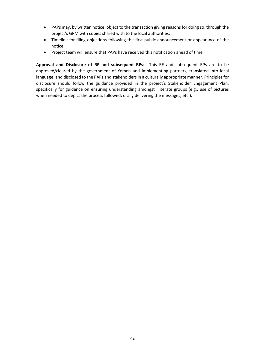- PAPs may, by written notice, object to the transaction giving reasons for doing so, through the project's GRM with copies shared with to the local authorities.
- Timeline for filing objections following the first public announcement or appearance of the notice.
- Project team will ensure that PAPs have received this notification ahead of time

**Approval and Disclosure of RF and subsequent RPs:** This RF and subsequent RPs are to be approved/cleared by the government of Yemen and implementing partners, translated into local language, and disclosed to the PAPs and stakeholders in a culturally appropriate manner. Principles for disclosure should follow the guidance provided in the project's Stakeholder Engagement Plan, specifically for guidance on ensuring understanding amongst illiterate groups (e.g., use of pictures when needed to depict the process followed; orally delivering the messages; etc.).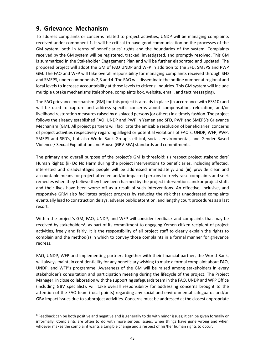## **9. Grievance Mechanism**

To address complaints or concerns related to project activities, UNDP will be managing complaints received under component 1. It will be critical to have good communication on the processes of the GM system, both in terms of beneficiaries' rights and the boundaries of the system. Complaints received by the GM system will be registered, tracked, investigated, and promptly resolved. This GM is summarized in the Stakeholder Engagement Plan and will be further elaborated and updated. The proposed project will adopt the GM of FAO UNDP and WFP in addition to the SFD, SMEPS and PWP GM. The FAO and WFP will take overall responsibility for managing complaints received through SFD and SMEPS, under components 2,3 and 4. The FAO will disseminate the hotline number at regional and local levels to increase accountability at those levels to citizens' inquiries. This GM system will include multiple uptake mechanisms (telephone, complaints box, website, email, and text messaging).

The FAO grievance mechanism (GM) for this project is already in place (in accordance with ESS10) and will be used to capture and address specific concerns about compensation, relocation, and/or livelihood restoration measures raised by displaced persons (or others) in a timely fashion. The project follows the already established FAO, UNDP and PWP in Yemen and SFD, PWP and SMEPS's Grievance Mechanism (GM). All project partners will facilitate the amicable resolution of beneficiaries' concerns of project activities respectively regarding alleged or potential violations of FAO's, UNDP, WFP, PWP, SMEPS and SFD's, but also World Bank Group's ethical, social, environmental, and Gender Based Violence / Sexual Exploitation and Abuse (GBV-SEA) standards and commitments.

The primary and overall purpose of the project's GM is threefold: (i) respect project stakeholders' Human Rights; (ii) Do No Harm during the project interventions to beneficiaries, including affected, interested and disadvantages people will be addressed immediately; and (iii) provide clear and accountable means for project affected and/or impacted persons to freely raise complaints and seek remedies when they believe they have been harmed by the project interventions and/or project staff, and their lives have been worse off as a result of such interventions. An effective, inclusive, and responsive GRM also facilitates project progress by reducing the risk that unaddressed complaints eventually lead to construction delays, adverse public attention, and lengthy court procedures as a last resort.

Within the project's GM, FAO, UNDP, and WFP will consider feedback and complaints that may be received by stakeholders<sup>6</sup>, as part of its commitment to engaging Yemen citizen recipient of project activities, freely and fairly. It is the responsibility of all project staff to clearly explain the rights to complain and the method(s) in which to convey those complaints in a formal manner for grievance redress.

FAO, UNDP, WFP and implementing partners together with their financial partner, the World Bank, will always maintain confidentiality for any beneficiary wishing to make a formal complaint about FAO, UNDP, and WFP's programme. Awareness of the GM will be raised among stakeholders in every stakeholder's consultation and participation meeting during the lifecycle of the project. The Project Manager, in close collaboration with the supporting safeguards team in the FAO, UNDP and WFP Office (including GBV specialist), will take overall responsibility for addressing concerns brought to the attention of the FAO team (focal points) regarding any social and environmental safeguards and/or GBV impact issues due to subproject activities. Concerns must be addressed at the closest appropriate

<sup>6</sup> Feedback can be both positive and negative and is generally to do with minor issues; it can be given formally or informally. Complaints are often to do with more serious issues, when things have gone wrong and when whoever makes the complaint wants a tangible change and a respect of his/her human rights to occur.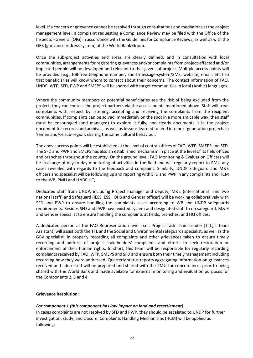level. If a concern or grievance cannot be resolved through consultations and mediations at the project management level, a complaint requesting a Compliance Review may be filed with the Office of the Inspector-General (OIG) in accordance with the Guidelines for Compliance Reviews; as well as with the GRS (grievance redress system) of the World Bank Group.

Once the sub-project activities and areas are clearly defined, and in consultation with local communities, arrangements for registering grievances and/or complaints from project-affected and/or impacted people will be developed and relevant to that given subproject. Multiple access points will be provided (e.g., toll-free telephone number, short-message-system/SMS, website, email, etc.) so that beneficiaries will know whom to contact about their concerns. The contact information of FAO, UNDP, WFP, SFD, PWP and SMEPS will be shared with target communities in local (Arabic) languages.

Where the community members or potential beneficiaries see the risk of being excluded from the project, they can contact the project partners via the access points mentioned above. Staff will treat complaints with respect by listening, accepting and receiving the complaints from the recipient communities. If complaints can be solved immediately on the spot in a more amicable way, then staff must be encouraged (and managed) to explore it fully, and clearly documents it in the project document for records and archives, as well as lessons learned to feed into next generation projects in Yemen and/or sub-region, sharing the same cultural behaviour.

The above access points will be established at the level of central offices of FAO, WFP, SMEPS and SFD. The SFD and PWP and SMEPS has also an established mechanism in place at the level of its field offices and branches throughout the country. On the ground level, FAO Monitoring & Evaluation Officers will be in charge of day-to-day monitoring of activities in the field and will regularly report to PMU any cases revealed with regards to the feedback and complaint. Similarly, UNDP Safeguard and M&E officers and specialist will be following up and reporting with SFD and PWP in any complaints and HCM to the WB, PMU and UNDP HQ.

Dedicated staff from UNDP, including Project manager and deputy, M&E (international and two national staff) and Safeguard (IESS, ESS, OHS and Gender officer) will be working collaboratively with SFD and PWP to ensure handling the complaints cases according to WB and UNDP safeguards requirements. Besides SFD and PWP have existed system and designated staff to on safeguard, M& E and Gender specialist to ensure handling the complaints at fields, branches, and HQ offices.

A dedicated person at the FAO Representation level (i.e., Project Task Team Leader [TTL]'s Team Assistant) will assist both the TTL and the Social and Environmental safeguards specialist, as well as the GBV specialist, in properly recording all complaints and other grievances taken to ensure timely recording and address of project stakeholders' complaints and efforts to seek restoration or enforcement of their human rights. In short, this team will be responsible for regularly recording complaints received by FAO, WFP, SMEPS and SFD and ensure both their timely management including recording how they were addressed. Quarterly status reports aggregating information on grievances received and addressed will be prepared and shared with the PMU for concordance, prior to being shared with the World Bank and made available for external monitoring and evaluation purposes for the Components 2, 3 and 4.

#### **Grievance Resolution:**

#### *For component 1 (this component has low impact on land and resettlement)*

In cases complaints are not resolved by SFD and PWP, they should be escalated to UNDP for further investigation, study, and closure. Complaints Handling Mechanisms (HCM) will be applied as following: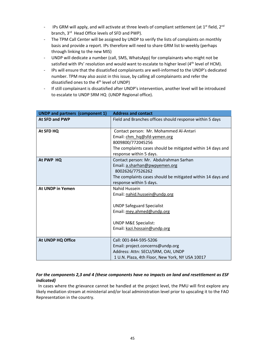- IPs GRM will apply, and will activate at three levels of compliant settlement (at 1<sup>st</sup> field, 2<sup>nd</sup> branch, 3rd Head Office levels of SFD and PWP).
- The TPM Call Center will be assigned by UNDP to verify the lists of complaints on monthly basis and provide a report. IPs therefore will need to share GRM list bi-weekly (perhaps through linking to the new MIS)
- UNDP will dedicate a number (call, SMS, WhatsApp) for complainants who might not be satisfied with IPs' resolution and would want to escalate to higher level (4<sup>th</sup> level of HCM).
- IPs will ensure that the dissatisfied complainants are well-informed to the UNDP's dedicated number. TPM may also assist in this issue, by calling all complainants and refer the dissatisfied ones to the 4<sup>th</sup> level of UNDP)
- If still complainant is dissatisfied after UNDP's intervention, another level will be introduced to escalate to UNDP SRM HQ (UNDP Regional office).

| <b>UNDP and partners (component 1)</b> | <b>Address and contact</b>                                                                                                                                                            |
|----------------------------------------|---------------------------------------------------------------------------------------------------------------------------------------------------------------------------------------|
| <b>At SFD and PWP</b>                  | Field and Branches offices should response within 5 days                                                                                                                              |
| At SFD HQ                              | Contact person: Mr. Mohammed Al-Antari<br>Email: chm hq@sfd-yemen.org<br>8009800/772045256                                                                                            |
|                                        | The complaints cases should be mitigated within 14 days and<br>response within 5 days.                                                                                                |
| At PWP HQ                              | Contact person: Mr. Abdulrahman Sarhan<br>Email: a.sharhan@pwpyemen.org<br>8002626/77526262<br>The complaints cases should be mitigated within 14 days and<br>response within 5 days. |
| <b>At UNDP in Yemen</b>                | Nahid Hussein<br>Email: nahid.hussein@undp.org<br><b>UNDP Safeguard Specialist</b><br>Email: mey.ahmed@undp.org<br><b>UNDP M&amp;E Specialist:</b><br>Email: kazi.hossain@undp.org    |
| At UNDP HQ Office                      | Call: 001-844-595-5206<br>Email: project.concerns@undp.org<br>Address: Attn: SECU/SRM, OAI, UNDP<br>1 U.N. Plaza, 4th Floor, New York, NY USA 10017                                   |

### *For the components 2,3 and 4 (these components have no impacts on land and resettlement as ESF indicated)*

In cases where the grievance cannot be handled at the project level, the PMU will first explore any likely mediation stream at ministerial and/or local administration level prior to upscaling it to the FAO Representation in the country.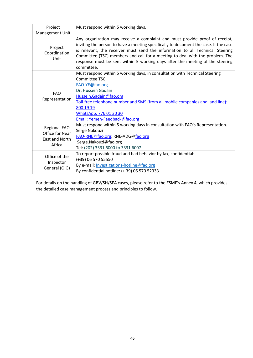| Project                                                            | Must respond within 5 working days.                                                                                                                                                                                                                                                                                                                                                                                                 |
|--------------------------------------------------------------------|-------------------------------------------------------------------------------------------------------------------------------------------------------------------------------------------------------------------------------------------------------------------------------------------------------------------------------------------------------------------------------------------------------------------------------------|
| Management Unit                                                    |                                                                                                                                                                                                                                                                                                                                                                                                                                     |
| Project<br>Coordination<br>Unit                                    | Any organization may receive a complaint and must provide proof of receipt,<br>inviting the person to have a meeting specifically to document the case. If the case<br>is relevant, the receiver must send the information to all Technical Steering<br>Committee (TSC) members and call for a meeting to deal with the problem. The<br>response must be sent within 5 working days after the meeting of the steering<br>committee. |
| <b>FAO</b><br>Representation                                       | Must respond within 5 working days, in consultation with Technical Steering<br>Committee TSC.<br>FAO-YE@fao.org<br>Dr. Hussein Gadain<br>Hussein.Gadain@fao.org<br>Toll-free telephone number and SMS (from all mobile companies and land line):<br>800 19 19<br>WhatsApp: 776 01 30 30<br>Email: Yemen-Feedback@fao.org                                                                                                            |
| <b>Regional FAO</b><br>Office for Near<br>East and North<br>Africa | Must respond within 5 working days in consultation with FAO's Representation.<br>Serge Nakouzi<br>FAO-RNE@fao.org; RNE-ADG@fao.org<br>Serge.Nakouzi@fao.org<br>Tel: (202) 3331 6000 to 3331 6007                                                                                                                                                                                                                                    |
| Office of the<br>Inspector<br>General (OIG)                        | To report possible fraud and bad behavior by fax, confidential:<br>(+39) 06 570 55550<br>By e-mail: Investigations-hotline@fao.org<br>By confidential hotline: (+39) 06 570 52333                                                                                                                                                                                                                                                   |

For details on the handling of GBV/SH/SEA cases, please refer to the ESMF's Annex 4, which provides the detailed case management process and principles to follow.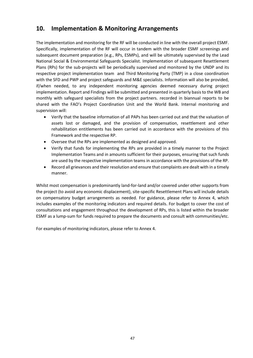## **10. Implementation & Monitoring Arrangements**

The implementation and monitoring for the RF will be conducted in line with the overall project ESMF. Specifically, implementation of the RF will occur in tandem with the broader ESMF screenings and subsequent document preparation (e.g., RPs, ESMPs), and will be ultimately supervised by the Lead National Social & Environmental Safeguards Specialist. Implementation of subsequent Resettlement Plans (RPs) for the sub-projects will be periodically supervised and monitored by the UNDP and its respective project implementation team and Third Monitoring Party (TMP) in a close coordination with the SFD and PWP and project safeguards and M&E specialists. Information will also be provided, if/when needed, to any independent monitoring agencies deemed necessary during project implementation. Report and Findings will be submitted and presented in quarterly basis to the WB and monthly with safeguard specialists from the project partners. recorded in biannual reports to be shared with the FAO's Project Coordination Unit and the World Bank. Internal monitoring and supervision will:

- Verify that the baseline information of all PAPs has been carried out and that the valuation of assets lost or damaged, and the provision of compensation, resettlement and other rehabilitation entitlements has been carried out in accordance with the provisions of this Framework and the respective RP.
- Oversee that the RPs are implemented as designed and approved.
- Verify that funds for implementing the RPs are provided in a timely manner to the Project Implementation Teams and in amounts sufficient for their purposes, ensuring that such funds are used by the respective implementation teams in accordance with the provisions of the RP.
- Record all grievances and their resolution and ensure that complaints are dealt with in a timely manner.

Whilst most compensation is predominantly land-for-land and/or covered under other supports from the project (to avoid any economic displacement), site-specific Resettlement Plans will include details on compensatory budget arrangements as needed. For guidance, please refer to Annex 4, which includes examples of the monitoring indicators and required details. For budget to cover the cost of consultations and engagement throughout the development of RPs, this is listed within the broader ESMF as a lump-sum for funds required to prepare the documents and consult with communities/etc.

For examples of monitoring indicators, please refer to Annex 4.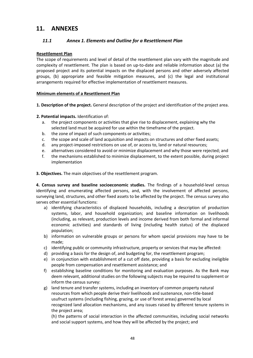## **11. ANNEXES**

## *11.1 Annex 1. Elements and Outline for a Resettlement Plan*

### **Resettlement Plan**

The scope of requirements and level of detail of the resettlement plan vary with the magnitude and complexity of resettlement. The plan is based on up-to-date and reliable information about (a) the proposed project and its potential impacts on the displaced persons and other adversely affected groups, (b) appropriate and feasible mitigation measures, and (c) the legal and institutional arrangements required for effective implementation of resettlement measures.

#### **Minimum elements of a Resettlement Plan**

- **1. Description of the project.** General description of the project and identification of the project area.
- **2. Potential impacts.** Identification of:
	- a. the project components or activities that give rise to displacement, explaining why the selected land must be acquired for use within the timeframe of the project.
	- b. the zone of impact of such components or activities;
	- c. the scope and scale of land acquisition and impacts on structures and other fixed assets;
	- d. any project-imposed restrictions on use of, or access to, land or natural resources;
	- e. alternatives considered to avoid or minimize displacement and why those were rejected; and
	- f. the mechanisms established to minimize displacement, to the extent possible, during project implementation
- **3. Objectives.** The main objectives of the resettlement program.

**4. Census survey and baseline socioeconomic studies.** The findings of a household-level census identifying and enumerating affected persons, and, with the involvement of affected persons, surveying land, structures, and other fixed assets to be affected by the project. The census survey also serves other essential functions:

- a) identifying characteristics of displaced households, including a description of production systems, labor, and household organization; and baseline information on livelihoods (including, as relevant, production levels and income derived from both formal and informal economic activities) and standards of living (including health status) of the displaced population;
- b) information on vulnerable groups or persons for whom special provisions may have to be made;
- c) identifying public or community infrastructure, property or services that may be affected:
- d) providing a basis for the design of, and budgeting for, the resettlement program;
- e) in conjunction with establishment of a cut off date, providing a basis for excluding ineligible people from compensation and resettlement assistance; and
- f) establishing baseline conditions for monitoring and evaluation purposes. As the Bank may deem relevant, additional studies on the following subjects may be required to supplement or inform the census survey:
- g) land tenure and transfer systems, including an inventory of common property natural resources from which people derive their livelihoods and sustenance, non-title-based usufruct systems (including fishing, grazing, or use of forest areas) governed by local recognized land allocation mechanisms, and any issues raised by different tenure systems in the project area;

(h) the patterns of social interaction in the affected communities, including social networks and social support systems, and how they will be affected by the project; and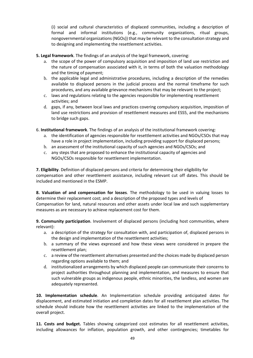(i) social and cultural characteristics of displaced communities, including a description of formal and informal institutions (e.g., community organizations, ritual groups, nongovernmental organizations (NGOs)) that may be relevant to the consultation strategy and to designing and implementing the resettlement activities.

- **5. Legal framework**. The findings of an analysis of the legal framework, covering:
	- a. the scope of the power of compulsory acquisition and imposition of land use restriction and the nature of compensation associated with it, in terms of both the valuation methodology and the timing of payment;
	- b. the applicable legal and administrative procedures, including a description of the remedies available to displaced persons in the judicial process and the normal timeframe for such procedures, and any available grievance mechanisms that may be relevant to the project;
	- c. laws and regulations relating to the agencies responsible for implementing resettlement activities; and
	- d. gaps, if any, between local laws and practices covering compulsory acquisition, imposition of land use restrictions and provision of resettlement measures and ESS5, and the mechanisms to bridge such gaps.
- 6. **Institutional framework**. The findings of an analysis of the institutional framework covering:
	- a. the identification of agencies responsible for resettlement activities and NGOs/CSOs that may have a role in project implementation, including providing support for displaced persons;
	- b. an assessment of the institutional capacity of such agencies and NGOs/CSOs; and
	- c. any steps that are proposed to enhance the institutional capacity of agencies and NGOs/CSOs responsible for resettlement implementation.

**7. Eligibility**. Definition of displaced persons and criteria for determining their eligibility for compensation and other resettlement assistance, including relevant cut off dates. This should be included and mentioned in the ESMP.

**8. Valuation of and compensation for losses**. The methodology to be used in valuing losses to determine their replacement cost; and a description of the proposed types and levels of Compensation for land, natural resources and other assets under local law and such supplementary measures as are necessary to achieve replacement cost for them.

**9. Community participation**. Involvement of displaced persons (including host communities, where relevant):

- a. a description of the strategy for consultation with, and participation of, displaced persons in the design and implementation of the resettlement activities;
- b. a summary of the views expressed and how these views were considered in prepare the resettlement plan;
- c. a review of the resettlement alternatives presented and the choices made by displaced person regarding options available to them; and
- d. institutionalized arrangements by which displaced people can communicate their concerns to project authorities throughout planning and implementation, and measures to ensure that such vulnerable groups as indigenous people, ethnic minorities, the landless, and women are adequately represented.

**10. Implementation schedule**. An Implementation schedule providing anticipated dates for displacement, and estimated initiation and completion dates for all resettlement plan activities. The schedule should indicate how the resettlement activities are linked to the implementation of the overall project.

**11. Costs and budget.** Tables showing categorized cost estimates for all resettlement activities, including allowances for inflation, population growth, and other contingencies; timetables for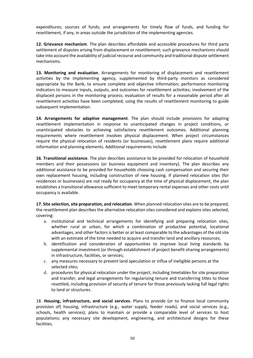expenditures; sources of funds; and arrangements for timely flow of funds, and funding for resettlement, if any, in areas outside the jurisdiction of the implementing agencies.

**12. Grievance mechanism**. The plan describes affordable and accessible procedures for third party settlement of disputes arising from displacement or resettlement; such grievance mechanisms should take into account the availability of judicial recourse and community and traditional dispute settlement mechanisms.

**13. Monitoring and evaluation**. Arrangements for monitoring of displacement and resettlement activities by the implementing agency, supplemented by third-party monitors as considered appropriate by the Bank, to ensure complete and objective information; performance monitoring indicators to measure inputs, outputs, and outcomes for resettlement activities; involvement of the displaced persons in the monitoring process; evaluation of results for a reasonable period after all resettlement activities have been completed; using the results of resettlement monitoring to guide subsequent implementation.

**14. Arrangements for adaptive management**. The plan should include provisions for adapting resettlement implementation in response to unanticipated changes in project conditions, or unanticipated obstacles to achieving satisfactory resettlement outcomes. Additional planning requirements where resettlement involves physical displacement. When project circumstances require the physical relocation of residents (or businesses), resettlement plans require additional information and planning elements. Additional requirements include

**16. Transitional assistance**. The plan describes assistance to be provided for relocation of household members and their possessions (or business equipment and inventory). The plan describes any additional assistance to be provided for households choosing cash compensation and securing their own replacement housing, including construction of new housing. If planned relocation sites (for residences or businesses) are not ready for occupancy at the time of physical displacement, the plan establishes a transitional allowance sufficient to meet temporary rental expenses and other costs until occupancy is available.

**17. Site selection, site preparation, and relocation**. When planned relocation sites are to be prepared, the resettlement plan describes the alternative relocation sites considered and explains sites selected, covering:

- a. institutional and technical arrangements for identifying and preparing relocation sites, whether rural or urban, for which a combination of productive potential, locational advantages, and other factors is better or at least comparable to the advantages of the old site with an estimate of the time needed to acquire and transfer land and ancillary resources;
- b. identification and consideration of opportunities to improve local living standards by supplemental investment (or through establishment of project benefit-sharing arrangements) in infrastructure, facilities, or services;
- c. any measures necessary to prevent land speculation or influx of ineligible persons at the selected sites;
- d. procedures for physical relocation under the project, including timetables for site preparation and transfer; and legal arrangements for regularizing tenure and transferring titles to those resettled, including provision of security of tenure for those previously lacking full legal rights to land or structures.

18. **Housing, infrastructure, and social services**. Plans to provide (or to finance local community provision of) housing, infrastructure (e.g., water supply, feeder roads), and social services (e.g., schools, health services); plans to maintain or provide a comparable level of services to host populations; any necessary site development, engineering, and architectural designs for these facilities.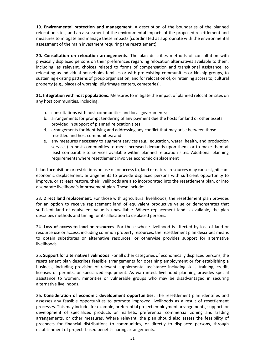**19. Environmental protection and management**. A description of the boundaries of the planned relocation sites; and an assessment of the environmental impacts of the proposed resettlement and measures to mitigate and manage these impacts (coordinated as appropriate with the environmental assessment of the main investment requiring the resettlement).

**20. Consultation on relocation arrangements**. The plan describes methods of consultation with physically displaced persons on their preferences regarding relocation alternatives available to them, including, as relevant, choices related to forms of compensation and transitional assistance, to relocating as individual households families or with pre-existing communities or kinship groups, to sustaining existing patterns of group organization, and for relocation of, or retaining access to, cultural property (e.g., places of worship, pilgrimage centers, cemeteries).

**21. Integration with host populations**. Measures to mitigate the impact of planned relocation sites on any host communities, including:

- a. consultations with host communities and local governments;
- b. arrangements for prompt tendering of any payment due the hosts for land or other assets provided in support of planned relocation sites;
- d. arrangements for identifying and addressing any conflict that may arise between those resettled and host communities; and
- e. any measures necessary to augment services (e.g., education, water, health, and production services) in host communities to meet increased demands upon them, or to make them at least comparable to services available within planned relocation sites. Additional planning requirements where resettlement involves economic displacement

If land acquisition or restrictions on use of, or access to, land or natural resources may cause significant economic displacement, arrangements to provide displaced persons with sufficient opportunity to improve, or at least restore, their livelihoods are also incorporated into the resettlement plan, or into a separate livelihood's improvement plan. These include:

23. **Direct land replacement**. For those with agricultural livelihoods, the resettlement plan provides for an option to receive replacement land of equivalent productive value or demonstrates that sufficient land of equivalent value is unavailable. Where replacement land is available, the plan describes methods and timing for its allocation to displaced persons.

24. **Loss of access to land or resources**. For those whose livelihood is affected by loss of land or resource use or access, including common property resources, the resettlement plan describes means to obtain substitutes or alternative resources, or otherwise provides support for alternative livelihoods.

25. **Support for alternative livelihoods**. For all other categories of economically displaced persons, the resettlement plan describes feasible arrangements for obtaining employment or for establishing a business, including provision of relevant supplemental assistance including skills training, credit, licenses or permits, or specialized equipment. As warranted, livelihood planning provides special assistance to women, minorities or vulnerable groups who may be disadvantaged in securing alternative livelihoods.

26. **Consideration of economic development opportunities**. The resettlement plan identifies and assesses any feasible opportunities to promote improved livelihoods as a result of resettlement processes. This may include, for example, preferential project employment arrangements, support for development of specialized products or markets, preferential commercial zoning and trading arrangements, or other measures. Where relevant, the plan should also assess the feasibility of prospects for financial distributions to communities, or directly to displaced persons, through establishment of project- based benefit-sharing arrangements.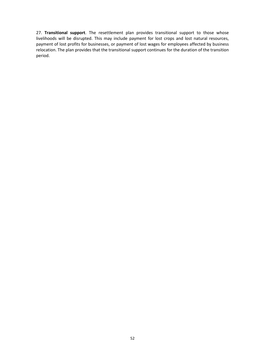27. **Transitional support**. The resettlement plan provides transitional support to those whose livelihoods will be disrupted. This may include payment for lost crops and lost natural resources, payment of lost profits for businesses, or payment of lost wages for employees affected by business relocation. The plan provides that the transitional support continues for the duration of the transition period.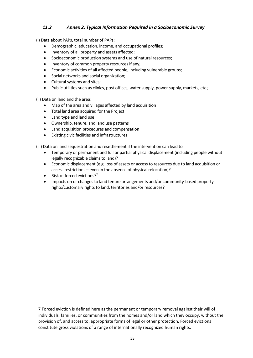## *11.2 Annex 2. Typical Information Required in a Socioeconomic Survey*

(i) Data about PAPs, total number of PAPs:

- Demographic, education, income, and occupational profiles;
- Inventory of all property and assets affected;
- Socioeconomic production systems and use of natural resources;
- Inventory of common property resources if any;
- Economic activities of all affected people, including vulnerable groups;
- Social networks and social organization;
- Cultural systems and sites;
- Public utilities such as clinics, post offices, water supply, power supply, markets, etc.;

(ii) Data on land and the area:

- Map of the area and villages affected by land acquisition
- Total land area acquired for the Project
- Land type and land use
- Ownership, tenure, and land use patterns
- Land acquisition procedures and compensation
- Existing civic facilities and infrastructures

(iii) Data on land sequestration and resettlement if the intervention can lead to

- Temporary or permanent and full or partial physical displacement (including people without legally recognizable claims to land)?
- Economic displacement (e.g. loss of assets or access to resources due to land acquisition or access restrictions – even in the absence of physical relocation)?
- Risk of forced evictions?<sup>7</sup>
- Impacts on or changes to land tenure arrangements and/or community-based property rights/customary rights to land, territories and/or resources?

<sup>7</sup> Forced eviction is defined here as the permanent or temporary removal against their will of individuals, families, or communities from the homes and/or land which they occupy, without the provision of, and access to, appropriate forms of legal or other protection. Forced evictions constitute gross violations of a range of internationally recognized human rights.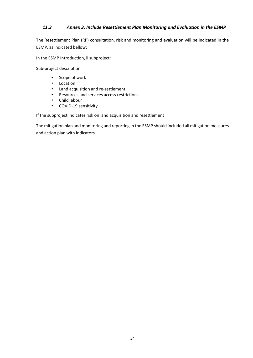### *11.3 Annex 3. Include Resettlement Plan Monitoring and Evaluation in the ESMP*

The Resettlement Plan (RP) consultation, risk and monitoring and evaluation will be indicated in the ESMP, as indicated bellow:

In the ESMP Introduction, ii subproject:

Sub-project description

- Scope of work
- Location
- Land acquisition and re-settlement
- Resources and services access restrictions
- Child labour
- COVID-19 sensitivity

If the subproject indicates risk on land acquisition and resettlement

The mitigation plan and monitoring and reporting in the ESMP should included all mitigation measures and action plan with indicators.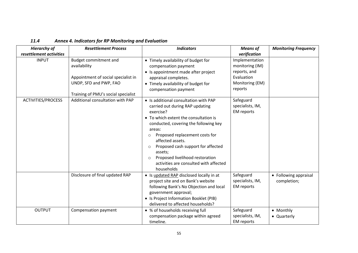| 11.4 | <b>Annex 4. Indicators for RP Monitoring and Evaluation</b> |
|------|-------------------------------------------------------------|
|------|-------------------------------------------------------------|

| <b>Hierarchy of</b>     | <b>Resettlement Process</b>                                                                                                                   | <b>Indicators</b>                                                                                                                                                                                                                                                                                                                                                                                                       | <b>Means of</b>                                                                               | <b>Monitoring Frequency</b>          |
|-------------------------|-----------------------------------------------------------------------------------------------------------------------------------------------|-------------------------------------------------------------------------------------------------------------------------------------------------------------------------------------------------------------------------------------------------------------------------------------------------------------------------------------------------------------------------------------------------------------------------|-----------------------------------------------------------------------------------------------|--------------------------------------|
| resettlement activities |                                                                                                                                               |                                                                                                                                                                                                                                                                                                                                                                                                                         | verification                                                                                  |                                      |
| <b>INPUT</b>            | Budget commitment and<br>availability<br>Appointment of social specialist in<br>UNDP, SFD and PWP, FAO<br>Training of PMU's social specialist | • Timely availability of budget for<br>compensation payment<br>• Is appointment made after project<br>appraisal completes.<br>• Timely availability of budget for<br>compensation payment                                                                                                                                                                                                                               | Implementation<br>monitoring (IM)<br>reports, and<br>Evaluation<br>Monitoring (EM)<br>reports |                                      |
| ACTIVITIES/PROCESS      | Additional consultation with PAP                                                                                                              | • Is additional consultation with PAP<br>carried out during RAP updating<br>exercise?<br>• To which extent the consultation is<br>conducted, covering the following key<br>areas:<br>Proposed replacement costs for<br>$\circ$<br>affected assets.<br>Proposed cash support for affected<br>$\circ$<br>assets;<br>Proposed livelihood restoration<br>$\bigcirc$<br>activities are consulted with affected<br>households | Safeguard<br>specialists, IM,<br><b>EM</b> reports                                            |                                      |
|                         | Disclosure of final updated RAP                                                                                                               | • Is updated RAP disclosed locally in at<br>project site and on Bank's website<br>following Bank's No Objection and local<br>government approval;<br>• Is Project Information Booklet (PIB)<br>delivered to affected households?                                                                                                                                                                                        | Safeguard<br>specialists, IM,<br><b>EM</b> reports                                            | • Following appraisal<br>completion; |
| <b>OUTPUT</b>           | Compensation payment                                                                                                                          | • % of households receiving full<br>compensation package within agreed<br>timeline.                                                                                                                                                                                                                                                                                                                                     | Safeguard<br>specialists, IM,<br><b>EM</b> reports                                            | • Monthly<br>• Quarterly             |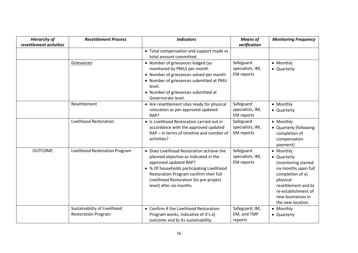| <b>Hierarchy of</b>     | <b>Resettlement Process</b>                                | <b>Indicators</b>                                                                                                                                                                                                                                                        | <b>Means of</b>                                    | <b>Monitoring Frequency</b>                                                                                                                                                                     |
|-------------------------|------------------------------------------------------------|--------------------------------------------------------------------------------------------------------------------------------------------------------------------------------------------------------------------------------------------------------------------------|----------------------------------------------------|-------------------------------------------------------------------------------------------------------------------------------------------------------------------------------------------------|
| resettlement activities |                                                            |                                                                                                                                                                                                                                                                          | verification                                       |                                                                                                                                                                                                 |
|                         |                                                            | • Total compensation and support made vs<br>total amount committed.                                                                                                                                                                                                      |                                                    |                                                                                                                                                                                                 |
|                         | Grievances                                                 | • Number of grievances lodged (as<br>monitored by PMU) per month<br>• Number of grievances solved per month<br>• Number of grievances submitted at PMU<br>level.<br>• Number of grievances submitted at<br>Governorate level.                                            | Safeguard<br>specialists, IM,<br><b>EM</b> reports | • Monthly<br>• Quarterly                                                                                                                                                                        |
|                         | Resettlement                                               | • Are resettlement sites ready for physical<br>relocation as per approved updated<br>RAP?                                                                                                                                                                                | Safeguard<br>specialists, IM,<br><b>EM</b> reports | • Monthly<br>• Quarterly                                                                                                                                                                        |
|                         | Livelihood Restoration                                     | • Is Livelihood Restoration carried out in<br>accordance with the approved updated<br>RAP – in terms of timeline and number of<br>activities?                                                                                                                            | Safeguard<br>specialists, IM,<br><b>EM</b> reports | • Monthly<br>• Quarterly (following<br>completion of<br>compensation<br>payment)                                                                                                                |
| <b>OUTCOME</b>          | Livelihood Restoration Program                             | • Does Livelihood Restoration achieve the<br>planned objective as indicated in the<br>approved updated RAP?<br>• % Of households participating Livelihood<br>Restoration Program confirm their full<br>Livelihood Restoration (to pre-project<br>level) after six months | Safeguard<br>specialists, IM,<br><b>EM</b> reports | • Monthly<br>• Quarterly<br>(monitoring started<br>six months upon full<br>completion of a)<br>physical<br>resettlement and b)<br>re-establishment of<br>new businesses in<br>the new location. |
|                         | Sustainability of Livelihood<br><b>Restoration Program</b> | • Confirm if the Livelihood Restoration<br>Program works, indicative of it's a)<br>outcome and b) its sustainability.                                                                                                                                                    | Safeguard, IM,<br>EM, and TMP<br>reports           | • Monthly<br>• Quarterly                                                                                                                                                                        |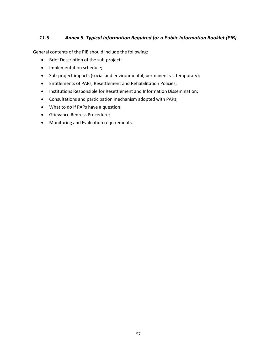### *11.5 Annex 5. Typical Information Required for a Public Information Booklet (PIB)*

General contents of the PIB should include the following:

- Brief Description of the sub-project;
- Implementation schedule;
- Sub-project impacts (social and environmental; permanent vs. temporary);
- Entitlements of PAPs, Resettlement and Rehabilitation Policies;
- Institutions Responsible for Resettlement and Information Dissemination;
- Consultations and participation mechanism adopted with PAPs;
- What to do if PAPs have a question;
- Grievance Redress Procedure;
- Monitoring and Evaluation requirements.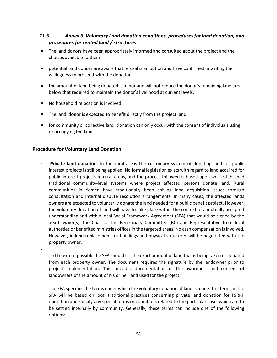### *11.6 Annex 6. Voluntary Land donation conditions, procedures for land donation, and procedures for rented land / structures*

- The land donors have been appropriately informed and consulted about the project and the choices available to them.
- potential land donors are aware that refusal is an option and have confirmed in writing their willingness to proceed with the donation.
- the amount of land being donated is minor and will not reduce the donor's remaining land area below that required to maintain the donor's livelihood at current levels.
- No household relocation is involved.
- The land donor is expected to benefit directly from the project; and
- for community or collective land, donation can only occur with the consent of individuals using or occupying the land

### **Procedure for Voluntary Land Donation**

-

**Private land donation**: In the rural areas the customary system of donating land for public interest projects is still being applied. No formal legislation exists with regard to land acquired for public interest projects in rural areas, and the process followed is based upon well-established traditional community-level systems where project affected persons donate land. Rural communities in Yemen have traditionally been solving land acquisition issues through consultation and internal dispute resolution arrangements. In many cases, the affected lands owners are expected to voluntarily donate the land needed for a public benefit project. However, the voluntary donation of land will have to take place within the context of a mutually accepted understanding and within local Social Framework Agreement (SFA) that would be signed by the asset owner(s), the Chair of the Beneficiary Committee (BC) and Representative from local authorties or benefited ministries offices in the targeted areas. No cash compensation is involved. However, in-kind replacement for buildings and physical structures will be negotiated with the property owner.

To the extent possible the SFA should list the exact amount of land that is being taken or donated from each property owner. The document requires the signature by the landowner prior to project implementation. This provides documentation of the awareness and consent of landowners of the amount of his or her land used for the project.

The SFA specifies the terms under which the voluntary donation of land is made. The terms in the SFA will be based on local traditional practices concerning private land donation for FSRRP operation and specify any special terms or conditions related to the particular case, which are to be settled internally by community. Generally, these terms can include one of the following options: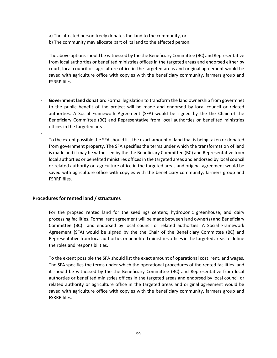a) The affected person freely donates the land to the community, or

b) The community may allocate part of its land to the affected person.

The above options should be witnessed by the the Beneficiary Committee (BC) and Representative from local authorties or benefited ministries offices in the targeted areas and endorsed either by court, local council or agriculture office in the targeted areas and original agreement would be saved with agriculture office with copyies with the beneficiary community, farmers group and FSRRP files.

- **Government land donation**: Formal legislation to transform the land ownership from govermnet to the public benefit of the project will be made and endorsed by local council or related authorties. A Social Framework Agreement (SFA) would be signed by the the Chair of the Beneficiary Committee (BC) and Representative from local authorties or benefited ministries offices in the targeted areas.

To the extent possible the SFA should list the exact amount of land that is being taken or donated from government property. The SFA specifies the terms under which the transformation of land is made and it may be witnessed by the the Beneficiary Committee (BC) and Representative from local authorties or benefited ministries offices in the targeted areas and endorsed by local council or related authority or agriculture office in the targeted areas and original agreement would be saved with agriculture office with copyies with the beneficiary community, farmers group and FSRRP files.

#### **Procedures for rented land / structures**

-

For the propsed rented land for the seedlings centers; hydroponic greenhouse; and dairy processing facilities. Formal rent agreement will be made between land owner(s) and Beneficiary Committee (BC) and endorsed by local council or related authorties. A Social Framework Agreement (SFA) would be signed by the the Chair of the Beneficiary Committee (BC) and Representative from local authorties or benefited ministries offices in the targeted areasto define the roles and responsibilities.

To the extent possible the SFA should list the exact amount of operational cost, rent, and wages. The SFA specifies the terms under which the operational procedures of the rented facilities and it should be witnessed by the the Beneficiary Committee (BC) and Representative from local authorties or benefited ministries offices in the targeted areas and endorsed by local council or related authority or agriculture office in the targeted areas and original agreement would be saved with agriculture office with copyies with the beneficiary community, farmers group and FSRRP files.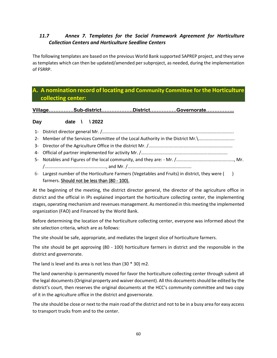## *11.7 Annex 7. Templates for the Social Framework Agreement for Horticulture Collection Centers and Horticulture Seedline Centers*

The following templates are based on the previous World Bank supported SAPREP project, and they serve as templates which can then be updated/amended per subproject, as needed, during the implementation of FSRRP.

## **A. A nomination record of locating and Community Committee for the Horticulture collecting center:**

**Village……………Sub-district……………….District…………….Governorate……………..**

#### **Day date \ \ 2022**

- 1- District director general Mr. /.........................................................................................................
- 2- Member of the Services Committee of the Local Authority in the District Mr.\...........................
- 3- Director of the Agriculture Office in the district Mr. /...................................................................
- 4- Official of partner implemented for activity Mr. /.....................................................................
- 5- Notables and Figures of the local community, and they are: Mr. /.............................................., Mr. /................................................., and Mr. /...................................................
- 6- Largest number of the Horticulture Farmers (Vegetables and Fruits) in district, they were ( ) farmers. Should not be less than (80 - 100).

At the beginning of the meeting, the district director general, the director of the agriculture office in district and the official in IPs explained important the horticulture collecting center, the implementing stages, operating mechanism and revenues management. As mentioned in this meeting the implemented organization (FAO) and Financed by the World Bank.

Before determining the location of the horticulture collecting center, everyone was informed about the site selection criteria, which are as follows:

The site should be safe, appropriate, and mediates the largest slice of horticulture farmers.

The site should be get approving (80 - 100) horticulture farmers in district and the responsible in the district and governorate.

The land is level and its area is not less than (30 \* 30) m2.

The land ownership is permanently moved for favor the horticulture collecting center through submit all the legal documents (Original property and waiver document). All this documents should be edited by the district's court, then reserves the original documents at the HCC's community committee and two copy of it in the agriculture office in the district and governorate.

The site should be close or next to the main road of the district and not to be in a busy area for easy access to transport trucks from and to the center.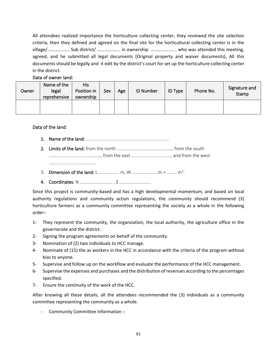All attendees realized importance the horticulture collecting center, they reviewed the site selection criteria, then they defined and agreed on the final site for the horticultural collecting center is in the village/………….…... Sub district/ …………….…. in ownership …………….…. , who was attended this meeting, agreed, and he submitted all legal documents (Original property and waiver documents), All this documents should be legally and it edit by the district's court for set up the horticulture collecting center in the district.

#### Data of owner land:

| Owner | Name of the<br>legal<br>reprehensive | <b>His</b><br>Position in<br>ownership | Sex | Age | <b>ID Number</b> | <b>ID Type</b> | Phone No. | Signature and<br>Stamp |
|-------|--------------------------------------|----------------------------------------|-----|-----|------------------|----------------|-----------|------------------------|
|       |                                      |                                        |     |     |                  |                |           |                        |

Data of the land:

- 1. Name of the land: ....................................................................
- 2. Limits of the land: from the north ………………………………….………, from the south …………………….…………………, from the east …….………………….……, and from the west
- 3. Dimension of the land: L ……………… m, W ………………… m = ……… m<sup>2</sup>.
- 4. Coordinates: N ……………………….. , E ……………………….

……………………………………

Since this project is community-based and has a high developmental momentum, and based on local authority regulations and community action regulations, the community should recommend (3) horticulture farmers as a community committee representing the society as a whole in the following order:-

- 1- They represent the community, the organization, the local authority, the agriculture office in the governorate and the district.
- 2- Signing the program agreements on behalf of the community.
- 3- Nomination of (2) two individuals to HCC manage.
- 4- Nominate of (15) the as workers in the HCC in accordance with the criteria of the program without bias to anyone.
- 5- Supervise and follow up on the workflow and evaluate the performance of the HCC management.
- 6- Supervise the expenses and purchases and the distribution of revenues according to the percentages specified.
- 7- Ensure the continuity of the work of the HCC.

After knowing all these details, all the attendees recommended the (3) individuals as a community committee representing the community as a whole.

Community Committee Information :-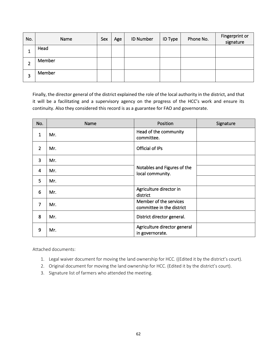| No.    | Name   | Sex | Age | <b>ID Number</b> | <b>ID Type</b> | Phone No. | Fingerprint or<br>signature |
|--------|--------|-----|-----|------------------|----------------|-----------|-----------------------------|
| J.     | Head   |     |     |                  |                |           |                             |
| ◠<br>▴ | Member |     |     |                  |                |           |                             |
| 3      | Member |     |     |                  |                |           |                             |

Finally, the director general of the district explained the role of the local authority in the district, and that it will be a facilitating and a supervisory agency on the progress of the HCC's work and ensure its continuity. Also they considered this record is as a guarantee for FAO and governorate.

| No.            | Name | Position                                            | Signature |
|----------------|------|-----------------------------------------------------|-----------|
| $\mathbf{1}$   | Mr.  | Head of the community<br>committee.                 |           |
| $\overline{2}$ | Mr.  | Official of IPs                                     |           |
| $\overline{3}$ | Mr.  |                                                     |           |
| 4              | Mr.  | Notables and Figures of the<br>local community.     |           |
| 5              | Mr.  |                                                     |           |
| 6              | Mr.  | Agriculture director in<br>district                 |           |
| $\overline{7}$ | Mr.  | Member of the services<br>committee in the district |           |
| 8              | Mr.  | District director general.                          |           |
| 9              | Mr.  | Agriculture director general<br>in governorate.     |           |

Attached documents:

- 1. Legal waiver document for moving the land ownership for HCC. ((Edited it by the district's court).
- 2. Original document for moving the land ownership for HCC. (Edited it by the district's court).
- 3. Signature list of farmers who attended the meeting.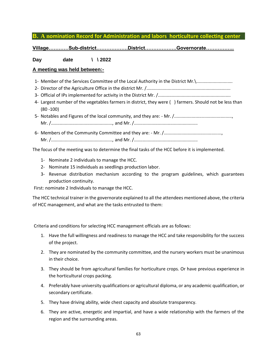### **B. A nomination Record for Administration and labors horticulture collecting center**

**Village…………Sub-district……………….District……………….Governorate……………..**

**Day date \ \ 2022** 

#### **A meeting was held between:-**

- 1- Member of the Services Committee of the Local Authority in the District Mr.\.............................
- 2- Director of the Agriculture Office in the district Mr. /...................................................................
- 3- Official of IPs implemented for activity in the District Mr. /..........................................................
- 4- Largest number of the vegetables farmers in district, they were ( ) farmers. Should not be less than (80 -100)
- 5- Notables and Figures of the local community, and they are: Mr. /.............................................., Mr. /................................................., and Mr. /...................................................
- 6- Members of the Community Committee and they are: Mr. /.............................................., Mr. /................................................., and Mr. /...................................................

The focus of the meeting was to determine the final tasks of the HCC before it is implemented.

- 1- Nominate 2 individuals to manage the HCC.
- 2- Nominate 15 individuals as seedlings production labor.
- 3- Revenue distribution mechanism according to the program guidelines, which guarantees production continuity.

First: nominate 2 Individuals to manage the HCC.

The HCC technical trainer in the governorate explained to all the attendees mentioned above, the criteria of HCC management, and what are the tasks entrusted to them:

Criteria and conditions for selecting HCC management officials are as follows:

- 1. Have the full willingness and readiness to manage the HCC and take responsibility for the success of the project.
- 2. They are nominated by the community committee, and the nursery workers must be unanimous in their choice.
- 3. They should be from agricultural families for horticulture crops. Or have previous experience in the horticultural crops packing.
- 4. Preferably have university qualifications or agricultural diploma, or any academic qualification, or secondary certificate.
- 5. They have driving ability, wide chest capacity and absolute transparency.
- 6. They are active, energetic and impartial, and have a wide relationship with the farmers of the region and the surrounding areas.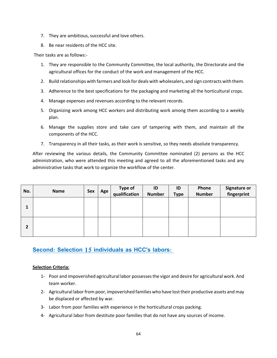- 7. They are ambitious, successful and love others.
- 8. Be near residents of the HCC site.

Their tasks are as follows:-

- 1. They are responsible to the Community Committee, the local authority, the Directorate and the agricultural offices for the conduct of the work and management of the HCC.
- 2. Build relationships with farmers and look for deals with wholesalers, and sign contracts with them.
- 3. Adherence to the best specifications for the packaging and marketing all the horticultural crops.
- 4. Manage expenses and revenues according to the relevant records.
- 5. Organizing work among HCC workers and distributing work among them according to a weekly plan.
- 6. Manage the supplies store and take care of tampering with them, and maintain all the components of the HCC.
- 7. Transparency in all their tasks, as their work is sensitive, so they needs absolute transparency.

After reviewing the various details, the Community Committee nominated (2) persons as the HCC administration, who were attended this meeting and agreed to all the aforementioned tasks and any administrative tasks that work to organize the workflow of the center.

| No.          | Name | Sex | Age | <b>Type of</b><br>qualification | ID<br><b>Number</b> | ID<br><b>Type</b> | Phone<br><b>Number</b> | <b>Signature or</b><br>fingerprint |
|--------------|------|-----|-----|---------------------------------|---------------------|-------------------|------------------------|------------------------------------|
| 1            |      |     |     |                                 |                     |                   |                        |                                    |
| $\mathbf{2}$ |      |     |     |                                 |                     |                   |                        |                                    |

## **Second: Selection 15 individuals as HCC's labors:**

#### **Selection Criteria:**

- 1- Poor and impoverished agricultural labor possesses the vigor and desire for agricultural work. And team worker.
- 2- Agricultural labor from poor, impoverished families who have lost their productive assets and may be displaced or affected by war.
- 3- Labor from poor families with experience in the horticultural crops packing.
- 4- Agricultural labor from destitute poor families that do not have any sources of income.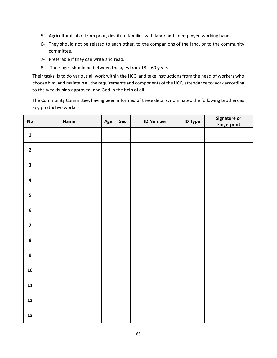- 5- Agricultural labor from poor, destitute families with labor and unemployed working hands.
- 6- They should not be related to each other, to the companions of the land, or to the community committee.
- 7- Preferable if they can write and read.
- 8- Their ages should be between the ages from  $18 60$  years.

Their tasks: Is to do various all work within the HCC, and take instructions from the head of workers who choose him, and maintain all the requirements and components of the HCC, attendance to work according to the weekly plan approved, and God in the help of all.

The Community Committee, having been informed of these details, nominated the following brothers as key productive workers:

| $\mathsf{No}$           | Name | Age | Sec | <b>ID Number</b> | <b>ID Type</b> | Signature or<br>Fingerprint |
|-------------------------|------|-----|-----|------------------|----------------|-----------------------------|
| $\mathbf 1$             |      |     |     |                  |                |                             |
| $\mathbf{2}$            |      |     |     |                  |                |                             |
| $\overline{\mathbf{3}}$ |      |     |     |                  |                |                             |
| $\overline{\mathbf{4}}$ |      |     |     |                  |                |                             |
| 5                       |      |     |     |                  |                |                             |
| $\boldsymbol{6}$        |      |     |     |                  |                |                             |
| $\overline{\mathbf{z}}$ |      |     |     |                  |                |                             |
| ${\bf 8}$               |      |     |     |                  |                |                             |
| $\boldsymbol{9}$        |      |     |     |                  |                |                             |
| 10                      |      |     |     |                  |                |                             |
| 11                      |      |     |     |                  |                |                             |
| $12$                    |      |     |     |                  |                |                             |
| 13                      |      |     |     |                  |                |                             |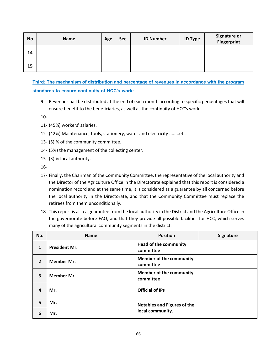| <b>No</b> | <b>Name</b> | Age | <b>Sec</b> | <b>ID Number</b> | <b>ID Type</b> | <b>Signature or</b><br>Fingerprint |
|-----------|-------------|-----|------------|------------------|----------------|------------------------------------|
| 14        |             |     |            |                  |                |                                    |
| 15        |             |     |            |                  |                |                                    |

**Third: The mechanism of distribution and percentage of revenues in accordance with the program standards to ensure continuity of HCC's work:**

9- Revenue shall be distributed at the end of each month according to specific percentages that will ensure benefit to the beneficiaries, as well as the continuity of HCC's work:

10-

- 11- (45%) workers' salaries.
- 12- (42%) Maintenance, tools, stationery, water and electricity ........etc.
- 13- (5) % of the community committee.
- 14- (5%) the management of the collecting center.
- 15- (3) % local authority.

16-

- 17- Finally, the Chairman of the Community Committee, the representative of the local authority and the Director of the Agriculture Office in the Directorate explained that this report is considered a nomination record and at the same time, it is considered as a guarantee by all concerned before the local authority in the Directorate, and that the Community Committee must replace the retirees from them unconditionally.
- 18- This report is also a guarantee from the local authority in the District and the Agriculture Office in the governorate before FAO, and that they provide all possible facilities for HCC, which serves many of the agricultural community segments in the district.

| No.            | <b>Name</b>          | <b>Position</b>                             | Signature |
|----------------|----------------------|---------------------------------------------|-----------|
| 1              | <b>President Mr.</b> | <b>Head of the community</b><br>committee   |           |
| $\overline{2}$ | Member Mr.           | <b>Member of the community</b><br>committee |           |
| 3              | Member Mr.           | <b>Member of the community</b><br>committee |           |
| 4              | Mr.                  | <b>Official of IPs</b>                      |           |
| 5              | Mr.                  | Notables and Figures of the                 |           |
| 6              | Mr.                  | local community.                            |           |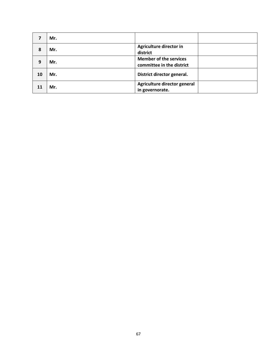|    | Mr. |                                                            |  |
|----|-----|------------------------------------------------------------|--|
| 8  | Mr. | Agriculture director in<br>district                        |  |
| 9  | Mr. | <b>Member of the services</b><br>committee in the district |  |
| 10 | Mr. | District director general.                                 |  |
| 11 | Mr. | Agriculture director general<br>in governorate.            |  |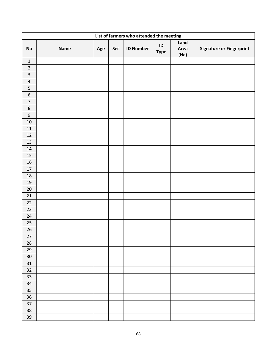| List of farmers who attended the meeting |      |     |     |                  |                         |                      |                                 |  |  |
|------------------------------------------|------|-----|-----|------------------|-------------------------|----------------------|---------------------------------|--|--|
| No                                       | Name | Age | Sec | <b>ID Number</b> | $\sf ID$<br><b>Type</b> | Land<br>Area<br>(Ha) | <b>Signature or Fingerprint</b> |  |  |
| $\mathbf 1$                              |      |     |     |                  |                         |                      |                                 |  |  |
| $\mathbf 2$                              |      |     |     |                  |                         |                      |                                 |  |  |
| $\mathsf{3}$                             |      |     |     |                  |                         |                      |                                 |  |  |
| $\sqrt{4}$                               |      |     |     |                  |                         |                      |                                 |  |  |
| 5                                        |      |     |     |                  |                         |                      |                                 |  |  |
| $\boldsymbol{6}$                         |      |     |     |                  |                         |                      |                                 |  |  |
| $\overline{7}$                           |      |     |     |                  |                         |                      |                                 |  |  |
| $\bf 8$                                  |      |     |     |                  |                         |                      |                                 |  |  |
| $\boldsymbol{9}$                         |      |     |     |                  |                         |                      |                                 |  |  |
| 10                                       |      |     |     |                  |                         |                      |                                 |  |  |
| 11                                       |      |     |     |                  |                         |                      |                                 |  |  |
| 12                                       |      |     |     |                  |                         |                      |                                 |  |  |
| 13                                       |      |     |     |                  |                         |                      |                                 |  |  |
| $14\,$                                   |      |     |     |                  |                         |                      |                                 |  |  |
| $15\,$                                   |      |     |     |                  |                         |                      |                                 |  |  |
| 16                                       |      |     |     |                  |                         |                      |                                 |  |  |
| $17\,$                                   |      |     |     |                  |                         |                      |                                 |  |  |
| 18                                       |      |     |     |                  |                         |                      |                                 |  |  |
| $19\,$                                   |      |     |     |                  |                         |                      |                                 |  |  |
| $20\,$                                   |      |     |     |                  |                         |                      |                                 |  |  |
| 21                                       |      |     |     |                  |                         |                      |                                 |  |  |
| $22\,$                                   |      |     |     |                  |                         |                      |                                 |  |  |
| 23                                       |      |     |     |                  |                         |                      |                                 |  |  |
| $24\,$                                   |      |     |     |                  |                         |                      |                                 |  |  |
| $25\,$                                   |      |     |     |                  |                         |                      |                                 |  |  |
| $26\,$                                   |      |     |     |                  |                         |                      |                                 |  |  |
| 27                                       |      |     |     |                  |                         |                      |                                 |  |  |
| ${\bf 28}$                               |      |     |     |                  |                         |                      |                                 |  |  |
| $29\,$                                   |      |     |     |                  |                         |                      |                                 |  |  |
| $30\,$                                   |      |     |     |                  |                         |                      |                                 |  |  |
| $31\,$                                   |      |     |     |                  |                         |                      |                                 |  |  |
| $32\,$                                   |      |     |     |                  |                         |                      |                                 |  |  |
| 33                                       |      |     |     |                  |                         |                      |                                 |  |  |
| $34\,$                                   |      |     |     |                  |                         |                      |                                 |  |  |
| 35                                       |      |     |     |                  |                         |                      |                                 |  |  |
| $36\,$                                   |      |     |     |                  |                         |                      |                                 |  |  |
| 37                                       |      |     |     |                  |                         |                      |                                 |  |  |
| 38                                       |      |     |     |                  |                         |                      |                                 |  |  |
| 39                                       |      |     |     |                  |                         |                      |                                 |  |  |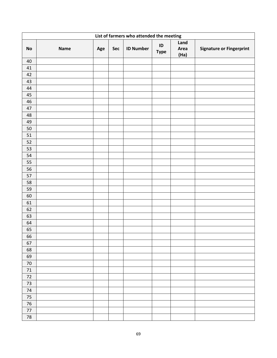| List of farmers who attended the meeting |      |     |     |                  |                         |                      |                                 |  |  |
|------------------------------------------|------|-----|-----|------------------|-------------------------|----------------------|---------------------------------|--|--|
| <b>No</b>                                | Name | Age | Sec | <b>ID Number</b> | $\sf ID$<br><b>Type</b> | Land<br>Area<br>(Ha) | <b>Signature or Fingerprint</b> |  |  |
| $40\,$                                   |      |     |     |                  |                         |                      |                                 |  |  |
| 41                                       |      |     |     |                  |                         |                      |                                 |  |  |
| 42                                       |      |     |     |                  |                         |                      |                                 |  |  |
| 43                                       |      |     |     |                  |                         |                      |                                 |  |  |
| 44                                       |      |     |     |                  |                         |                      |                                 |  |  |
| 45                                       |      |     |     |                  |                         |                      |                                 |  |  |
| $46\,$                                   |      |     |     |                  |                         |                      |                                 |  |  |
| 47                                       |      |     |     |                  |                         |                      |                                 |  |  |
| 48                                       |      |     |     |                  |                         |                      |                                 |  |  |
| 49                                       |      |     |     |                  |                         |                      |                                 |  |  |
| $50\,$                                   |      |     |     |                  |                         |                      |                                 |  |  |
| $51\,$                                   |      |     |     |                  |                         |                      |                                 |  |  |
| 52                                       |      |     |     |                  |                         |                      |                                 |  |  |
| 53                                       |      |     |     |                  |                         |                      |                                 |  |  |
| 54                                       |      |     |     |                  |                         |                      |                                 |  |  |
| 55                                       |      |     |     |                  |                         |                      |                                 |  |  |
| 56                                       |      |     |     |                  |                         |                      |                                 |  |  |
| 57                                       |      |     |     |                  |                         |                      |                                 |  |  |
| 58                                       |      |     |     |                  |                         |                      |                                 |  |  |
| 59                                       |      |     |     |                  |                         |                      |                                 |  |  |
| 60                                       |      |     |     |                  |                         |                      |                                 |  |  |
| 61                                       |      |     |     |                  |                         |                      |                                 |  |  |
| 62                                       |      |     |     |                  |                         |                      |                                 |  |  |
| 63                                       |      |     |     |                  |                         |                      |                                 |  |  |
| 64                                       |      |     |     |                  |                         |                      |                                 |  |  |
| 65                                       |      |     |     |                  |                         |                      |                                 |  |  |
| 66                                       |      |     |     |                  |                         |                      |                                 |  |  |
| 67                                       |      |     |     |                  |                         |                      |                                 |  |  |
| 68                                       |      |     |     |                  |                         |                      |                                 |  |  |
| 69                                       |      |     |     |                  |                         |                      |                                 |  |  |
| $70\,$                                   |      |     |     |                  |                         |                      |                                 |  |  |
| $71\,$                                   |      |     |     |                  |                         |                      |                                 |  |  |
| $72\,$                                   |      |     |     |                  |                         |                      |                                 |  |  |
| 73                                       |      |     |     |                  |                         |                      |                                 |  |  |
| 74                                       |      |     |     |                  |                         |                      |                                 |  |  |
| 75                                       |      |     |     |                  |                         |                      |                                 |  |  |
| 76                                       |      |     |     |                  |                         |                      |                                 |  |  |
| $77$                                     |      |     |     |                  |                         |                      |                                 |  |  |
| ${\bf 78}$                               |      |     |     |                  |                         |                      |                                 |  |  |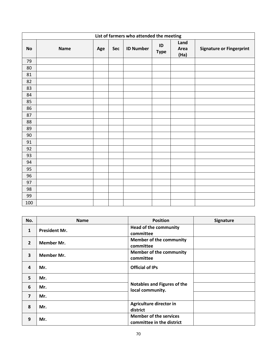|           | List of farmers who attended the meeting |     |     |                  |                   |                      |                                 |  |  |  |
|-----------|------------------------------------------|-----|-----|------------------|-------------------|----------------------|---------------------------------|--|--|--|
| <b>No</b> | <b>Name</b>                              | Age | Sec | <b>ID Number</b> | ID<br><b>Type</b> | Land<br>Area<br>(Ha) | <b>Signature or Fingerprint</b> |  |  |  |
| 79        |                                          |     |     |                  |                   |                      |                                 |  |  |  |
| 80        |                                          |     |     |                  |                   |                      |                                 |  |  |  |
| 81        |                                          |     |     |                  |                   |                      |                                 |  |  |  |
| 82        |                                          |     |     |                  |                   |                      |                                 |  |  |  |
| 83        |                                          |     |     |                  |                   |                      |                                 |  |  |  |
| 84        |                                          |     |     |                  |                   |                      |                                 |  |  |  |
| 85        |                                          |     |     |                  |                   |                      |                                 |  |  |  |
| 86        |                                          |     |     |                  |                   |                      |                                 |  |  |  |
| 87        |                                          |     |     |                  |                   |                      |                                 |  |  |  |
| 88        |                                          |     |     |                  |                   |                      |                                 |  |  |  |
| 89        |                                          |     |     |                  |                   |                      |                                 |  |  |  |
| 90        |                                          |     |     |                  |                   |                      |                                 |  |  |  |
| 91        |                                          |     |     |                  |                   |                      |                                 |  |  |  |
| 92        |                                          |     |     |                  |                   |                      |                                 |  |  |  |
| 93        |                                          |     |     |                  |                   |                      |                                 |  |  |  |
| 94        |                                          |     |     |                  |                   |                      |                                 |  |  |  |
| 95        |                                          |     |     |                  |                   |                      |                                 |  |  |  |
| 96        |                                          |     |     |                  |                   |                      |                                 |  |  |  |
| 97        |                                          |     |     |                  |                   |                      |                                 |  |  |  |
| 98        |                                          |     |     |                  |                   |                      |                                 |  |  |  |
| 99        |                                          |     |     |                  |                   |                      |                                 |  |  |  |
| 100       |                                          |     |     |                  |                   |                      |                                 |  |  |  |

| No.                     | <b>Name</b>          | <b>Position</b>                                            | Signature |
|-------------------------|----------------------|------------------------------------------------------------|-----------|
| $\mathbf{1}$            | <b>President Mr.</b> | <b>Head of the community</b><br>committee                  |           |
| $\overline{2}$          | Member Mr.           | <b>Member of the community</b><br>committee                |           |
| $\overline{\mathbf{3}}$ | <b>Member Mr.</b>    | <b>Member of the community</b><br>committee                |           |
| 4                       | Mr.                  | <b>Official of IPs</b>                                     |           |
| 5                       | Mr.                  |                                                            |           |
| 6                       | Mr.                  | <b>Notables and Figures of the</b><br>local community.     |           |
| $\overline{\mathbf{z}}$ | Mr.                  |                                                            |           |
| 8                       | Mr.                  | Agriculture director in<br>district                        |           |
| 9                       | Mr.                  | <b>Member of the services</b><br>committee in the district |           |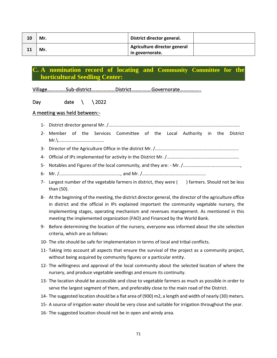| 10 | Mr. | District director general.                      |  |
|----|-----|-------------------------------------------------|--|
|    | Mr. | Agriculture director general<br>in governorate. |  |

## **C. A nomination record of locating and Community Committee for the horticultural Seedling Center:**

Village……………Sub-district……………….District…………….Governorate……………..

## Day date  $\setminus$  \ 2022

### A meeting was held between:-

- 1- District director general Mr. /.........................................................................................................
- 2- Member of the Services Committee of the Local Authority in the District Mr.\.....................................
- 3- Director of the Agriculture Office in the district Mr. /...................................................................
- 4- Official of IPs implemented for activity in the District Mr. /..........................................................
- 5- Notables and Figures of the local community, and they are: Mr. /..............................................,
- 6- Mr. /................................................., and Mr. /...................................................
- 7- Largest number of the vegetable farmers in district, they were ( ) farmers. Should not be less than (50).
- 8- At the beginning of the meeting, the district director general, the director of the agriculture office in district and the official in IPs explained important the community vegetable nursery, the implementing stages, operating mechanism and revenues management. As mentioned in this meeting the implemented organization (FAO) and Financed by the World Bank.
- 9- Before determining the location of the nursery, everyone was informed about the site selection criteria, which are as follows:
- 10- The site should be safe for implementation in terms of local and tribal conflicts.
- 11- Taking into account all aspects that ensure the survival of the project as a community project, without being acquired by community figures or a particular entity.
- 12- The willingness and approval of the local community about the selected location of where the nursery, and produce vegetable seedlings and ensure its continuity.
- 13- The location should be accessible and close to vegetable farmers as much as possible in order to serve the largest segment of them, and preferably close to the main road of the District.
- 14- The suggested location should be a flat area of (900) m2, a length and width of nearly (30) meters.
- 15- A source of irrigation water should be very close and suitable for irrigation throughout the year.
- 16- The suggested location should not be in open and windy area.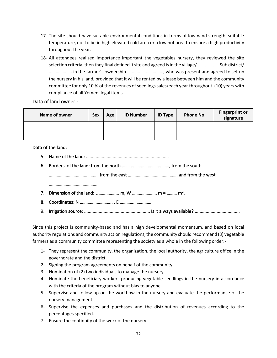- 17- The site should have suitable environmental conditions in terms of low wind strength, suitable temperature, not to be in high elevated cold area or a low hot area to ensure a high productivity throughout the year.
- 18- All attendees realized importance important the vegetables nursery, they reviewed the site selection criteria, then they final defined it site and agreed is in the village/………….…... Sub district/ …………….…. in the farmer's ownership ……..……………….…., who was present and agreed to set up the nursery in his land, provided that it will be rented by a lease between him and the community committee for only 10 % of the revenues of seedlings sales/each year throughout (10) years with compliance of all Yemeni legal items.

### Data of land owner :

| Name of owner | Sex | Age | <b>ID Number</b> | <b>ID Type</b> | Phone No. | <b>Fingerprint or</b><br>signature |
|---------------|-----|-----|------------------|----------------|-----------|------------------------------------|
|               |     |     |                  |                |           |                                    |

## Data of the land:

- 5. Name of the land: ....................................................................
- 6. Borders of the land: from the north……………………………………., from the south …………………………….………, from the east ……………………………….……, and from the west ……………………………………………
- 7. Dimension of the land: L ……………… m, W ………………… m = ……… m<sup>2</sup>.
- 8. Coordinates: N ……………………….. , E ……………………….
- 9. Irrigation source: .................. .................................... Is it always available? .....................................

Since this project is community-based and has a high developmental momentum, and based on local authority regulations and community action regulations, the community should recommend (3) vegetable farmers as a community committee representing the society as a whole in the following order:-

- 1- They represent the community, the organization, the local authority, the agriculture office in the governorate and the district.
- 2- Signing the program agreements on behalf of the community.
- 3- Nomination of (2) two individuals to manage the nursery.
- 4- Nominate the beneficiary workers producing vegetable seedlings in the nursery in accordance with the criteria of the program without bias to anyone.
- 5- Supervise and follow up on the workflow in the nursery and evaluate the performance of the nursery management.
- 6- Supervise the expenses and purchases and the distribution of revenues according to the percentages specified.
- 7- Ensure the continuity of the work of the nursery.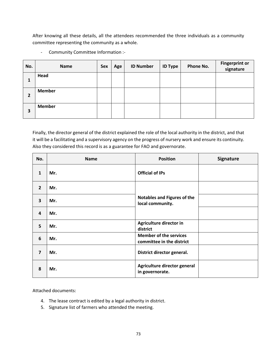After knowing all these details, all the attendees recommended the three individuals as a community committee representing the community as a whole.

- Community Committee Information :-

| No. | <b>Name</b>   | Sex | Age | <b>ID Number</b> | <b>ID Type</b> | Phone No. | <b>Fingerprint or</b><br>signature |
|-----|---------------|-----|-----|------------------|----------------|-----------|------------------------------------|
| 1   | Head          |     |     |                  |                |           |                                    |
| 2   | <b>Member</b> |     |     |                  |                |           |                                    |
| 3   | <b>Member</b> |     |     |                  |                |           |                                    |

Finally, the director general of the district explained the role of the local authority in the district, and that it will be a facilitating and a supervisory agency on the progress of nursery work and ensure its continuity. Also they considered this record is as a guarantee for FAO and governorate.

| No.                     | <b>Name</b> | <b>Position</b>                                            | Signature |
|-------------------------|-------------|------------------------------------------------------------|-----------|
| $\mathbf{1}$            | Mr.         | <b>Official of IPs</b>                                     |           |
| $\overline{2}$          | Mr.         |                                                            |           |
| $\overline{\mathbf{3}}$ | Mr.         | <b>Notables and Figures of the</b><br>local community.     |           |
| $\overline{4}$          | Mr.         |                                                            |           |
| 5                       | Mr.         | Agriculture director in<br>district                        |           |
| 6                       | Mr.         | <b>Member of the services</b><br>committee in the district |           |
| $\overline{7}$          | Mr.         | District director general.                                 |           |
| 8                       | Mr.         | Agriculture director general<br>in governorate.            |           |

Attached documents:

- 4. The lease contract is edited by a legal authority in district.
- 5. Signature list of farmers who attended the meeting.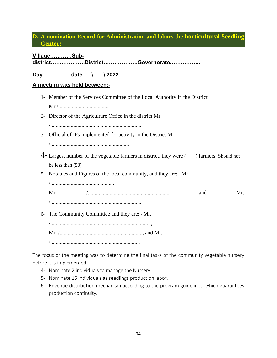## **D. A nomination Record for Administration and labors the horticultural Seedling Center:**

# **district……………….District……………….Governorate…………….. Day date \ \ 2022 A meeting was held between:-** 1- Member of the Services Committee of the Local Authority in the District Mr.\..................................... 2- Director of the Agriculture Office in the district Mr. /................................................................... 3- Official of IPs implemented for activity in the District Mr. /.......................................................... 4- Largest number of the vegetable farmers in district, they were () farmers. Should not be less than (50) 5- Notables and Figures of the local community, and they are: - Mr. /.............................................., Mr. /..........................................................., and Mr. /.................................................................... 6- The Community Committee and they are: - Mr. /.........................................................................., Mr. /............................................................., and Mr. /..................................................................

The focus of the meeting was to determine the final tasks of the community vegetable nursery before it is implemented.

4- Nominate 2 individuals to manage the Nursery.

**Village…………Sub-**

- 5- Nominate 15 individuals as seedlings production labor.
- 6- Revenue distribution mechanism according to the program guidelines, which guarantees production continuity.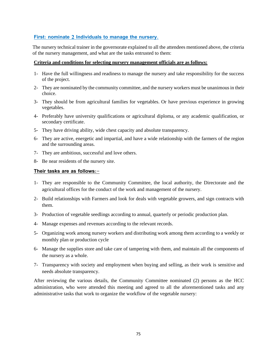### **First: nominate 2 Individuals to manage the nursery.**

The nursery technical trainer in the governorate explained to all the attendees mentioned above, the criteria of the nursery management, and what are the tasks entrusted to them:

#### **Criteria and conditions for selecting nursery management officials are as follows:**

- 1- Have the full willingness and readiness to manage the nursery and take responsibility for the success of the project.
- 2- They are nominated by the community committee, and the nursery workers must be unanimous in their choice.
- 3- They should be from agricultural families for vegetables. Or have previous experience in growing vegetables.
- 4- Preferably have university qualifications or agricultural diploma, or any academic qualification, or secondary certificate.
- 5- They have driving ability, wide chest capacity and absolute transparency.
- 6- They are active, energetic and impartial, and have a wide relationship with the farmers of the region and the surrounding areas.
- 7- They are ambitious, successful and love others.
- 8- Be near residents of the nursery site.

#### **Their tasks are as follows:-**

- 1- They are responsible to the Community Committee, the local authority, the Directorate and the agricultural offices for the conduct of the work and management of the nursery.
- 2- Build relationships with Farmers and look for deals with vegetable growers, and sign contracts with them.
- 3- Production of vegetable seedlings according to annual, quarterly or periodic production plan.
- 4- Manage expenses and revenues according to the relevant records.
- 5- Organizing work among nursery workers and distributing work among them according to a weekly or monthly plan or production cycle
- 6- Manage the supplies store and take care of tampering with them, and maintain all the components of the nursery as a whole.
- 7- Transparency with society and employment when buying and selling, as their work is sensitive and needs absolute transparency.

After reviewing the various details, the Community Committee nominated (2) persons as the HCC administration, who were attended this meeting and agreed to all the aforementioned tasks and any administrative tasks that work to organize the workflow of the vegetable nursery: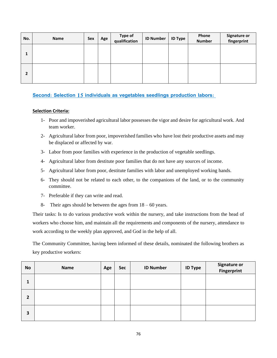| No. | Name | Sex | Age | <b>Type of</b><br>qualification | <b>ID Number</b> | <b>ID Type</b> | Phone<br><b>Number</b> | <b>Signature or</b><br>fingerprint |
|-----|------|-----|-----|---------------------------------|------------------|----------------|------------------------|------------------------------------|
| ı   |      |     |     |                                 |                  |                |                        |                                    |
| 2   |      |     |     |                                 |                  |                |                        |                                    |

### **Second: Selection 15 individuals as vegetables seedlings production labors:**

#### **Selection Criteria:**

- 1- Poor and impoverished agricultural labor possesses the vigor and desire for agricultural work. And team worker.
- 2- Agricultural labor from poor, impoverished families who have lost their productive assets and may be displaced or affected by war.
- 3- Labor from poor families with experience in the production of vegetable seedlings.
- 4- Agricultural labor from destitute poor families that do not have any sources of income.
- 5- Agricultural labor from poor, destitute families with labor and unemployed working hands.
- 6- They should not be related to each other, to the companions of the land, or to the community committee.
- 7- Preferable if they can write and read.
- 8- Their ages should be between the ages from  $18 60$  years.

Their tasks: Is to do various productive work within the nursery, and take instructions from the head of workers who choose him, and maintain all the requirements and components of the nursery, attendance to work according to the weekly plan approved, and God in the help of all.

The Community Committee, having been informed of these details, nominated the following brothers as key productive workers:

| <b>No</b>      | <b>Name</b> | Age | Sec | <b>ID Number</b> | <b>ID Type</b> | <b>Signature or<br/>Fingerprint</b> |
|----------------|-------------|-----|-----|------------------|----------------|-------------------------------------|
| 1              |             |     |     |                  |                |                                     |
| $\overline{2}$ |             |     |     |                  |                |                                     |
| 3              |             |     |     |                  |                |                                     |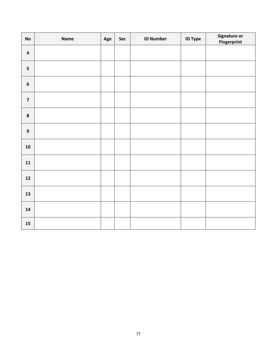| $\mathsf{No}$    | Name | Age | Sec | <b>ID Number</b> | <b>ID Type</b> | Signature or<br><b>Fingerprint</b> |
|------------------|------|-----|-----|------------------|----------------|------------------------------------|
| $\pmb{4}$        |      |     |     |                  |                |                                    |
| 5                |      |     |     |                  |                |                                    |
| $\bf 6$          |      |     |     |                  |                |                                    |
| $\boldsymbol{7}$ |      |     |     |                  |                |                                    |
| $\pmb{8}$        |      |     |     |                  |                |                                    |
| $\boldsymbol{9}$ |      |     |     |                  |                |                                    |
| ${\bf 10}$       |      |     |     |                  |                |                                    |
| ${\bf 11}$       |      |     |     |                  |                |                                    |
| $12\,$           |      |     |     |                  |                |                                    |
| 13               |      |     |     |                  |                |                                    |
| 14               |      |     |     |                  |                |                                    |
| ${\bf 15}$       |      |     |     |                  |                |                                    |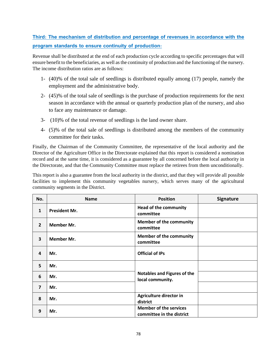# **Third: The mechanism of distribution and percentage of revenues in accordance with the program standards to ensure continuity of production:**

Revenue shall be distributed at the end of each production cycle according to specific percentages that will ensure benefit to the beneficiaries, as well as the continuity of production and the functioning of the nursery. The income distribution ratios are as follows:

- 1- (40)% of the total sale of seedlings is distributed equally among (17) people, namely the employment and the administrative body.
- 2- (45)% of the total sale of seedlings is the purchase of production requirements for the next season in accordance with the annual or quarterly production plan of the nursery, and also to face any maintenance or damage.
- 3- (10)% of the total revenue of seedlings is the land owner share.
- 4- (5)% of the total sale of seedlings is distributed among the members of the community committee for their tasks.

Finally, the Chairman of the Community Committee, the representative of the local authority and the Director of the Agriculture Office in the Directorate explained that this report is considered a nomination record and at the same time, it is considered as a guarantee by all concerned before the local authority in the Directorate, and that the Community Committee must replace the retirees from them unconditionally.

This report is also a guarantee from the local authority in the district, and that they will provide all possible facilities to implement this community vegetables nursery, which serves many of the agricultural community segments in the District.

| No.            | <b>Name</b>          | <b>Position</b>                                            | <b>Signature</b> |
|----------------|----------------------|------------------------------------------------------------|------------------|
| 1              | <b>President Mr.</b> | <b>Head of the community</b><br>committee                  |                  |
| $\overline{2}$ | <b>Member Mr.</b>    | <b>Member of the community</b><br>committee                |                  |
| 3              | <b>Member Mr.</b>    | <b>Member of the community</b><br>committee                |                  |
| 4              | Mr.                  | <b>Official of IPs</b>                                     |                  |
| 5              | Mr.                  |                                                            |                  |
| 6              | Mr.                  | Notables and Figures of the<br>local community.            |                  |
| $\overline{7}$ | Mr.                  |                                                            |                  |
| 8              | Mr.                  | Agriculture director in<br>district                        |                  |
| 9              | Mr.                  | <b>Member of the services</b><br>committee in the district |                  |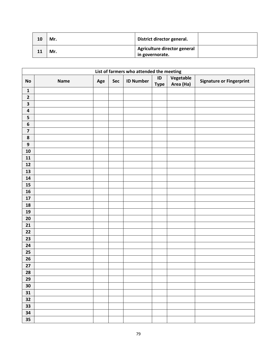| 10 | Mr. | District director general.                      |  |
|----|-----|-------------------------------------------------|--|
|    | Mr. | Agriculture director general<br>in governorate. |  |

|                         | List of farmers who attended the meeting |     |     |                  |                              |                        |                                 |  |  |  |
|-------------------------|------------------------------------------|-----|-----|------------------|------------------------------|------------------------|---------------------------------|--|--|--|
| <b>No</b>               | <b>Name</b>                              | Age | Sec | <b>ID Number</b> | $\mathsf{ID}$<br><b>Type</b> | Vegetable<br>Area (Ha) | <b>Signature or Fingerprint</b> |  |  |  |
| $\mathbf{1}$            |                                          |     |     |                  |                              |                        |                                 |  |  |  |
| $\mathbf{2}$            |                                          |     |     |                  |                              |                        |                                 |  |  |  |
| $\overline{\mathbf{3}}$ |                                          |     |     |                  |                              |                        |                                 |  |  |  |
| $\pmb{4}$               |                                          |     |     |                  |                              |                        |                                 |  |  |  |
| 5                       |                                          |     |     |                  |                              |                        |                                 |  |  |  |
| 6                       |                                          |     |     |                  |                              |                        |                                 |  |  |  |
| $\overline{\mathbf{z}}$ |                                          |     |     |                  |                              |                        |                                 |  |  |  |
| $\pmb{8}$               |                                          |     |     |                  |                              |                        |                                 |  |  |  |
| $\mathbf{9}$            |                                          |     |     |                  |                              |                        |                                 |  |  |  |
| ${\bf 10}$              |                                          |     |     |                  |                              |                        |                                 |  |  |  |
| ${\bf 11}$              |                                          |     |     |                  |                              |                        |                                 |  |  |  |
| ${\bf 12}$              |                                          |     |     |                  |                              |                        |                                 |  |  |  |
| 13                      |                                          |     |     |                  |                              |                        |                                 |  |  |  |
| ${\bf 14}$              |                                          |     |     |                  |                              |                        |                                 |  |  |  |
| ${\bf 15}$              |                                          |     |     |                  |                              |                        |                                 |  |  |  |
| 16                      |                                          |     |     |                  |                              |                        |                                 |  |  |  |
| ${\bf 17}$              |                                          |     |     |                  |                              |                        |                                 |  |  |  |
| ${\bf 18}$              |                                          |     |     |                  |                              |                        |                                 |  |  |  |
| 19                      |                                          |     |     |                  |                              |                        |                                 |  |  |  |
| ${\bf 20}$              |                                          |     |     |                  |                              |                        |                                 |  |  |  |
| 21                      |                                          |     |     |                  |                              |                        |                                 |  |  |  |
| 22                      |                                          |     |     |                  |                              |                        |                                 |  |  |  |
| 23                      |                                          |     |     |                  |                              |                        |                                 |  |  |  |
| 24                      |                                          |     |     |                  |                              |                        |                                 |  |  |  |
| $25\,$                  |                                          |     |     |                  |                              |                        |                                 |  |  |  |
| 26                      |                                          |     |     |                  |                              |                        |                                 |  |  |  |
| 27                      |                                          |     |     |                  |                              |                        |                                 |  |  |  |
| 28                      |                                          |     |     |                  |                              |                        |                                 |  |  |  |
| 29                      |                                          |     |     |                  |                              |                        |                                 |  |  |  |
| 30                      |                                          |     |     |                  |                              |                        |                                 |  |  |  |
| 31                      |                                          |     |     |                  |                              |                        |                                 |  |  |  |
| 32                      |                                          |     |     |                  |                              |                        |                                 |  |  |  |
| 33                      |                                          |     |     |                  |                              |                        |                                 |  |  |  |
| 34                      |                                          |     |     |                  |                              |                        |                                 |  |  |  |
| 35                      |                                          |     |     |                  |                              |                        |                                 |  |  |  |